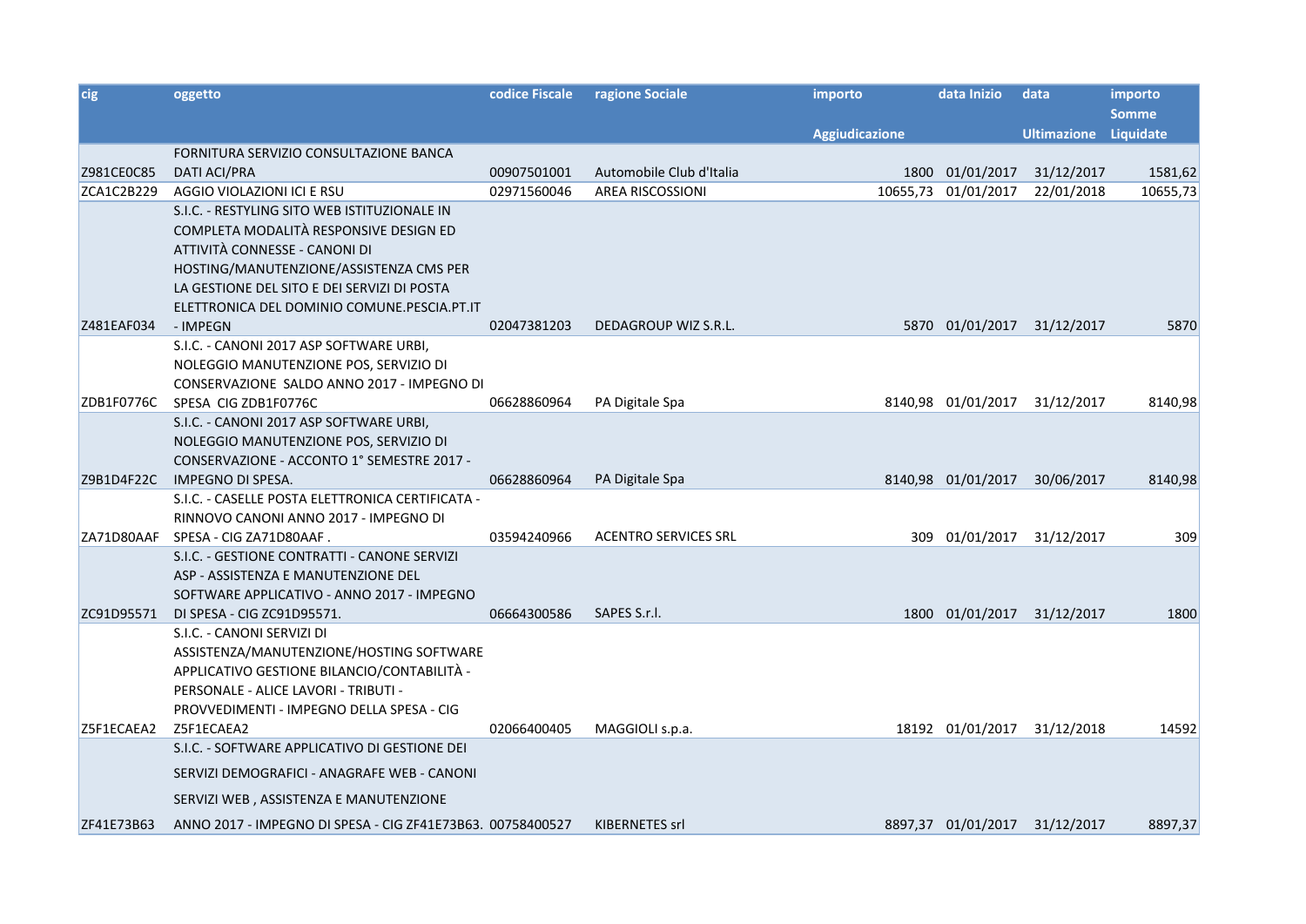| cig        | oggetto                                                    | codice Fiscale | ragione Sociale             | importo               | data Inizio        | data               | importo      |
|------------|------------------------------------------------------------|----------------|-----------------------------|-----------------------|--------------------|--------------------|--------------|
|            |                                                            |                |                             |                       |                    |                    | <b>Somme</b> |
|            |                                                            |                |                             | <b>Aggiudicazione</b> |                    | <b>Ultimazione</b> | Liquidate    |
|            | FORNITURA SERVIZIO CONSULTAZIONE BANCA                     |                |                             |                       |                    |                    |              |
| Z981CE0C85 | <b>DATI ACI/PRA</b>                                        | 00907501001    | Automobile Club d'Italia    |                       | 1800 01/01/2017    | 31/12/2017         | 1581,62      |
| ZCA1C2B229 | AGGIO VIOLAZIONI ICI E RSU                                 | 02971560046    | <b>AREA RISCOSSIONI</b>     | 10655,73              | 01/01/2017         | 22/01/2018         | 10655,73     |
|            | S.I.C. - RESTYLING SITO WEB ISTITUZIONALE IN               |                |                             |                       |                    |                    |              |
|            | COMPLETA MODALITÀ RESPONSIVE DESIGN ED                     |                |                             |                       |                    |                    |              |
|            | ATTIVITÀ CONNESSE - CANONI DI                              |                |                             |                       |                    |                    |              |
|            | HOSTING/MANUTENZIONE/ASSISTENZA CMS PER                    |                |                             |                       |                    |                    |              |
|            | LA GESTIONE DEL SITO E DEI SERVIZI DI POSTA                |                |                             |                       |                    |                    |              |
|            | ELETTRONICA DEL DOMINIO COMUNE.PESCIA.PT.IT                |                |                             |                       |                    |                    |              |
| Z481EAF034 | - IMPEGN                                                   | 02047381203    | DEDAGROUP WIZ S.R.L.        |                       | 5870 01/01/2017    | 31/12/2017         | 5870         |
|            | S.I.C. - CANONI 2017 ASP SOFTWARE URBI,                    |                |                             |                       |                    |                    |              |
|            | NOLEGGIO MANUTENZIONE POS, SERVIZIO DI                     |                |                             |                       |                    |                    |              |
|            | CONSERVAZIONE SALDO ANNO 2017 - IMPEGNO DI                 |                |                             |                       |                    |                    |              |
| ZDB1F0776C | SPESA CIG ZDB1F0776C                                       | 06628860964    | PA Digitale Spa             |                       | 8140,98 01/01/2017 | 31/12/2017         | 8140,98      |
|            | S.I.C. - CANONI 2017 ASP SOFTWARE URBI,                    |                |                             |                       |                    |                    |              |
|            | NOLEGGIO MANUTENZIONE POS, SERVIZIO DI                     |                |                             |                       |                    |                    |              |
|            | CONSERVAZIONE - ACCONTO 1° SEMESTRE 2017 -                 |                |                             |                       |                    |                    |              |
| Z9B1D4F22C | IMPEGNO DI SPESA.                                          | 06628860964    | PA Digitale Spa             |                       | 8140,98 01/01/2017 | 30/06/2017         | 8140,98      |
|            | S.I.C. - CASELLE POSTA ELETTRONICA CERTIFICATA -           |                |                             |                       |                    |                    |              |
|            | RINNOVO CANONI ANNO 2017 - IMPEGNO DI                      |                |                             |                       |                    |                    |              |
| ZA71D80AAF | SPESA - CIG ZA71D80AAF.                                    | 03594240966    | <b>ACENTRO SERVICES SRL</b> |                       | 309 01/01/2017     | 31/12/2017         | 309          |
|            | S.I.C. - GESTIONE CONTRATTI - CANONE SERVIZI               |                |                             |                       |                    |                    |              |
|            | ASP - ASSISTENZA E MANUTENZIONE DEL                        |                |                             |                       |                    |                    |              |
|            | SOFTWARE APPLICATIVO - ANNO 2017 - IMPEGNO                 |                |                             |                       |                    |                    |              |
| ZC91D95571 | DI SPESA - CIG ZC91D95571.                                 | 06664300586    | SAPES S.r.l.                |                       | 1800 01/01/2017    | 31/12/2017         | 1800         |
|            | S.I.C. - CANONI SERVIZI DI                                 |                |                             |                       |                    |                    |              |
|            | ASSISTENZA/MANUTENZIONE/HOSTING SOFTWARE                   |                |                             |                       |                    |                    |              |
|            | APPLICATIVO GESTIONE BILANCIO/CONTABILITÀ -                |                |                             |                       |                    |                    |              |
|            | PERSONALE - ALICE LAVORI - TRIBUTI -                       |                |                             |                       |                    |                    |              |
|            | PROVVEDIMENTI - IMPEGNO DELLA SPESA - CIG                  |                |                             |                       |                    |                    |              |
| Z5F1ECAEA2 | Z5F1ECAEA2                                                 | 02066400405    | MAGGIOLI s.p.a.             |                       | 18192 01/01/2017   | 31/12/2018         | 14592        |
|            | S.I.C. - SOFTWARE APPLICATIVO DI GESTIONE DEI              |                |                             |                       |                    |                    |              |
|            | SERVIZI DEMOGRAFICI - ANAGRAFE WEB - CANONI                |                |                             |                       |                    |                    |              |
|            | SERVIZI WEB, ASSISTENZA E MANUTENZIONE                     |                |                             |                       |                    |                    |              |
| ZF41E73B63 | ANNO 2017 - IMPEGNO DI SPESA - CIG ZF41E73B63. 00758400527 |                | KIBERNETES srl              |                       | 8897,37 01/01/2017 | 31/12/2017         | 8897,37      |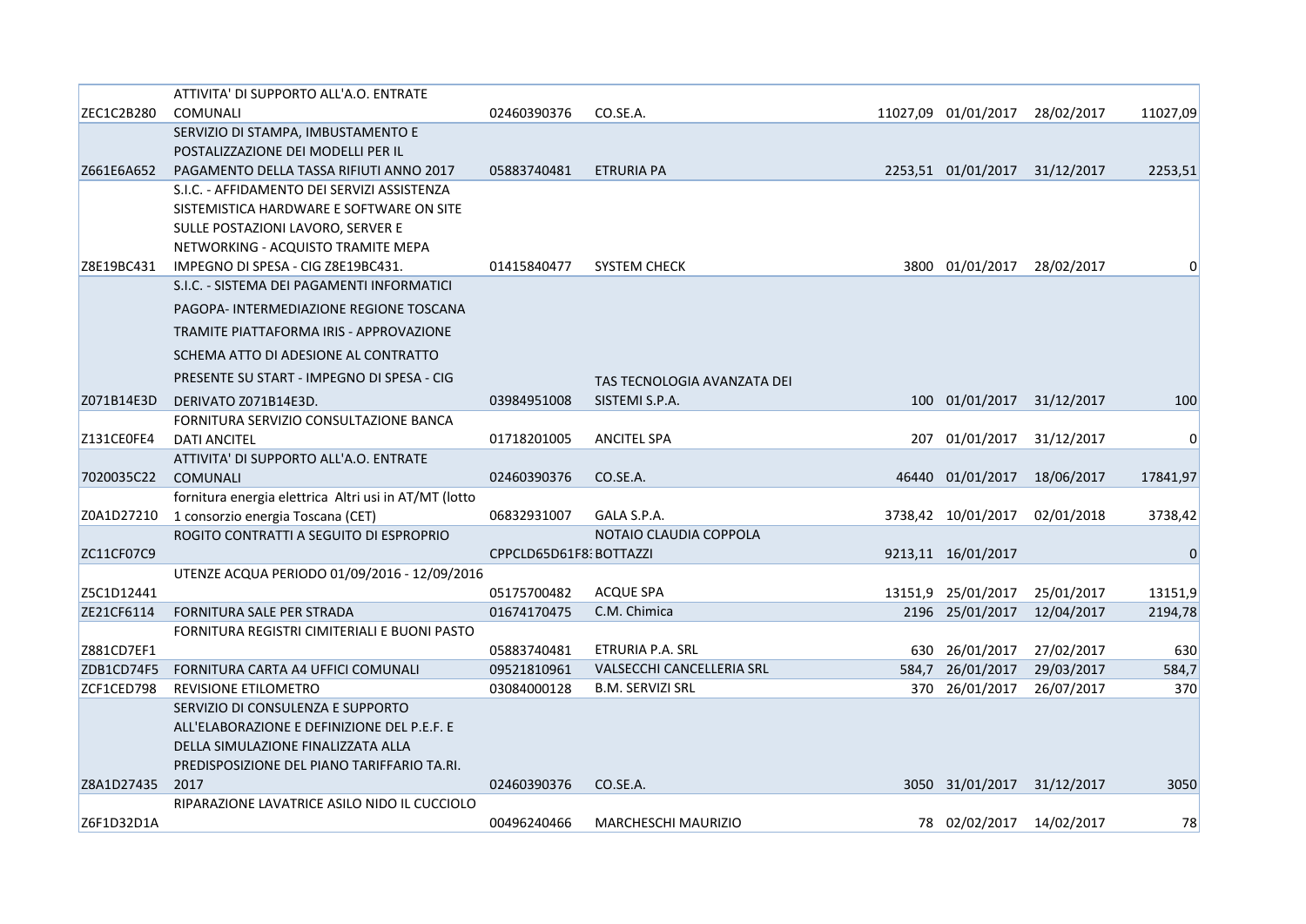|            | ATTIVITA' DI SUPPORTO ALL'A.O. ENTRATE                |                         |                             |       |                          |            |          |
|------------|-------------------------------------------------------|-------------------------|-----------------------------|-------|--------------------------|------------|----------|
| ZEC1C2B280 | COMUNALI                                              | 02460390376             | CO.SE.A.                    |       | 11027,09 01/01/2017      | 28/02/2017 | 11027,09 |
|            | SERVIZIO DI STAMPA, IMBUSTAMENTO E                    |                         |                             |       |                          |            |          |
|            | POSTALIZZAZIONE DEI MODELLI PER IL                    |                         |                             |       |                          |            |          |
| Z661E6A652 | PAGAMENTO DELLA TASSA RIFIUTI ANNO 2017               | 05883740481             | <b>ETRURIA PA</b>           |       | 2253,51 01/01/2017       | 31/12/2017 | 2253,51  |
|            | S.I.C. - AFFIDAMENTO DEI SERVIZI ASSISTENZA           |                         |                             |       |                          |            |          |
|            | SISTEMISTICA HARDWARE E SOFTWARE ON SITE              |                         |                             |       |                          |            |          |
|            | SULLE POSTAZIONI LAVORO, SERVER E                     |                         |                             |       |                          |            |          |
|            | NETWORKING - ACQUISTO TRAMITE MEPA                    |                         |                             |       |                          |            |          |
| Z8E19BC431 | IMPEGNO DI SPESA - CIG Z8E19BC431.                    | 01415840477             | <b>SYSTEM CHECK</b>         |       | 3800 01/01/2017          | 28/02/2017 |          |
|            | S.I.C. - SISTEMA DEI PAGAMENTI INFORMATICI            |                         |                             |       |                          |            |          |
|            | PAGOPA- INTERMEDIAZIONE REGIONE TOSCANA               |                         |                             |       |                          |            |          |
|            | TRAMITE PIATTAFORMA IRIS - APPROVAZIONE               |                         |                             |       |                          |            |          |
|            | SCHEMA ATTO DI ADESIONE AL CONTRATTO                  |                         |                             |       |                          |            |          |
|            | PRESENTE SU START - IMPEGNO DI SPESA - CIG            |                         | TAS TECNOLOGIA AVANZATA DEI |       |                          |            |          |
| Z071B14E3D | DERIVATO Z071B14E3D.                                  | 03984951008             | SISTEMI S.P.A.              |       | 100 01/01/2017           | 31/12/2017 | 100      |
|            | FORNITURA SERVIZIO CONSULTAZIONE BANCA                |                         |                             |       |                          |            |          |
| Z131CE0FE4 | <b>DATI ANCITEL</b>                                   | 01718201005             | <b>ANCITEL SPA</b>          | 207   | 01/01/2017               | 31/12/2017 | $\Omega$ |
|            | ATTIVITA' DI SUPPORTO ALL'A.O. ENTRATE                |                         |                             |       |                          |            |          |
| 7020035C22 | <b>COMUNALI</b>                                       | 02460390376             | CO.SE.A.                    |       | 46440 01/01/2017         | 18/06/2017 | 17841,97 |
|            | fornitura energia elettrica Altri usi in AT/MT (lotto |                         |                             |       |                          |            |          |
| Z0A1D27210 | 1 consorzio energia Toscana (CET)                     | 06832931007             | GALA S.P.A.                 |       | 3738,42 10/01/2017       | 02/01/2018 | 3738,42  |
|            | ROGITO CONTRATTI A SEGUITO DI ESPROPRIO               |                         | NOTAIO CLAUDIA COPPOLA      |       |                          |            |          |
| ZC11CF07C9 |                                                       | CPPCLD65D61F8: BOTTAZZI |                             |       | 9213,11 16/01/2017       |            | 0        |
|            | UTENZE ACQUA PERIODO 01/09/2016 - 12/09/2016          |                         |                             |       |                          |            |          |
| Z5C1D12441 |                                                       | 05175700482             | <b>ACQUE SPA</b>            |       | 13151,9 25/01/2017       | 25/01/2017 | 13151,9  |
| ZE21CF6114 | FORNITURA SALE PER STRADA                             | 01674170475             | C.M. Chimica                |       | 2196 25/01/2017          | 12/04/2017 | 2194,78  |
|            | FORNITURA REGISTRI CIMITERIALI E BUONI PASTO          |                         |                             |       |                          |            |          |
| Z881CD7EF1 |                                                       | 05883740481             | ETRURIA P.A. SRL            | 630   | 26/01/2017               | 27/02/2017 | 630      |
| ZDB1CD74F5 | FORNITURA CARTA A4 UFFICI COMUNALI                    | 09521810961             | VALSECCHI CANCELLERIA SRL   | 584,7 | 26/01/2017               | 29/03/2017 | 584,7    |
| ZCF1CED798 | <b>REVISIONE ETILOMETRO</b>                           | 03084000128             | <b>B.M. SERVIZI SRL</b>     |       | 370 26/01/2017           | 26/07/2017 | 370      |
|            | SERVIZIO DI CONSULENZA E SUPPORTO                     |                         |                             |       |                          |            |          |
|            | ALL'ELABORAZIONE E DEFINIZIONE DEL P.E.F. E           |                         |                             |       |                          |            |          |
|            | DELLA SIMULAZIONE FINALIZZATA ALLA                    |                         |                             |       |                          |            |          |
|            | PREDISPOSIZIONE DEL PIANO TARIFFARIO TA.RI.           |                         |                             |       |                          |            |          |
| Z8A1D27435 | 2017                                                  | 02460390376             | CO.SE.A.                    |       | 3050 31/01/2017          | 31/12/2017 | 3050     |
|            | RIPARAZIONE LAVATRICE ASILO NIDO IL CUCCIOLO          |                         |                             |       |                          |            |          |
| Z6F1D32D1A |                                                       | 00496240466             | <b>MARCHESCHI MAURIZIO</b>  |       | 78 02/02/2017 14/02/2017 |            | 78       |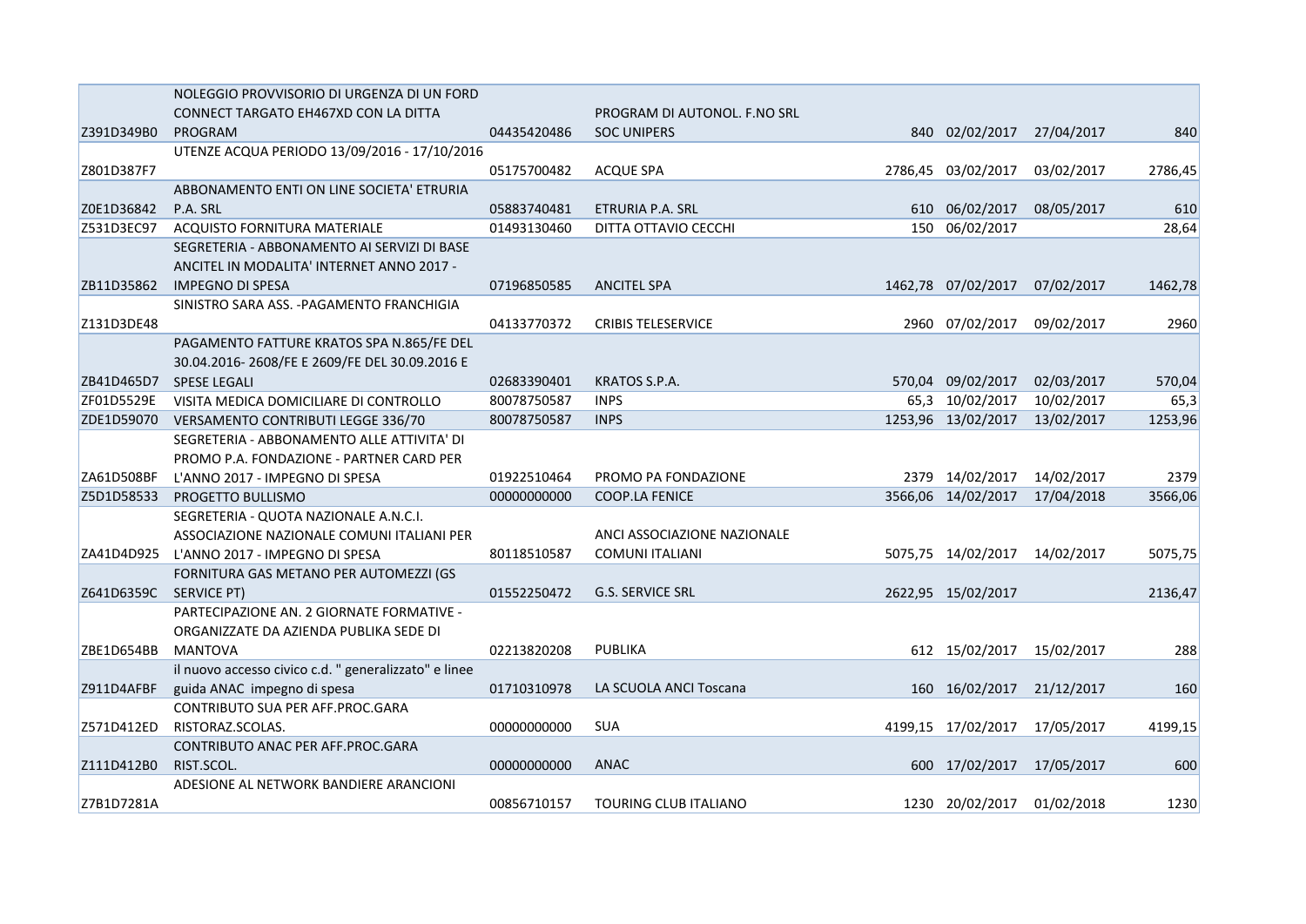|            | NOLEGGIO PROVVISORIO DI URGENZA DI UN FORD            |             |                              |      |                    |            |         |
|------------|-------------------------------------------------------|-------------|------------------------------|------|--------------------|------------|---------|
|            | CONNECT TARGATO EH467XD CON LA DITTA                  |             | PROGRAM DI AUTONOL. F.NO SRL |      |                    |            |         |
| Z391D349B0 | PROGRAM                                               | 04435420486 | <b>SOC UNIPERS</b>           |      | 840 02/02/2017     | 27/04/2017 | 840     |
|            | UTENZE ACQUA PERIODO 13/09/2016 - 17/10/2016          |             |                              |      |                    |            |         |
| Z801D387F7 |                                                       | 05175700482 | <b>ACQUE SPA</b>             |      | 2786,45 03/02/2017 | 03/02/2017 | 2786,45 |
|            | ABBONAMENTO ENTI ON LINE SOCIETA' ETRURIA             |             |                              |      |                    |            |         |
| Z0E1D36842 | P.A. SRL                                              | 05883740481 | ETRURIA P.A. SRL             |      | 610 06/02/2017     | 08/05/2017 | 610     |
| Z531D3EC97 | ACQUISTO FORNITURA MATERIALE                          | 01493130460 | DITTA OTTAVIO CECCHI         |      | 150 06/02/2017     |            | 28,64   |
|            | SEGRETERIA - ABBONAMENTO AI SERVIZI DI BASE           |             |                              |      |                    |            |         |
|            | ANCITEL IN MODALITA' INTERNET ANNO 2017 -             |             |                              |      |                    |            |         |
| ZB11D35862 | <b>IMPEGNO DI SPESA</b>                               | 07196850585 | <b>ANCITEL SPA</b>           |      | 1462,78 07/02/2017 | 07/02/2017 | 1462,78 |
|            | SINISTRO SARA ASS. - PAGAMENTO FRANCHIGIA             |             |                              |      |                    |            |         |
| Z131D3DE48 |                                                       | 04133770372 | <b>CRIBIS TELESERVICE</b>    | 2960 | 07/02/2017         | 09/02/2017 | 2960    |
|            | PAGAMENTO FATTURE KRATOS SPA N.865/FE DEL             |             |                              |      |                    |            |         |
|            | 30.04.2016-2608/FE E 2609/FE DEL 30.09.2016 E         |             |                              |      |                    |            |         |
| ZB41D465D7 | <b>SPESE LEGALI</b>                                   | 02683390401 | KRATOS S.P.A.                |      | 570,04 09/02/2017  | 02/03/2017 | 570,04  |
| ZF01D5529E | VISITA MEDICA DOMICILIARE DI CONTROLLO                | 80078750587 | <b>INPS</b>                  |      | 65,3 10/02/2017    | 10/02/2017 | 65,3    |
| ZDE1D59070 | VERSAMENTO CONTRIBUTI LEGGE 336/70                    | 80078750587 | <b>INPS</b>                  |      | 1253,96 13/02/2017 | 13/02/2017 | 1253,96 |
|            | SEGRETERIA - ABBONAMENTO ALLE ATTIVITA' DI            |             |                              |      |                    |            |         |
|            | PROMO P.A. FONDAZIONE - PARTNER CARD PER              |             |                              |      |                    |            |         |
| ZA61D508BF | L'ANNO 2017 - IMPEGNO DI SPESA                        | 01922510464 | PROMO PA FONDAZIONE          |      | 2379 14/02/2017    | 14/02/2017 | 2379    |
| Z5D1D58533 | PROGETTO BULLISMO                                     | 00000000000 | <b>COOP.LA FENICE</b>        |      | 3566,06 14/02/2017 | 17/04/2018 | 3566,06 |
|            | SEGRETERIA - QUOTA NAZIONALE A.N.C.I.                 |             |                              |      |                    |            |         |
|            | ASSOCIAZIONE NAZIONALE COMUNI ITALIANI PER            |             | ANCI ASSOCIAZIONE NAZIONALE  |      |                    |            |         |
| ZA41D4D925 | L'ANNO 2017 - IMPEGNO DI SPESA                        | 80118510587 | <b>COMUNI ITALIANI</b>       |      | 5075,75 14/02/2017 | 14/02/2017 | 5075,75 |
|            | FORNITURA GAS METANO PER AUTOMEZZI (GS                |             |                              |      |                    |            |         |
| Z641D6359C | SERVICE PT)                                           | 01552250472 | <b>G.S. SERVICE SRL</b>      |      | 2622,95 15/02/2017 |            | 2136,47 |
|            | PARTECIPAZIONE AN. 2 GIORNATE FORMATIVE -             |             |                              |      |                    |            |         |
|            | ORGANIZZATE DA AZIENDA PUBLIKA SEDE DI                |             |                              |      |                    |            |         |
| ZBE1D654BB | MANTOVA                                               | 02213820208 | PUBLIKA                      |      | 612 15/02/2017     | 15/02/2017 | 288     |
|            | il nuovo accesso civico c.d. " generalizzato" e linee |             |                              |      |                    |            |         |
| Z911D4AFBF | guida ANAC impegno di spesa                           | 01710310978 | LA SCUOLA ANCI Toscana       |      | 160 16/02/2017     | 21/12/2017 | 160     |
|            | CONTRIBUTO SUA PER AFF.PROC.GARA                      |             |                              |      |                    |            |         |
| Z571D412ED | RISTORAZ.SCOLAS.                                      | 00000000000 | <b>SUA</b>                   |      | 4199,15 17/02/2017 | 17/05/2017 | 4199,15 |
|            | CONTRIBUTO ANAC PER AFF.PROC.GARA                     |             |                              |      |                    |            |         |
| Z111D412B0 | RIST.SCOL.                                            | 00000000000 | ANAC                         | 600  | 17/02/2017         | 17/05/2017 | 600     |
|            | ADESIONE AL NETWORK BANDIERE ARANCIONI                |             |                              |      |                    |            |         |
| Z7B1D7281A |                                                       | 00856710157 | TOURING CLUB ITALIANO        |      | 1230 20/02/2017    | 01/02/2018 | 1230    |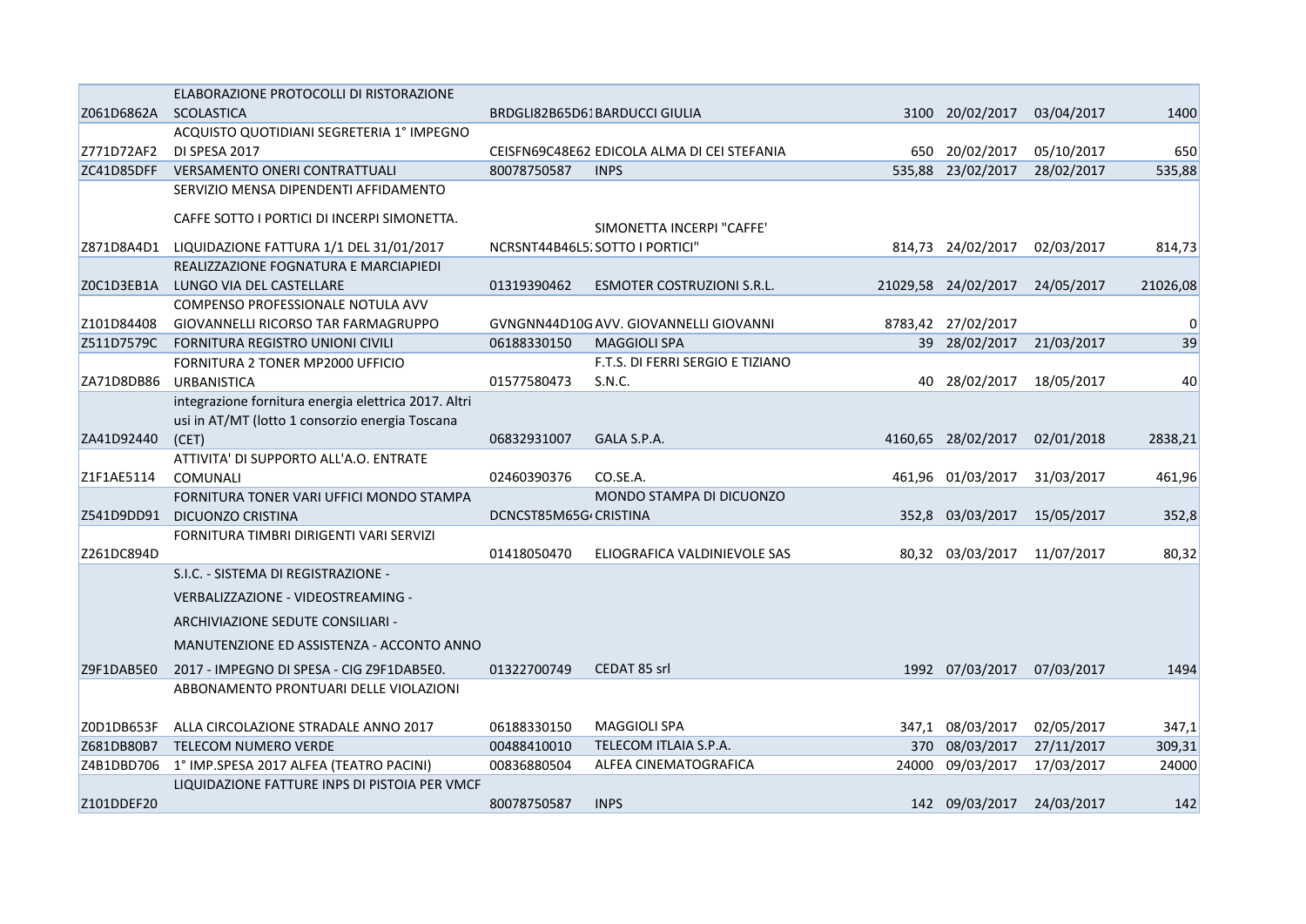|            | ELABORAZIONE PROTOCOLLI DI RISTORAZIONE              |                       |                                             |       |                     |            |          |
|------------|------------------------------------------------------|-----------------------|---------------------------------------------|-------|---------------------|------------|----------|
| Z061D6862A | <b>SCOLASTICA</b>                                    |                       | BRDGLI82B65D61BARDUCCI GIULIA               | 3100  | 20/02/2017          | 03/04/2017 | 1400     |
|            | ACQUISTO QUOTIDIANI SEGRETERIA 1° IMPEGNO            |                       |                                             |       |                     |            |          |
| Z771D72AF2 | DI SPESA 2017                                        |                       | CEISFN69C48E62 EDICOLA ALMA DI CEI STEFANIA |       | 650 20/02/2017      | 05/10/2017 | 650      |
| ZC41D85DFF | VERSAMENTO ONERI CONTRATTUALI                        | 80078750587           | <b>INPS</b>                                 |       | 535,88 23/02/2017   | 28/02/2017 | 535,88   |
|            | SERVIZIO MENSA DIPENDENTI AFFIDAMENTO                |                       |                                             |       |                     |            |          |
|            | CAFFE SOTTO I PORTICI DI INCERPI SIMONETTA.          |                       | SIMONETTA INCERPI "CAFFE"                   |       |                     |            |          |
| Z871D8A4D1 | LIQUIDAZIONE FATTURA 1/1 DEL 31/01/2017              |                       | NCRSNT44B46L5; SOTTO I PORTICI"             |       | 814,73 24/02/2017   | 02/03/2017 | 814,73   |
|            | REALIZZAZIONE FOGNATURA E MARCIAPIEDI                |                       |                                             |       |                     |            |          |
| ZOC1D3EB1A | LUNGO VIA DEL CASTELLARE                             | 01319390462           | ESMOTER COSTRUZIONI S.R.L.                  |       | 21029,58 24/02/2017 | 24/05/2017 | 21026,08 |
|            | COMPENSO PROFESSIONALE NOTULA AVV                    |                       |                                             |       |                     |            |          |
| Z101D84408 | GIOVANNELLI RICORSO TAR FARMAGRUPPO                  |                       | GVNGNN44D10GAVV. GIOVANNELLI GIOVANNI       |       | 8783,42 27/02/2017  |            | 0        |
| Z511D7579C | FORNITURA REGISTRO UNIONI CIVILI                     | 06188330150           | <b>MAGGIOLI SPA</b>                         |       | 39 28/02/2017       | 21/03/2017 | 39       |
|            | FORNITURA 2 TONER MP2000 UFFICIO                     |                       | F.T.S. DI FERRI SERGIO E TIZIANO            |       |                     |            |          |
| ZA71D8DB86 | <b>URBANISTICA</b>                                   | 01577580473           | S.N.C.                                      |       | 40 28/02/2017       | 18/05/2017 | 40       |
|            | integrazione fornitura energia elettrica 2017. Altri |                       |                                             |       |                     |            |          |
|            | usi in AT/MT (lotto 1 consorzio energia Toscana      |                       |                                             |       |                     |            |          |
| ZA41D92440 | (CET)                                                | 06832931007           | GALA S.P.A.                                 |       | 4160,65 28/02/2017  | 02/01/2018 | 2838,21  |
|            | ATTIVITA' DI SUPPORTO ALL'A.O. ENTRATE               |                       |                                             |       |                     |            |          |
| Z1F1AE5114 | COMUNALI                                             | 02460390376           | CO.SE.A.                                    |       | 461,96 01/03/2017   | 31/03/2017 | 461,96   |
|            | FORNITURA TONER VARI UFFICI MONDO STAMPA             |                       | MONDO STAMPA DI DICUONZO                    |       |                     |            |          |
| Z541D9DD91 | <b>DICUONZO CRISTINA</b>                             | DCNCST85M65G CRISTINA |                                             |       | 352,8 03/03/2017    | 15/05/2017 | 352,8    |
|            | FORNITURA TIMBRI DIRIGENTI VARI SERVIZI              |                       |                                             |       |                     |            |          |
| Z261DC894D |                                                      | 01418050470           | ELIOGRAFICA VALDINIEVOLE SAS                |       | 80,32 03/03/2017    | 11/07/2017 | 80,32    |
|            | S.I.C. - SISTEMA DI REGISTRAZIONE -                  |                       |                                             |       |                     |            |          |
|            | VERBALIZZAZIONE - VIDEOSTREAMING -                   |                       |                                             |       |                     |            |          |
|            | ARCHIVIAZIONE SEDUTE CONSILIARI -                    |                       |                                             |       |                     |            |          |
|            | MANUTENZIONE ED ASSISTENZA - ACCONTO ANNO            |                       |                                             |       |                     |            |          |
| Z9F1DAB5E0 | 2017 - IMPEGNO DI SPESA - CIG Z9F1DAB5E0.            | 01322700749           | CEDAT 85 srl                                |       | 1992 07/03/2017     | 07/03/2017 | 1494     |
|            | ABBONAMENTO PRONTUARI DELLE VIOLAZIONI               |                       |                                             |       |                     |            |          |
|            |                                                      |                       |                                             |       |                     |            |          |
| Z0D1DB653F | ALLA CIRCOLAZIONE STRADALE ANNO 2017                 | 06188330150           | <b>MAGGIOLI SPA</b>                         |       | 347,1 08/03/2017    | 02/05/2017 | 347,1    |
| Z681DB80B7 | <b>TELECOM NUMERO VERDE</b>                          | 00488410010           | TELECOM ITLAIA S.P.A.                       |       | 370 08/03/2017      | 27/11/2017 | 309,31   |
|            | Z4B1DBD706 1° IMP.SPESA 2017 ALFEA (TEATRO PACINI)   | 00836880504           | ALFEA CINEMATOGRAFICA                       | 24000 | 09/03/2017          | 17/03/2017 | 24000    |
|            | LIQUIDAZIONE FATTURE INPS DI PISTOIA PER VMCF        |                       |                                             |       |                     |            |          |
| Z101DDEF20 |                                                      | 80078750587           | <b>INPS</b>                                 |       | 142 09/03/2017      | 24/03/2017 | 142      |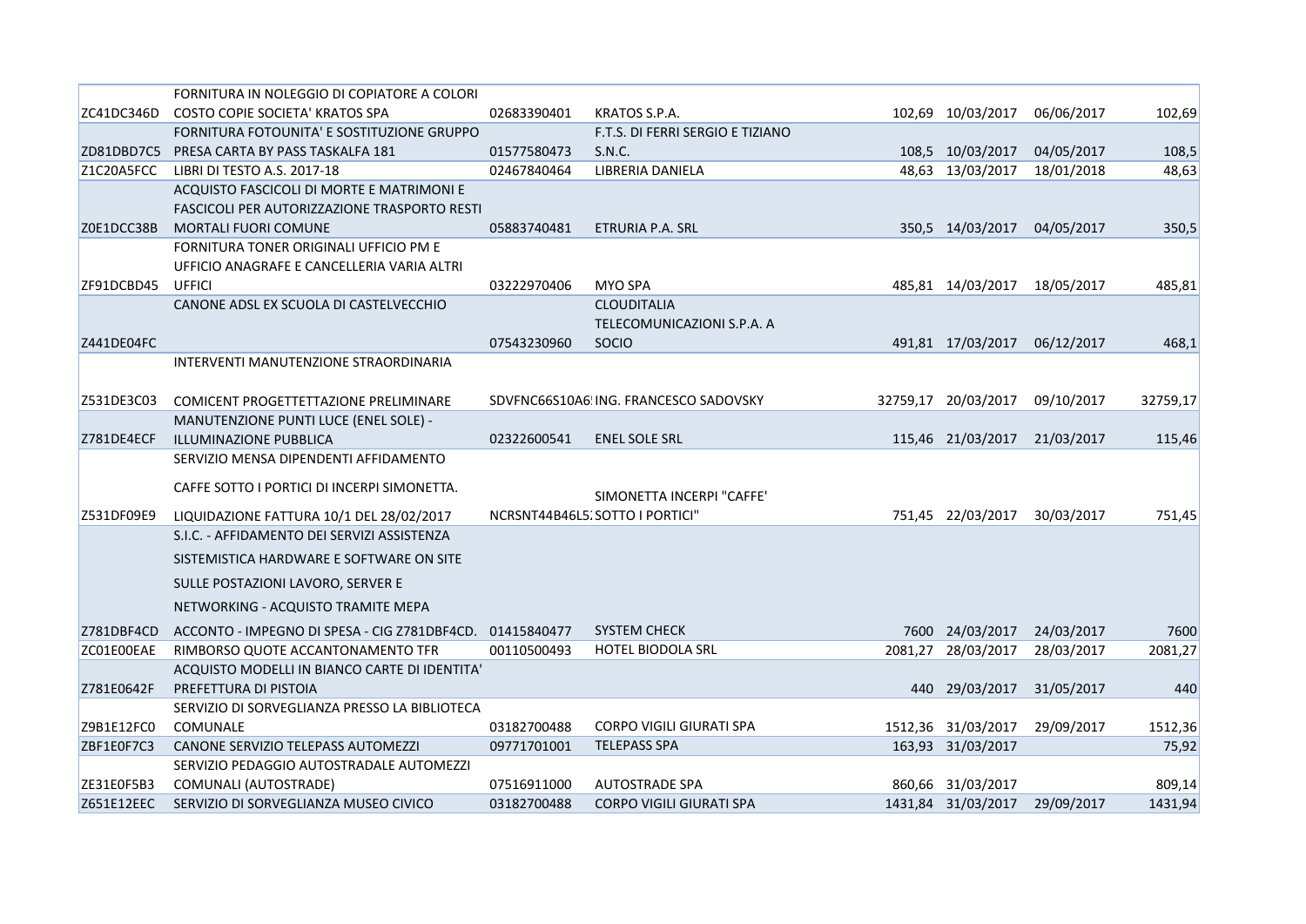|            | FORNITURA IN NOLEGGIO DI COPIATORE A COLORI              |             |                                       |         |                               |            |          |
|------------|----------------------------------------------------------|-------------|---------------------------------------|---------|-------------------------------|------------|----------|
| ZC41DC346D | COSTO COPIE SOCIETA' KRATOS SPA                          | 02683390401 | KRATOS S.P.A.                         |         | 102,69 10/03/2017             | 06/06/2017 | 102,69   |
|            | FORNITURA FOTOUNITA' E SOSTITUZIONE GRUPPO               |             | F.T.S. DI FERRI SERGIO E TIZIANO      |         |                               |            |          |
| ZD81DBD7C5 | PRESA CARTA BY PASS TASKALFA 181                         | 01577580473 | S.N.C.                                |         | 108,5 10/03/2017              | 04/05/2017 | 108,5    |
| Z1C20A5FCC | LIBRI DI TESTO A.S. 2017-18                              | 02467840464 | LIBRERIA DANIELA                      |         | 48,63 13/03/2017              | 18/01/2018 | 48,63    |
|            | ACQUISTO FASCICOLI DI MORTE E MATRIMONI E                |             |                                       |         |                               |            |          |
|            | FASCICOLI PER AUTORIZZAZIONE TRASPORTO RESTI             |             |                                       |         |                               |            |          |
| Z0E1DCC38B | <b>MORTALI FUORI COMUNE</b>                              | 05883740481 | ETRURIA P.A. SRL                      |         | 350,5 14/03/2017              | 04/05/2017 | 350,5    |
|            | FORNITURA TONER ORIGINALI UFFICIO PM E                   |             |                                       |         |                               |            |          |
|            | UFFICIO ANAGRAFE E CANCELLERIA VARIA ALTRI               |             |                                       |         |                               |            |          |
| ZF91DCBD45 | <b>UFFICI</b>                                            | 03222970406 | MYO SPA                               |         | 485,81 14/03/2017             | 18/05/2017 | 485,81   |
|            | CANONE ADSL EX SCUOLA DI CASTELVECCHIO                   |             | <b>CLOUDITALIA</b>                    |         |                               |            |          |
|            |                                                          |             | TELECOMUNICAZIONI S.P.A. A            |         |                               |            |          |
| Z441DE04FC |                                                          | 07543230960 | SOCIO                                 |         | 491,81 17/03/2017             | 06/12/2017 | 468,1    |
|            | INTERVENTI MANUTENZIONE STRAORDINARIA                    |             |                                       |         |                               |            |          |
|            |                                                          |             |                                       |         |                               |            |          |
| Z531DE3C03 | COMICENT PROGETTETTAZIONE PRELIMINARE                    |             | SDVFNC66S10A6 ING. FRANCESCO SADOVSKY |         | 32759,17 20/03/2017           | 09/10/2017 | 32759,17 |
|            | MANUTENZIONE PUNTI LUCE (ENEL SOLE) -                    |             |                                       |         |                               |            |          |
| Z781DE4ECF | ILLUMINAZIONE PUBBLICA                                   | 02322600541 | <b>ENEL SOLE SRL</b>                  |         | 115,46 21/03/2017             | 21/03/2017 | 115,46   |
|            | SERVIZIO MENSA DIPENDENTI AFFIDAMENTO                    |             |                                       |         |                               |            |          |
|            |                                                          |             |                                       |         |                               |            |          |
|            | CAFFE SOTTO I PORTICI DI INCERPI SIMONETTA.              |             | SIMONETTA INCERPI "CAFFE"             |         |                               |            |          |
| Z531DF09E9 | LIQUIDAZIONE FATTURA 10/1 DEL 28/02/2017                 |             | NCRSNT44B46L5, SOTTO I PORTICI"       |         | 751,45 22/03/2017             | 30/03/2017 | 751,45   |
|            | S.I.C. - AFFIDAMENTO DEI SERVIZI ASSISTENZA              |             |                                       |         |                               |            |          |
|            | SISTEMISTICA HARDWARE E SOFTWARE ON SITE                 |             |                                       |         |                               |            |          |
|            | SULLE POSTAZIONI LAVORO, SERVER E                        |             |                                       |         |                               |            |          |
|            | NETWORKING - ACQUISTO TRAMITE MEPA                       |             |                                       |         |                               |            |          |
|            |                                                          |             |                                       |         |                               |            |          |
| Z781DBF4CD | ACCONTO - IMPEGNO DI SPESA - CIG Z781DBF4CD. 01415840477 |             | <b>SYSTEM CHECK</b>                   |         | 7600 24/03/2017               | 24/03/2017 | 7600     |
| ZC01E00EAE | RIMBORSO QUOTE ACCANTONAMENTO TFR                        | 00110500493 | <b>HOTEL BIODOLA SRL</b>              | 2081,27 | 28/03/2017                    | 28/03/2017 | 2081,27  |
|            | ACQUISTO MODELLI IN BIANCO CARTE DI IDENTITA'            |             |                                       |         |                               |            |          |
| Z781E0642F | PREFETTURA DI PISTOIA                                    |             |                                       |         | 440 29/03/2017                | 31/05/2017 | 440      |
|            | SERVIZIO DI SORVEGLIANZA PRESSO LA BIBLIOTECA            |             |                                       |         |                               |            |          |
| Z9B1E12FC0 | COMUNALE                                                 | 03182700488 | <b>CORPO VIGILI GIURATI SPA</b>       |         | 1512,36 31/03/2017            | 29/09/2017 | 1512,36  |
| ZBF1E0F7C3 | CANONE SERVIZIO TELEPASS AUTOMEZZI                       | 09771701001 | <b>TELEPASS SPA</b>                   |         | 163,93 31/03/2017             |            | 75,92    |
|            | SERVIZIO PEDAGGIO AUTOSTRADALE AUTOMEZZI                 |             |                                       |         |                               |            |          |
| ZE31E0F5B3 | COMUNALI (AUTOSTRADE)                                    | 07516911000 | <b>AUTOSTRADE SPA</b>                 |         | 860,66 31/03/2017             |            | 809,14   |
| Z651E12EEC | SERVIZIO DI SORVEGLIANZA MUSEO CIVICO                    | 03182700488 | CORPO VIGILI GIURATI SPA              |         | 1431,84 31/03/2017 29/09/2017 |            | 1431,94  |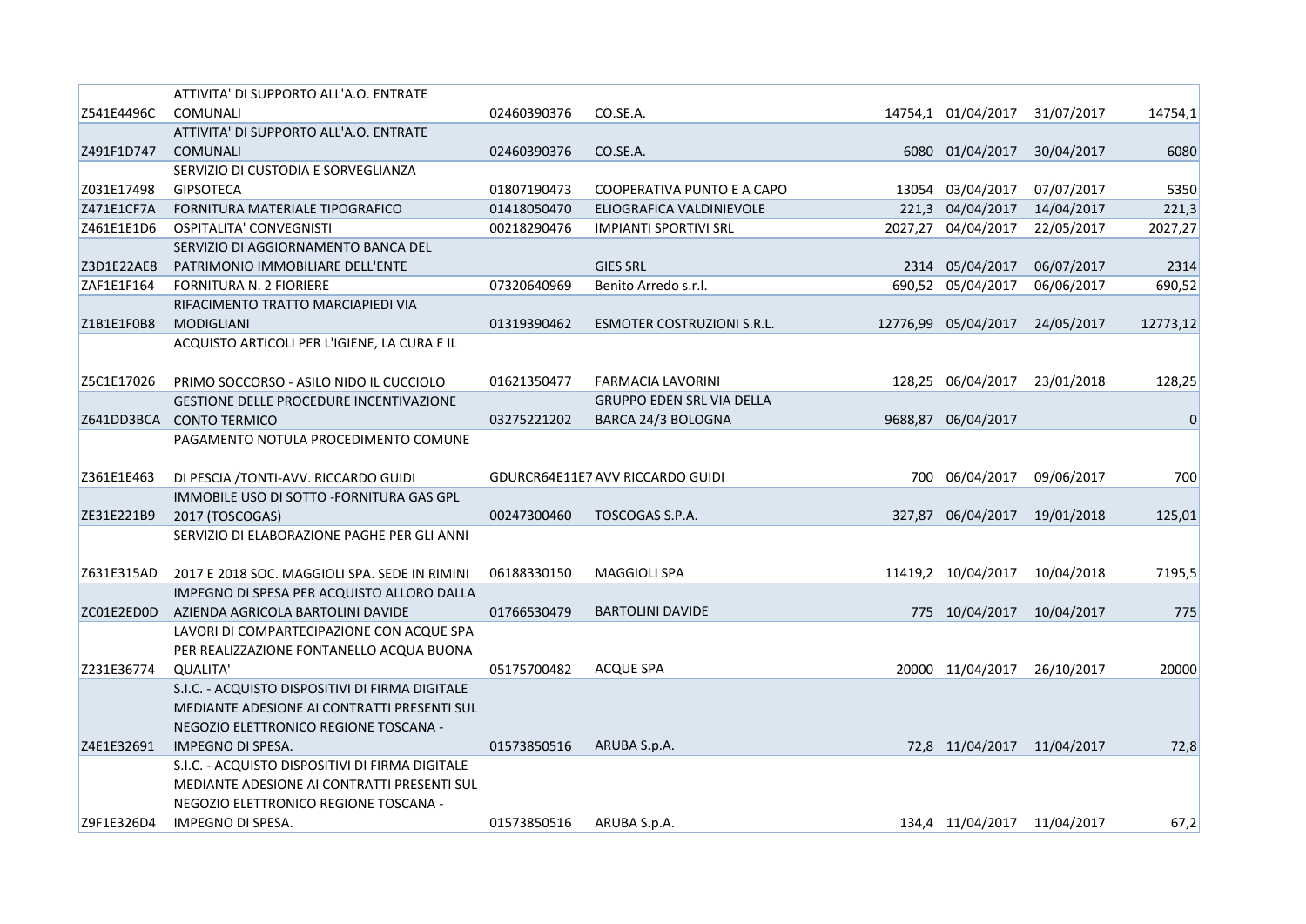|            | ATTIVITA' DI SUPPORTO ALL'A.O. ENTRATE          |             |                                  |      |                             |            |           |
|------------|-------------------------------------------------|-------------|----------------------------------|------|-----------------------------|------------|-----------|
| Z541E4496C | <b>COMUNALI</b>                                 | 02460390376 | CO.SE.A.                         |      | 14754,1 01/04/2017          | 31/07/2017 | 14754,1   |
|            | ATTIVITA' DI SUPPORTO ALL'A.O. ENTRATE          |             |                                  |      |                             |            |           |
| Z491F1D747 | <b>COMUNALI</b>                                 | 02460390376 | CO.SE.A.                         | 6080 | 01/04/2017                  | 30/04/2017 | 6080      |
|            | SERVIZIO DI CUSTODIA E SORVEGLIANZA             |             |                                  |      |                             |            |           |
| Z031E17498 | <b>GIPSOTECA</b>                                | 01807190473 | COOPERATIVA PUNTO E A CAPO       |      | 13054 03/04/2017            | 07/07/2017 | 5350      |
| Z471E1CF7A | FORNITURA MATERIALE TIPOGRAFICO                 | 01418050470 | ELIOGRAFICA VALDINIEVOLE         |      | 221,3 04/04/2017            | 14/04/2017 | 221,3     |
| Z461E1E1D6 | OSPITALITA' CONVEGNISTI                         | 00218290476 | <b>IMPIANTI SPORTIVI SRL</b>     |      | 2027,27 04/04/2017          | 22/05/2017 | 2027,27   |
|            | SERVIZIO DI AGGIORNAMENTO BANCA DEL             |             |                                  |      |                             |            |           |
| Z3D1E22AE8 | PATRIMONIO IMMOBILIARE DELL'ENTE                |             | <b>GIES SRL</b>                  |      | 2314 05/04/2017             | 06/07/2017 | 2314      |
| ZAF1E1F164 | <b>FORNITURA N. 2 FIORIERE</b>                  | 07320640969 | Benito Arredo s.r.l.             |      | 690,52 05/04/2017           | 06/06/2017 | 690,52    |
|            | RIFACIMENTO TRATTO MARCIAPIEDI VIA              |             |                                  |      |                             |            |           |
| Z1B1E1F0B8 | MODIGLIANI                                      | 01319390462 | ESMOTER COSTRUZIONI S.R.L.       |      | 12776,99 05/04/2017         | 24/05/2017 | 12773,12  |
|            | ACQUISTO ARTICOLI PER L'IGIENE, LA CURA E IL    |             |                                  |      |                             |            |           |
|            |                                                 |             |                                  |      |                             |            |           |
| Z5C1E17026 | PRIMO SOCCORSO - ASILO NIDO IL CUCCIOLO         | 01621350477 | FARMACIA LAVORINI                |      | 128,25 06/04/2017           | 23/01/2018 | 128,25    |
|            | <b>GESTIONE DELLE PROCEDURE INCENTIVAZIONE</b>  |             | <b>GRUPPO EDEN SRL VIA DELLA</b> |      |                             |            |           |
| Z641DD3BCA | <b>CONTO TERMICO</b>                            | 03275221202 | BARCA 24/3 BOLOGNA               |      | 9688,87 06/04/2017          |            | $\pmb{0}$ |
|            | PAGAMENTO NOTULA PROCEDIMENTO COMUNE            |             |                                  |      |                             |            |           |
|            |                                                 |             |                                  |      |                             |            |           |
| Z361E1E463 | DI PESCIA /TONTI-AVV. RICCARDO GUIDI            |             | GDURCR64E11E7 AVV RICCARDO GUIDI |      | 700 06/04/2017              | 09/06/2017 | 700       |
|            | IMMOBILE USO DI SOTTO -FORNITURA GAS GPL        |             |                                  |      |                             |            |           |
| ZE31E221B9 | 2017 (TOSCOGAS)                                 | 00247300460 | TOSCOGAS S.P.A.                  |      | 327,87 06/04/2017           | 19/01/2018 | 125,01    |
|            | SERVIZIO DI ELABORAZIONE PAGHE PER GLI ANNI     |             |                                  |      |                             |            |           |
|            |                                                 |             |                                  |      |                             |            |           |
| Z631E315AD | 2017 E 2018 SOC. MAGGIOLI SPA. SEDE IN RIMINI   | 06188330150 | <b>MAGGIOLI SPA</b>              |      | 11419,2 10/04/2017          | 10/04/2018 | 7195,5    |
|            | IMPEGNO DI SPESA PER ACQUISTO ALLORO DALLA      |             |                                  |      |                             |            |           |
| ZC01E2ED0D | AZIENDA AGRICOLA BARTOLINI DAVIDE               | 01766530479 | <b>BARTOLINI DAVIDE</b>          |      | 775 10/04/2017              | 10/04/2017 | 775       |
|            | LAVORI DI COMPARTECIPAZIONE CON ACQUE SPA       |             |                                  |      |                             |            |           |
|            | PER REALIZZAZIONE FONTANELLO ACQUA BUONA        |             |                                  |      |                             |            |           |
| Z231E36774 | <b>QUALITA'</b>                                 | 05175700482 | <b>ACQUE SPA</b>                 |      | 20000 11/04/2017            | 26/10/2017 | 20000     |
|            | S.I.C. - ACQUISTO DISPOSITIVI DI FIRMA DIGITALE |             |                                  |      |                             |            |           |
|            | MEDIANTE ADESIONE AI CONTRATTI PRESENTI SUL     |             |                                  |      |                             |            |           |
|            | NEGOZIO ELETTRONICO REGIONE TOSCANA -           |             |                                  |      |                             |            |           |
| Z4E1E32691 | IMPEGNO DI SPESA.                               | 01573850516 | ARUBA S.p.A.                     |      | 72,8 11/04/2017 11/04/2017  |            | 72,8      |
|            | S.I.C. - ACQUISTO DISPOSITIVI DI FIRMA DIGITALE |             |                                  |      |                             |            |           |
|            | MEDIANTE ADESIONE AI CONTRATTI PRESENTI SUL     |             |                                  |      |                             |            |           |
|            | NEGOZIO ELETTRONICO REGIONE TOSCANA -           |             |                                  |      |                             |            |           |
| Z9F1E326D4 | IMPEGNO DI SPESA.                               | 01573850516 | ARUBA S.p.A.                     |      | 134,4 11/04/2017 11/04/2017 |            | 67,2      |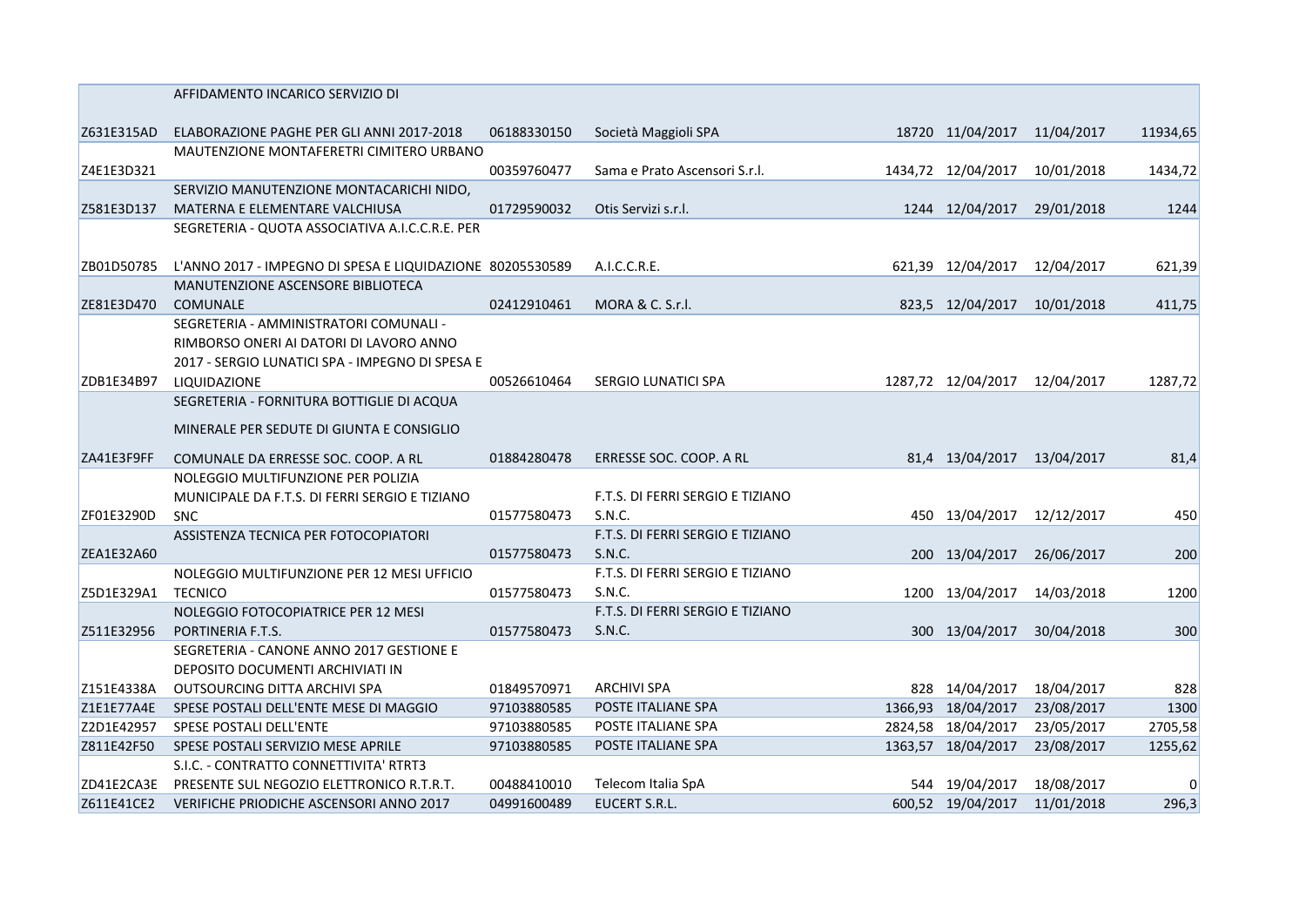|            | AFFIDAMENTO INCARICO SERVIZIO DI                          |             |                                  |                    |            |          |
|------------|-----------------------------------------------------------|-------------|----------------------------------|--------------------|------------|----------|
| Z631E315AD | ELABORAZIONE PAGHE PER GLI ANNI 2017-2018                 | 06188330150 | Società Maggioli SPA             | 18720 11/04/2017   | 11/04/2017 | 11934,65 |
|            | MAUTENZIONE MONTAFERETRI CIMITERO URBANO                  |             |                                  |                    |            |          |
| Z4E1E3D321 |                                                           | 00359760477 | Sama e Prato Ascensori S.r.l.    | 1434,72 12/04/2017 | 10/01/2018 | 1434,72  |
|            | SERVIZIO MANUTENZIONE MONTACARICHI NIDO,                  |             |                                  |                    |            |          |
| Z581E3D137 | MATERNA E ELEMENTARE VALCHIUSA                            | 01729590032 | Otis Servizi s.r.l.              | 1244 12/04/2017    | 29/01/2018 | 1244     |
|            | SEGRETERIA - QUOTA ASSOCIATIVA A.I.C.C.R.E. PER           |             |                                  |                    |            |          |
| ZB01D50785 | L'ANNO 2017 - IMPEGNO DI SPESA E LIQUIDAZIONE 80205530589 |             | A.I.C.C.R.E.                     | 621,39 12/04/2017  | 12/04/2017 | 621,39   |
|            | MANUTENZIONE ASCENSORE BIBLIOTECA                         |             |                                  |                    |            |          |
| ZE81E3D470 | <b>COMUNALE</b>                                           | 02412910461 | MORA & C. S.r.l.                 | 823,5 12/04/2017   | 10/01/2018 | 411,75   |
|            | SEGRETERIA - AMMINISTRATORI COMUNALI -                    |             |                                  |                    |            |          |
|            | RIMBORSO ONERI AI DATORI DI LAVORO ANNO                   |             |                                  |                    |            |          |
|            | 2017 - SERGIO LUNATICI SPA - IMPEGNO DI SPESA E           |             |                                  |                    |            |          |
| ZDB1E34B97 | LIQUIDAZIONE                                              | 00526610464 | SERGIO LUNATICI SPA              | 1287,72 12/04/2017 | 12/04/2017 | 1287,72  |
|            | SEGRETERIA - FORNITURA BOTTIGLIE DI ACQUA                 |             |                                  |                    |            |          |
|            | MINERALE PER SEDUTE DI GIUNTA E CONSIGLIO                 |             |                                  |                    |            |          |
| ZA41E3F9FF | COMUNALE DA ERRESSE SOC. COOP. A RL                       | 01884280478 | ERRESSE SOC. COOP. A RL          | 81,4 13/04/2017    | 13/04/2017 | 81,4     |
|            | NOLEGGIO MULTIFUNZIONE PER POLIZIA                        |             |                                  |                    |            |          |
|            | MUNICIPALE DA F.T.S. DI FERRI SERGIO E TIZIANO            |             | F.T.S. DI FERRI SERGIO E TIZIANO |                    |            |          |
| ZF01E3290D | <b>SNC</b>                                                | 01577580473 | S.N.C.                           | 450 13/04/2017     | 12/12/2017 | 450      |
|            | ASSISTENZA TECNICA PER FOTOCOPIATORI                      |             | F.T.S. DI FERRI SERGIO E TIZIANO |                    |            |          |
| ZEA1E32A60 |                                                           | 01577580473 | <b>S.N.C.</b>                    | 200 13/04/2017     | 26/06/2017 | 200      |
|            | NOLEGGIO MULTIFUNZIONE PER 12 MESI UFFICIO                |             | F.T.S. DI FERRI SERGIO E TIZIANO |                    |            |          |
| Z5D1E329A1 | <b>TECNICO</b>                                            | 01577580473 | S.N.C.                           | 1200 13/04/2017    | 14/03/2018 | 1200     |
|            | NOLEGGIO FOTOCOPIATRICE PER 12 MESI                       |             | F.T.S. DI FERRI SERGIO E TIZIANO |                    |            |          |
| Z511E32956 | PORTINERIA F.T.S.                                         | 01577580473 | S.N.C.                           | 300 13/04/2017     | 30/04/2018 | 300      |
|            | SEGRETERIA - CANONE ANNO 2017 GESTIONE E                  |             |                                  |                    |            |          |
|            | DEPOSITO DOCUMENTI ARCHIVIATI IN                          |             |                                  |                    |            |          |
| Z151E4338A | OUTSOURCING DITTA ARCHIVI SPA                             | 01849570971 | <b>ARCHIVI SPA</b>               | 828 14/04/2017     | 18/04/2017 | 828      |
| Z1E1E77A4E | SPESE POSTALI DELL'ENTE MESE DI MAGGIO                    | 97103880585 | POSTE ITALIANE SPA               | 1366,93 18/04/2017 | 23/08/2017 | 1300     |
| Z2D1E42957 | SPESE POSTALI DELL'ENTE                                   | 97103880585 | POSTE ITALIANE SPA               | 2824,58 18/04/2017 | 23/05/2017 | 2705,58  |
| Z811E42F50 | SPESE POSTALI SERVIZIO MESE APRILE                        | 97103880585 | POSTE ITALIANE SPA               | 1363,57 18/04/2017 | 23/08/2017 | 1255,62  |
|            | S.I.C. - CONTRATTO CONNETTIVITA' RTRT3                    |             |                                  |                    |            |          |
| ZD41E2CA3E | PRESENTE SUL NEGOZIO ELETTRONICO R.T.R.T.                 | 00488410010 | Telecom Italia SpA               | 544 19/04/2017     | 18/08/2017 | 0        |
| Z611E41CE2 | VERIFICHE PRIODICHE ASCENSORI ANNO 2017                   | 04991600489 | <b>EUCERT S.R.L.</b>             | 600,52 19/04/2017  | 11/01/2018 | 296,3    |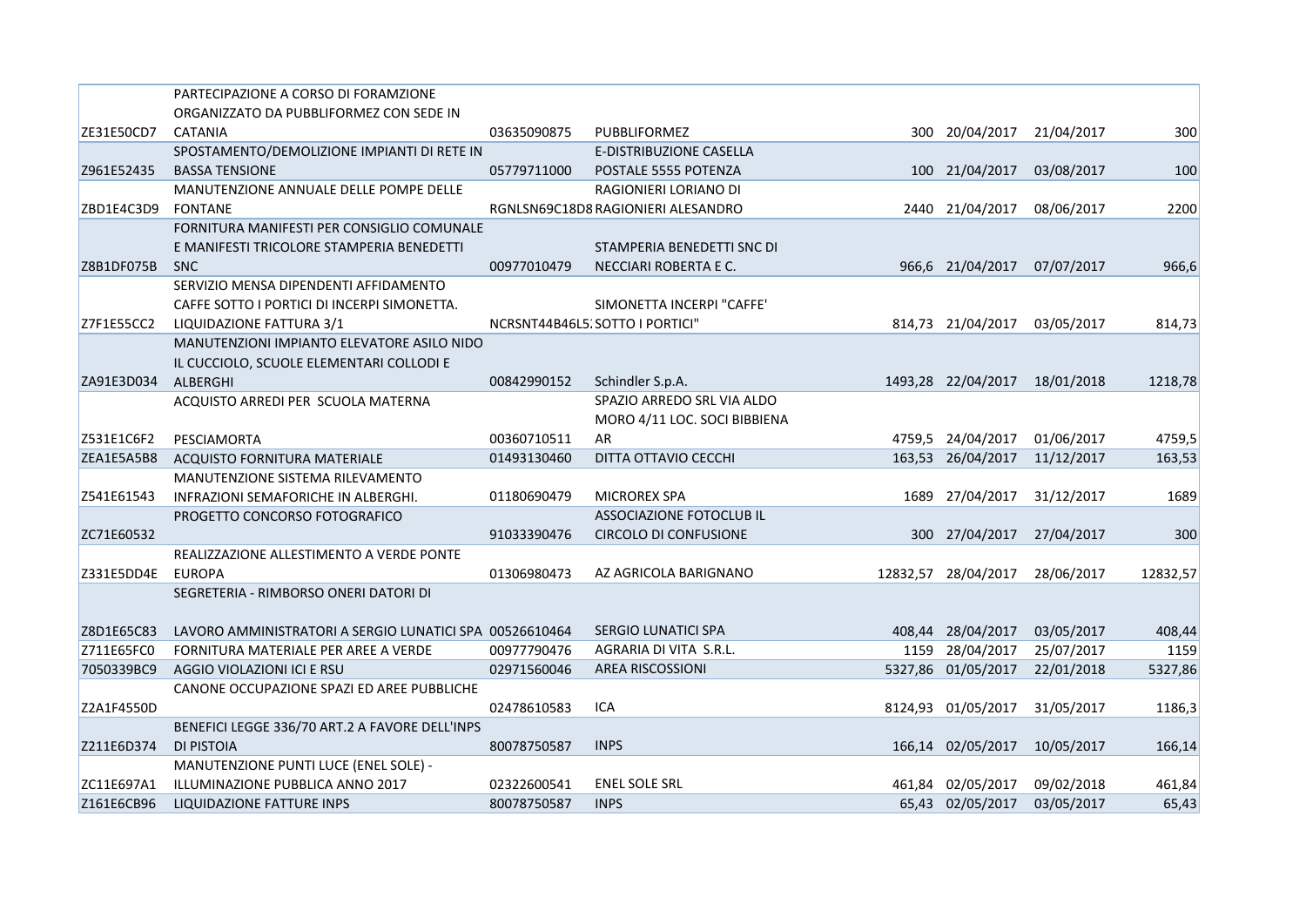|            | PARTECIPAZIONE A CORSO DI FORAMZIONE                    |             |                                    |         |                     |            |          |
|------------|---------------------------------------------------------|-------------|------------------------------------|---------|---------------------|------------|----------|
|            | ORGANIZZATO DA PUBBLIFORMEZ CON SEDE IN                 |             |                                    |         |                     |            |          |
| ZE31E50CD7 | <b>CATANIA</b>                                          | 03635090875 | PUBBLIFORMEZ                       |         | 300 20/04/2017      | 21/04/2017 | 300      |
|            | SPOSTAMENTO/DEMOLIZIONE IMPIANTI DI RETE IN             |             | E-DISTRIBUZIONE CASELLA            |         |                     |            |          |
| Z961E52435 | <b>BASSA TENSIONE</b>                                   | 05779711000 | POSTALE 5555 POTENZA               |         | 100 21/04/2017      | 03/08/2017 | 100      |
|            | MANUTENZIONE ANNUALE DELLE POMPE DELLE                  |             | RAGIONIERI LORIANO DI              |         |                     |            |          |
| ZBD1E4C3D9 | <b>FONTANE</b>                                          |             | RGNLSN69C18D8 RAGIONIERI ALESANDRO |         | 2440 21/04/2017     | 08/06/2017 | 2200     |
|            | FORNITURA MANIFESTI PER CONSIGLIO COMUNALE              |             |                                    |         |                     |            |          |
|            | E MANIFESTI TRICOLORE STAMPERIA BENEDETTI               |             | STAMPERIA BENEDETTI SNC DI         |         |                     |            |          |
| Z8B1DF075B | <b>SNC</b>                                              | 00977010479 | NECCIARI ROBERTA E C.              |         | 966,6 21/04/2017    | 07/07/2017 | 966,6    |
|            | SERVIZIO MENSA DIPENDENTI AFFIDAMENTO                   |             |                                    |         |                     |            |          |
|            | CAFFE SOTTO I PORTICI DI INCERPI SIMONETTA.             |             | SIMONETTA INCERPI "CAFFE"          |         |                     |            |          |
| Z7F1E55CC2 | LIQUIDAZIONE FATTURA 3/1                                |             | NCRSNT44B46L5. SOTTO I PORTICI"    |         | 814,73 21/04/2017   | 03/05/2017 | 814,73   |
|            | MANUTENZIONI IMPIANTO ELEVATORE ASILO NIDO              |             |                                    |         |                     |            |          |
|            | IL CUCCIOLO, SCUOLE ELEMENTARI COLLODI E                |             |                                    |         |                     |            |          |
| ZA91E3D034 | ALBERGHI                                                | 00842990152 | Schindler S.p.A.                   |         | 1493,28 22/04/2017  | 18/01/2018 | 1218,78  |
|            | ACQUISTO ARREDI PER SCUOLA MATERNA                      |             | SPAZIO ARREDO SRL VIA ALDO         |         |                     |            |          |
|            |                                                         |             | MORO 4/11 LOC. SOCI BIBBIENA       |         |                     |            |          |
| Z531E1C6F2 | PESCIAMORTA                                             | 00360710511 | AR                                 |         | 4759,5 24/04/2017   | 01/06/2017 | 4759,5   |
| ZEA1E5A5B8 | ACQUISTO FORNITURA MATERIALE                            | 01493130460 | DITTA OTTAVIO CECCHI               |         | 163,53 26/04/2017   | 11/12/2017 | 163,53   |
|            | MANUTENZIONE SISTEMA RILEVAMENTO                        |             |                                    |         |                     |            |          |
| Z541E61543 | INFRAZIONI SEMAFORICHE IN ALBERGHI.                     | 01180690479 | <b>MICROREX SPA</b>                | 1689    | 27/04/2017          | 31/12/2017 | 1689     |
|            | PROGETTO CONCORSO FOTOGRAFICO                           |             | ASSOCIAZIONE FOTOCLUB IL           |         |                     |            |          |
| ZC71E60532 |                                                         | 91033390476 | <b>CIRCOLO DI CONFUSIONE</b>       |         | 300 27/04/2017      | 27/04/2017 | 300      |
|            | REALIZZAZIONE ALLESTIMENTO A VERDE PONTE                |             |                                    |         |                     |            |          |
| Z331E5DD4E | <b>EUROPA</b>                                           | 01306980473 | AZ AGRICOLA BARIGNANO              |         | 12832,57 28/04/2017 | 28/06/2017 | 12832,57 |
|            | SEGRETERIA - RIMBORSO ONERI DATORI DI                   |             |                                    |         |                     |            |          |
|            |                                                         |             |                                    |         |                     |            |          |
| Z8D1E65C83 | LAVORO AMMINISTRATORI A SERGIO LUNATICI SPA 00526610464 |             | SERGIO LUNATICI SPA                |         | 408,44 28/04/2017   | 03/05/2017 | 408,44   |
| Z711E65FC0 | FORNITURA MATERIALE PER AREE A VERDE                    | 00977790476 | AGRARIA DI VITA S.R.L.             |         | 1159 28/04/2017     | 25/07/2017 | 1159     |
| 7050339BC9 | AGGIO VIOLAZIONI ICI E RSU                              | 02971560046 | <b>AREA RISCOSSIONI</b>            | 5327,86 | 01/05/2017          | 22/01/2018 | 5327,86  |
|            | CANONE OCCUPAZIONE SPAZI ED AREE PUBBLICHE              |             |                                    |         |                     |            |          |
| Z2A1F4550D |                                                         | 02478610583 | ICA                                |         | 8124,93 01/05/2017  | 31/05/2017 | 1186,3   |
|            | BENEFICI LEGGE 336/70 ART.2 A FAVORE DELL'INPS          |             |                                    |         |                     |            |          |
| Z211E6D374 | DI PISTOIA                                              | 80078750587 | <b>INPS</b>                        |         | 166,14 02/05/2017   | 10/05/2017 | 166,14   |
|            | MANUTENZIONE PUNTI LUCE (ENEL SOLE) -                   |             |                                    |         |                     |            |          |
| ZC11E697A1 | ILLUMINAZIONE PUBBLICA ANNO 2017                        | 02322600541 | <b>ENEL SOLE SRL</b>               |         | 461,84 02/05/2017   | 09/02/2018 | 461,84   |
| Z161E6CB96 | LIQUIDAZIONE FATTURE INPS                               | 80078750587 | <b>INPS</b>                        |         | 65,43 02/05/2017    | 03/05/2017 | 65,43    |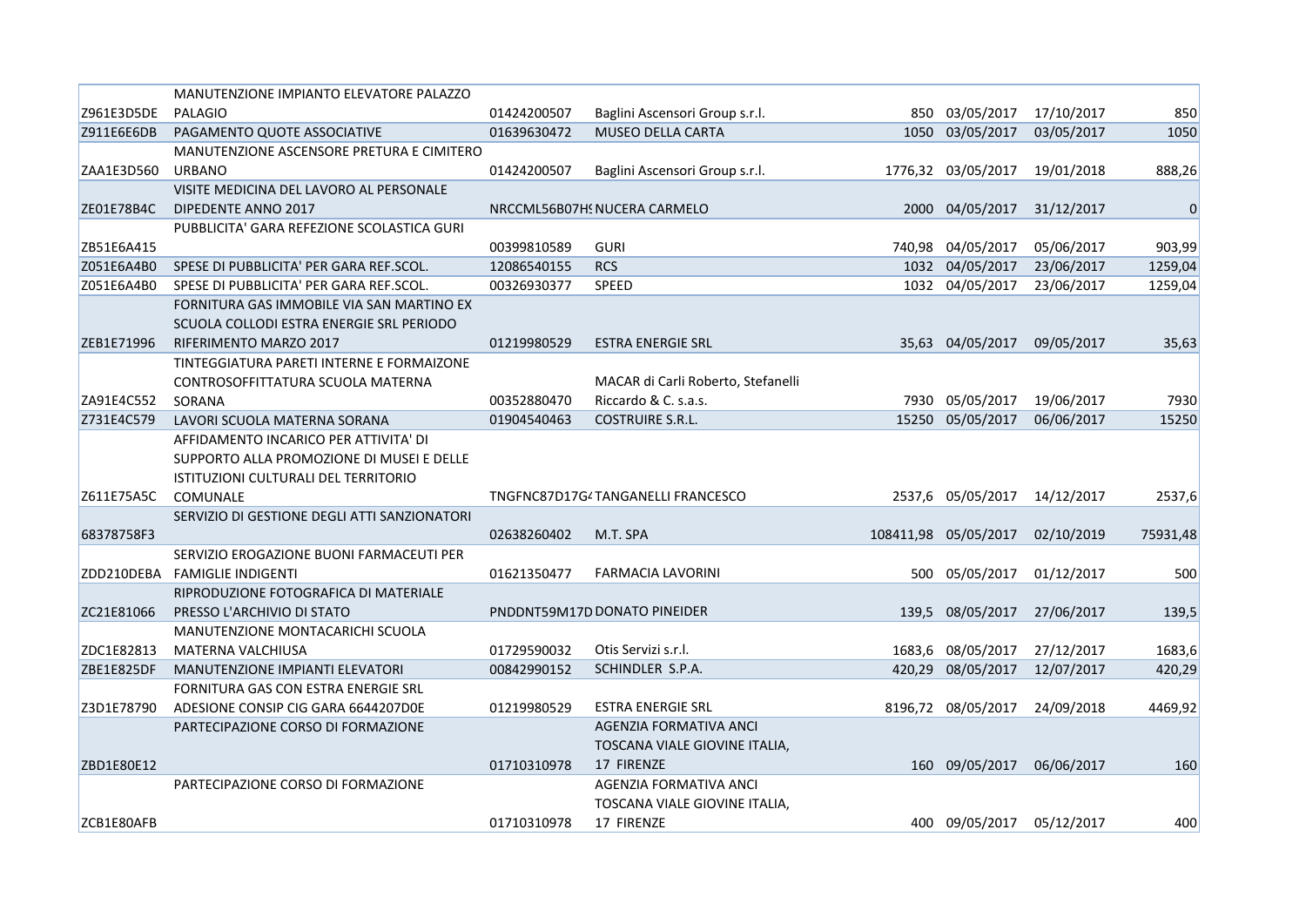|            | MANUTENZIONE IMPIANTO ELEVATORE PALAZZO      |             |                                    |        |                      |            |             |
|------------|----------------------------------------------|-------------|------------------------------------|--------|----------------------|------------|-------------|
| Z961E3D5DE | <b>PALAGIO</b>                               | 01424200507 | Baglini Ascensori Group s.r.l.     |        | 850 03/05/2017       | 17/10/2017 | 850         |
| Z911E6E6DB | PAGAMENTO QUOTE ASSOCIATIVE                  | 01639630472 | <b>MUSEO DELLA CARTA</b>           | 1050   | 03/05/2017           | 03/05/2017 | 1050        |
|            | MANUTENZIONE ASCENSORE PRETURA E CIMITERO    |             |                                    |        |                      |            |             |
| ZAA1E3D560 | <b>URBANO</b>                                | 01424200507 | Baglini Ascensori Group s.r.l.     |        | 1776,32 03/05/2017   | 19/01/2018 | 888,26      |
|            | VISITE MEDICINA DEL LAVORO AL PERSONALE      |             |                                    |        |                      |            |             |
| ZE01E78B4C | DIPEDENTE ANNO 2017                          |             | NRCCML56B07HS NUCERA CARMELO       | 2000   | 04/05/2017           | 31/12/2017 | $\mathbf 0$ |
|            | PUBBLICITA' GARA REFEZIONE SCOLASTICA GURI   |             |                                    |        |                      |            |             |
| ZB51E6A415 |                                              | 00399810589 | <b>GURI</b>                        |        | 740,98 04/05/2017    | 05/06/2017 | 903,99      |
| Z051E6A4B0 | SPESE DI PUBBLICITA' PER GARA REF.SCOL.      | 12086540155 | <b>RCS</b>                         |        | 1032 04/05/2017      | 23/06/2017 | 1259,04     |
| Z051E6A4B0 | SPESE DI PUBBLICITA' PER GARA REF.SCOL.      | 00326930377 | SPEED                              |        | 1032 04/05/2017      | 23/06/2017 | 1259,04     |
|            | FORNITURA GAS IMMOBILE VIA SAN MARTINO EX    |             |                                    |        |                      |            |             |
|            | SCUOLA COLLODI ESTRA ENERGIE SRL PERIODO     |             |                                    |        |                      |            |             |
| ZEB1E71996 | RIFERIMENTO MARZO 2017                       | 01219980529 | <b>ESTRA ENERGIE SRL</b>           |        | 35,63 04/05/2017     | 09/05/2017 | 35,63       |
|            | TINTEGGIATURA PARETI INTERNE E FORMAIZONE    |             |                                    |        |                      |            |             |
|            | CONTROSOFFITTATURA SCUOLA MATERNA            |             | MACAR di Carli Roberto, Stefanelli |        |                      |            |             |
| ZA91E4C552 | SORANA                                       | 00352880470 | Riccardo & C. s.a.s.               |        | 7930 05/05/2017      | 19/06/2017 | 7930        |
| Z731E4C579 | LAVORI SCUOLA MATERNA SORANA                 | 01904540463 | <b>COSTRUIRE S.R.L.</b>            | 15250  | 05/05/2017           | 06/06/2017 | 15250       |
|            | AFFIDAMENTO INCARICO PER ATTIVITA' DI        |             |                                    |        |                      |            |             |
|            | SUPPORTO ALLA PROMOZIONE DI MUSEI E DELLE    |             |                                    |        |                      |            |             |
|            | ISTITUZIONI CULTURALI DEL TERRITORIO         |             |                                    |        |                      |            |             |
| Z611E75A5C | <b>COMUNALE</b>                              |             | TNGFNC87D17G4TANGANELLI FRANCESCO  |        | 2537,6 05/05/2017    | 14/12/2017 | 2537,6      |
|            | SERVIZIO DI GESTIONE DEGLI ATTI SANZIONATORI |             |                                    |        |                      |            |             |
| 68378758F3 |                                              | 02638260402 | M.T. SPA                           |        | 108411,98 05/05/2017 | 02/10/2019 | 75931,48    |
|            | SERVIZIO EROGAZIONE BUONI FARMACEUTI PER     |             |                                    |        |                      |            |             |
|            | ZDD210DEBA FAMIGLIE INDIGENTI                | 01621350477 | <b>FARMACIA LAVORINI</b>           | 500    | 05/05/2017           | 01/12/2017 | 500         |
|            | RIPRODUZIONE FOTOGRAFICA DI MATERIALE        |             |                                    |        |                      |            |             |
| ZC21E81066 | PRESSO L'ARCHIVIO DI STATO                   |             | PNDDNT59M17D DONATO PINEIDER       | 139,5  | 08/05/2017           | 27/06/2017 | 139,5       |
|            | <b>MANUTENZIONE MONTACARICHI SCUOLA</b>      |             |                                    |        |                      |            |             |
| ZDC1E82813 | <b>MATERNA VALCHIUSA</b>                     | 01729590032 | Otis Servizi s.r.l.                | 1683,6 | 08/05/2017           | 27/12/2017 | 1683,6      |
| ZBE1E825DF | MANUTENZIONE IMPIANTI ELEVATORI              | 00842990152 | SCHINDLER S.P.A.                   | 420,29 | 08/05/2017           | 12/07/2017 | 420,29      |
|            | FORNITURA GAS CON ESTRA ENERGIE SRL          |             |                                    |        |                      |            |             |
| Z3D1E78790 | ADESIONE CONSIP CIG GARA 6644207D0E          | 01219980529 | <b>ESTRA ENERGIE SRL</b>           |        | 8196,72 08/05/2017   | 24/09/2018 | 4469,92     |
|            | PARTECIPAZIONE CORSO DI FORMAZIONE           |             | AGENZIA FORMATIVA ANCI             |        |                      |            |             |
|            |                                              |             | TOSCANA VIALE GIOVINE ITALIA,      |        |                      |            |             |
| ZBD1E80E12 |                                              | 01710310978 | 17 FIRENZE                         |        | 160 09/05/2017       | 06/06/2017 | 160         |
|            | PARTECIPAZIONE CORSO DI FORMAZIONE           |             | AGENZIA FORMATIVA ANCI             |        |                      |            |             |
|            |                                              |             | TOSCANA VIALE GIOVINE ITALIA,      |        |                      |            |             |
| ZCB1E80AFB |                                              | 01710310978 | 17 FIRENZE                         |        | 400 09/05/2017       | 05/12/2017 | 400         |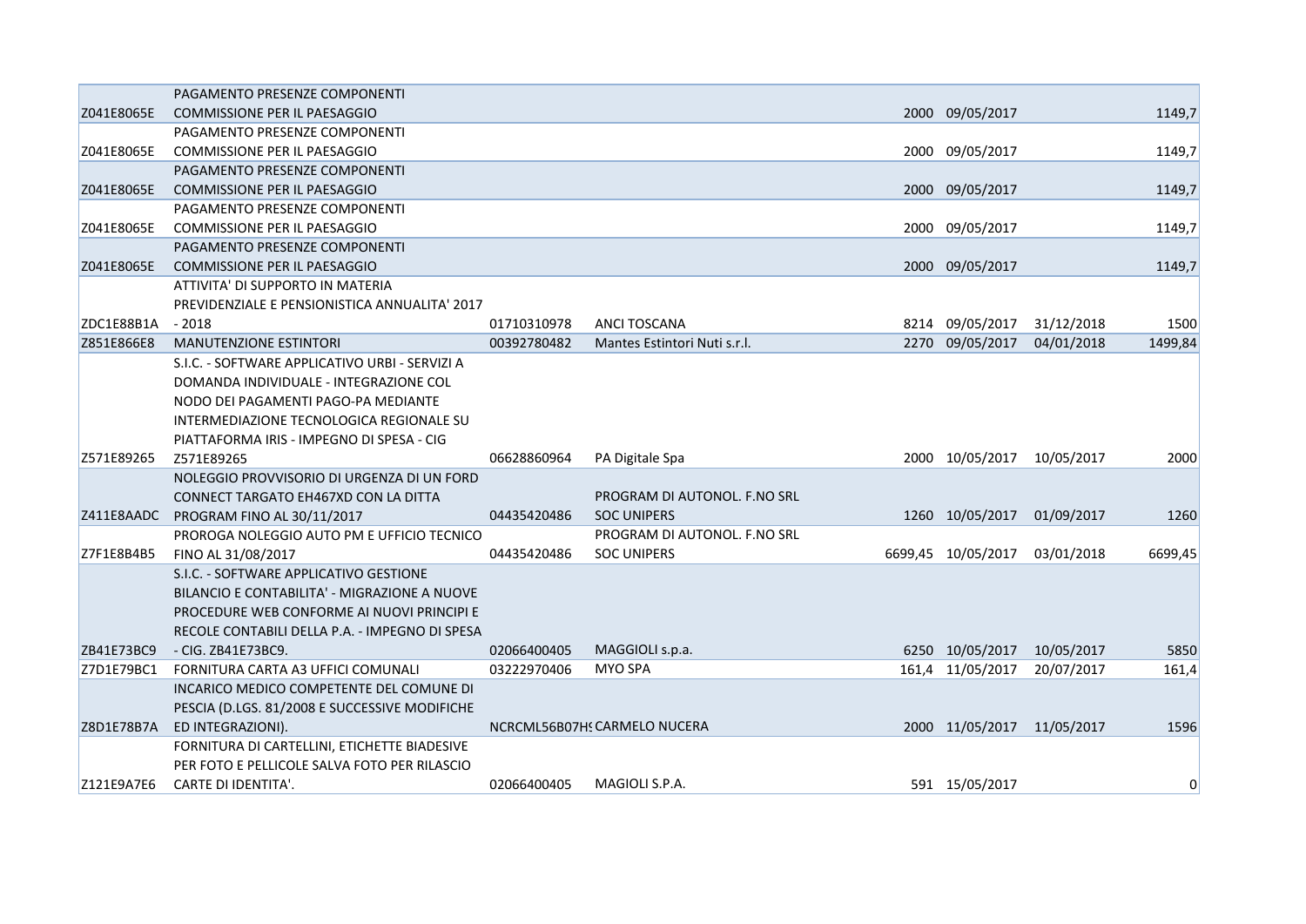|            | PAGAMENTO PRESENZE COMPONENTI                  |             |                              |                            |            |          |
|------------|------------------------------------------------|-------------|------------------------------|----------------------------|------------|----------|
| Z041E8065E | <b>COMMISSIONE PER IL PAESAGGIO</b>            |             |                              | 2000 09/05/2017            |            | 1149,7   |
|            | PAGAMENTO PRESENZE COMPONENTI                  |             |                              |                            |            |          |
| Z041E8065E | COMMISSIONE PER IL PAESAGGIO                   |             |                              | 2000 09/05/2017            |            | 1149,7   |
|            | PAGAMENTO PRESENZE COMPONENTI                  |             |                              |                            |            |          |
| Z041E8065E | <b>COMMISSIONE PER IL PAESAGGIO</b>            |             |                              | 2000 09/05/2017            |            | 1149,7   |
|            | PAGAMENTO PRESENZE COMPONENTI                  |             |                              |                            |            |          |
| Z041E8065E | <b>COMMISSIONE PER IL PAESAGGIO</b>            |             |                              | 2000 09/05/2017            |            | 1149,7   |
|            | PAGAMENTO PRESENZE COMPONENTI                  |             |                              |                            |            |          |
| Z041E8065E | <b>COMMISSIONE PER IL PAESAGGIO</b>            |             |                              | 2000 09/05/2017            |            | 1149,7   |
|            | ATTIVITA' DI SUPPORTO IN MATERIA               |             |                              |                            |            |          |
|            | PREVIDENZIALE E PENSIONISTICA ANNUALITA' 2017  |             |                              |                            |            |          |
| ZDC1E88B1A | $-2018$                                        | 01710310978 | ANCI TOSCANA                 | 8214 09/05/2017            | 31/12/2018 | 1500     |
| Z851E866E8 | <b>MANUTENZIONE ESTINTORI</b>                  | 00392780482 | Mantes Estintori Nuti s.r.l. | 2270 09/05/2017            | 04/01/2018 | 1499,84  |
|            | S.I.C. - SOFTWARE APPLICATIVO URBI - SERVIZI A |             |                              |                            |            |          |
|            | DOMANDA INDIVIDUALE - INTEGRAZIONE COL         |             |                              |                            |            |          |
|            | NODO DEI PAGAMENTI PAGO-PA MEDIANTE            |             |                              |                            |            |          |
|            | INTERMEDIAZIONE TECNOLOGICA REGIONALE SU       |             |                              |                            |            |          |
|            | PIATTAFORMA IRIS - IMPEGNO DI SPESA - CIG      |             |                              |                            |            |          |
| Z571E89265 | Z571E89265                                     | 06628860964 | PA Digitale Spa              | 2000 10/05/2017            | 10/05/2017 | 2000     |
|            | NOLEGGIO PROVVISORIO DI URGENZA DI UN FORD     |             |                              |                            |            |          |
|            | CONNECT TARGATO EH467XD CON LA DITTA           |             | PROGRAM DI AUTONOL. F.NO SRL |                            |            |          |
|            | Z411E8AADC PROGRAM FINO AL 30/11/2017          | 04435420486 | <b>SOC UNIPERS</b>           | 1260 10/05/2017            | 01/09/2017 | 1260     |
|            | PROROGA NOLEGGIO AUTO PM E UFFICIO TECNICO     |             | PROGRAM DI AUTONOL. F.NO SRL |                            |            |          |
| Z7F1E8B4B5 | FINO AL 31/08/2017                             | 04435420486 | <b>SOC UNIPERS</b>           | 6699,45 10/05/2017         | 03/01/2018 | 6699,45  |
|            | S.I.C. - SOFTWARE APPLICATIVO GESTIONE         |             |                              |                            |            |          |
|            | BILANCIO E CONTABILITA' - MIGRAZIONE A NUOVE   |             |                              |                            |            |          |
|            | PROCEDURE WEB CONFORME AI NUOVI PRINCIPI E     |             |                              |                            |            |          |
|            | RECOLE CONTABILI DELLA P.A. - IMPEGNO DI SPESA |             |                              |                            |            |          |
| ZB41E73BC9 | - CIG. ZB41E73BC9.                             | 02066400405 | MAGGIOLI s.p.a.              | 6250 10/05/2017            | 10/05/2017 | 5850     |
| Z7D1E79BC1 | FORNITURA CARTA A3 UFFICI COMUNALI             | 03222970406 | <b>MYO SPA</b>               | 161,4 11/05/2017           | 20/07/2017 | 161,4    |
|            | INCARICO MEDICO COMPETENTE DEL COMUNE DI       |             |                              |                            |            |          |
|            | PESCIA (D.LGS. 81/2008 E SUCCESSIVE MODIFICHE  |             |                              |                            |            |          |
| Z8D1E78B7A | ED INTEGRAZIONI).                              |             | NCRCML56B07HS CARMELO NUCERA | 2000 11/05/2017 11/05/2017 |            | 1596     |
|            | FORNITURA DI CARTELLINI, ETICHETTE BIADESIVE   |             |                              |                            |            |          |
|            | PER FOTO E PELLICOLE SALVA FOTO PER RILASCIO   |             |                              |                            |            |          |
| Z121E9A7E6 | CARTE DI IDENTITA'.                            | 02066400405 | MAGIOLI S.P.A.               | 591 15/05/2017             |            | $\Omega$ |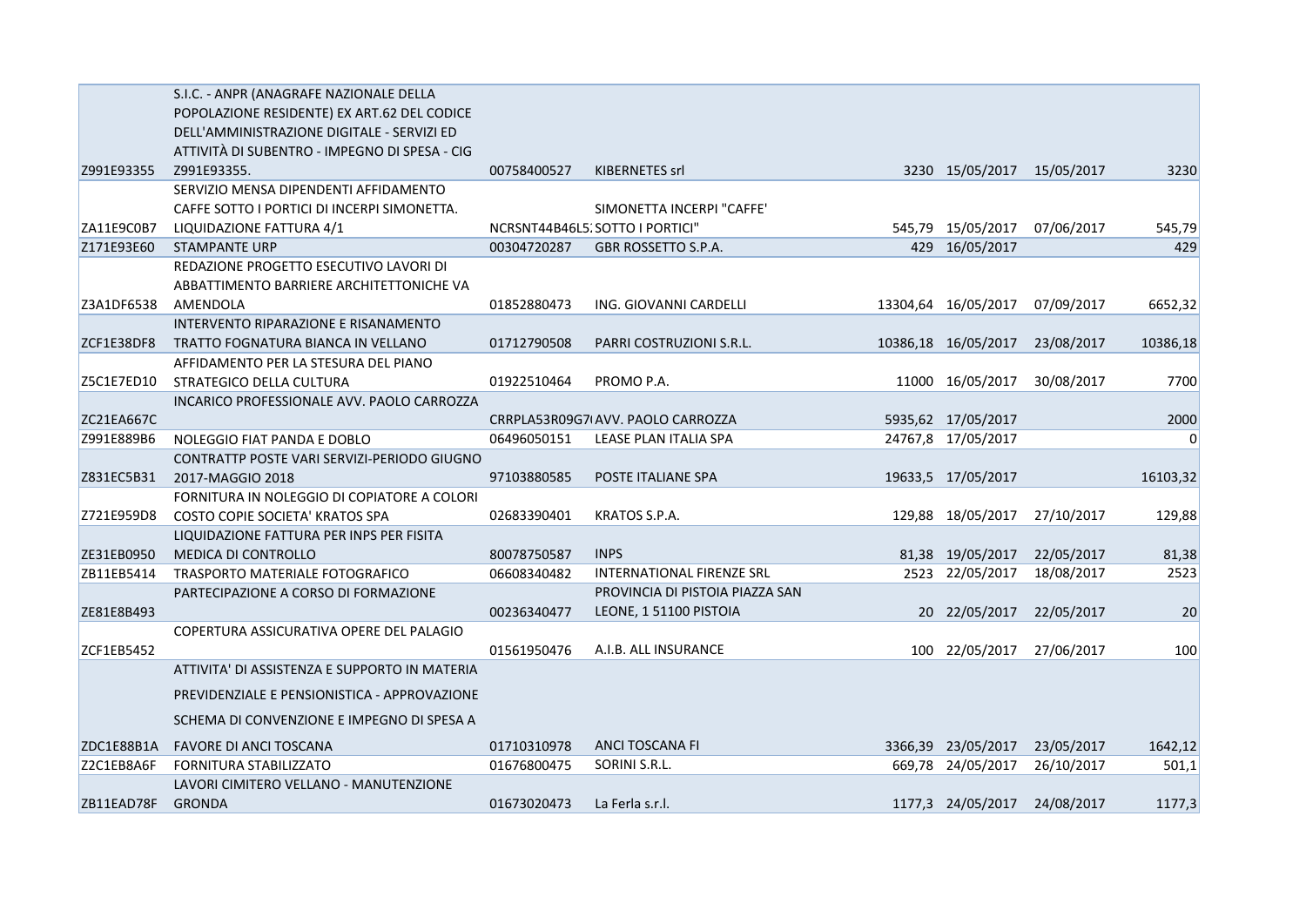|            | S.I.C. - ANPR (ANAGRAFE NAZIONALE DELLA       |             |                                   |                            |            |          |
|------------|-----------------------------------------------|-------------|-----------------------------------|----------------------------|------------|----------|
|            | POPOLAZIONE RESIDENTE) EX ART.62 DEL CODICE   |             |                                   |                            |            |          |
|            | DELL'AMMINISTRAZIONE DIGITALE - SERVIZI ED    |             |                                   |                            |            |          |
|            | ATTIVITÀ DI SUBENTRO - IMPEGNO DI SPESA - CIG |             |                                   |                            |            |          |
| Z991E93355 | Z991E93355.                                   | 00758400527 | KIBERNETES srl                    | 3230 15/05/2017 15/05/2017 |            | 3230     |
|            | SERVIZIO MENSA DIPENDENTI AFFIDAMENTO         |             |                                   |                            |            |          |
|            | CAFFE SOTTO I PORTICI DI INCERPI SIMONETTA.   |             | SIMONETTA INCERPI "CAFFE"         |                            |            |          |
| ZA11E9C0B7 | LIQUIDAZIONE FATTURA 4/1                      |             | NCRSNT44B46L5. SOTTO I PORTICI"   | 545,79 15/05/2017          | 07/06/2017 | 545,79   |
| Z171E93E60 | <b>STAMPANTE URP</b>                          | 00304720287 | GBR ROSSETTO S.P.A.               | 429 16/05/2017             |            | 429      |
|            | REDAZIONE PROGETTO ESECUTIVO LAVORI DI        |             |                                   |                            |            |          |
|            | ABBATTIMENTO BARRIERE ARCHITETTONICHE VA      |             |                                   |                            |            |          |
| Z3A1DF6538 | AMENDOLA                                      | 01852880473 | ING. GIOVANNI CARDELLI            | 13304,64 16/05/2017        | 07/09/2017 | 6652,32  |
|            | INTERVENTO RIPARAZIONE E RISANAMENTO          |             |                                   |                            |            |          |
| ZCF1E38DF8 | TRATTO FOGNATURA BIANCA IN VELLANO            | 01712790508 | PARRI COSTRUZIONI S.R.L.          | 10386,18 16/05/2017        | 23/08/2017 | 10386,18 |
|            | AFFIDAMENTO PER LA STESURA DEL PIANO          |             |                                   |                            |            |          |
| Z5C1E7ED10 | STRATEGICO DELLA CULTURA                      | 01922510464 | PROMO P.A.                        | 11000 16/05/2017           | 30/08/2017 | 7700     |
|            | INCARICO PROFESSIONALE AVV. PAOLO CARROZZA    |             |                                   |                            |            |          |
| ZC21EA667C |                                               |             | CRRPLA53R09G7IAVV. PAOLO CARROZZA | 5935,62 17/05/2017         |            | 2000     |
| Z991E889B6 | NOLEGGIO FIAT PANDA E DOBLO                   | 06496050151 | LEASE PLAN ITALIA SPA             | 24767,8 17/05/2017         |            | $\Omega$ |
|            | CONTRATTP POSTE VARI SERVIZI-PERIODO GIUGNO   |             |                                   |                            |            |          |
| Z831EC5B31 | 2017-MAGGIO 2018                              | 97103880585 | POSTE ITALIANE SPA                | 19633,5 17/05/2017         |            | 16103,32 |
|            | FORNITURA IN NOLEGGIO DI COPIATORE A COLORI   |             |                                   |                            |            |          |
| Z721E959D8 | COSTO COPIE SOCIETA' KRATOS SPA               | 02683390401 | KRATOS S.P.A.                     | 129,88 18/05/2017          | 27/10/2017 | 129,88   |
|            | LIQUIDAZIONE FATTURA PER INPS PER FISITA      |             |                                   |                            |            |          |
| ZE31EB0950 | <b>MEDICA DI CONTROLLO</b>                    | 80078750587 | <b>INPS</b>                       | 81,38 19/05/2017           | 22/05/2017 | 81,38    |
| ZB11EB5414 | TRASPORTO MATERIALE FOTOGRAFICO               | 06608340482 | <b>INTERNATIONAL FIRENZE SRL</b>  | 2523 22/05/2017            | 18/08/2017 | 2523     |
|            | PARTECIPAZIONE A CORSO DI FORMAZIONE          |             | PROVINCIA DI PISTOIA PIAZZA SAN   |                            |            |          |
| ZE81E8B493 |                                               | 00236340477 | LEONE, 1 51100 PISTOIA            | 20 22/05/2017              | 22/05/2017 | 20       |
|            | COPERTURA ASSICURATIVA OPERE DEL PALAGIO      |             |                                   |                            |            |          |
| ZCF1EB5452 |                                               | 01561950476 | A.I.B. ALL INSURANCE              | 100 22/05/2017             | 27/06/2017 | 100      |
|            | ATTIVITA' DI ASSISTENZA E SUPPORTO IN MATERIA |             |                                   |                            |            |          |
|            | PREVIDENZIALE E PENSIONISTICA - APPROVAZIONE  |             |                                   |                            |            |          |
|            | SCHEMA DI CONVENZIONE E IMPEGNO DI SPESA A    |             |                                   |                            |            |          |
| ZDC1E88B1A | FAVORE DI ANCI TOSCANA                        | 01710310978 | ANCI TOSCANA FI                   | 3366,39 23/05/2017         | 23/05/2017 | 1642,12  |
| Z2C1EB8A6F | <b>FORNITURA STABILIZZATO</b>                 | 01676800475 | SORINI S.R.L.                     | 669,78 24/05/2017          | 26/10/2017 | 501,1    |
|            | LAVORI CIMITERO VELLANO - MANUTENZIONE        |             |                                   |                            |            |          |
| ZB11EAD78F | <b>GRONDA</b>                                 | 01673020473 | La Ferla s.r.l.                   | 1177,3 24/05/2017          | 24/08/2017 | 1177,3   |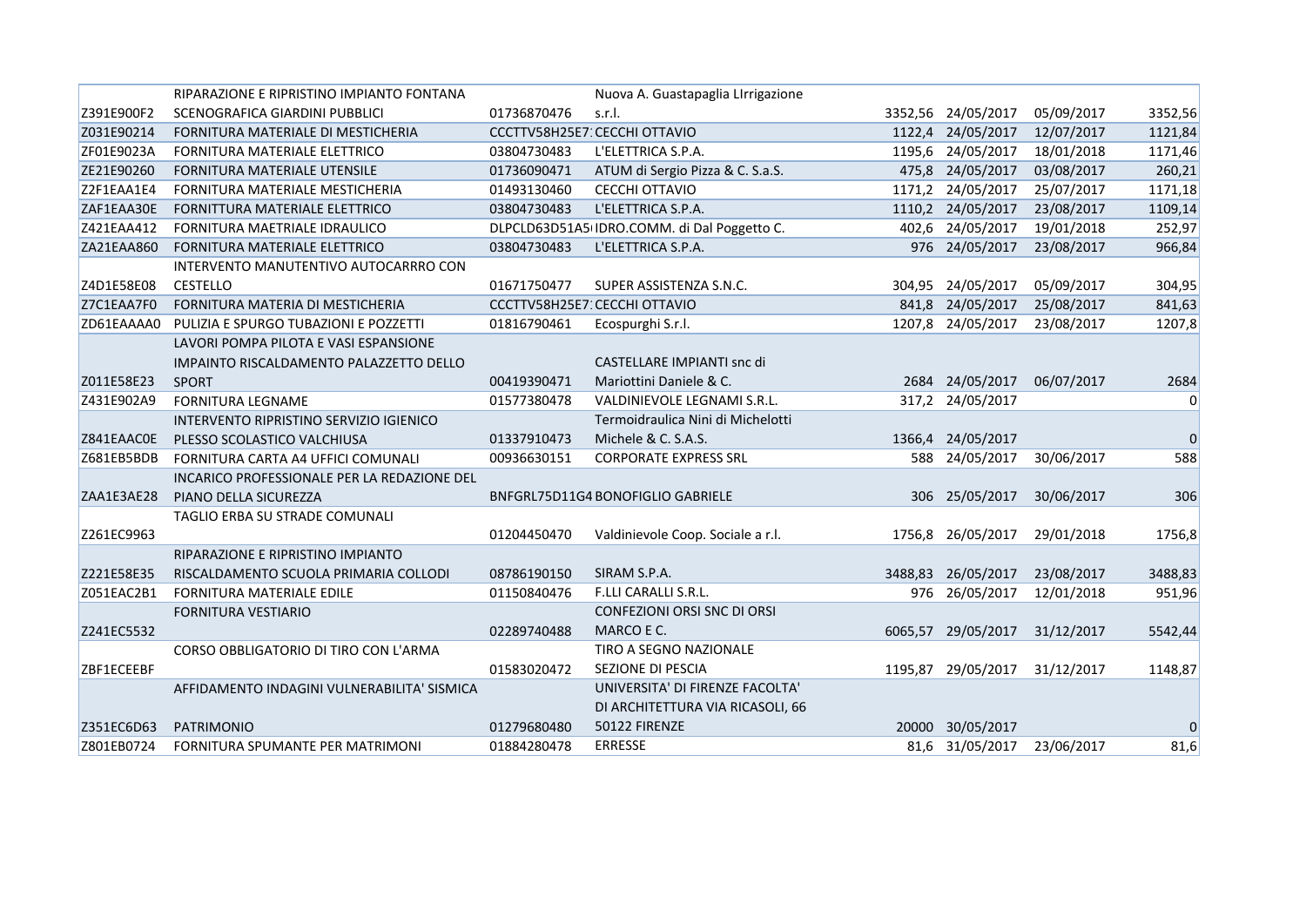|            | RIPARAZIONE E RIPRISTINO IMPIANTO FONTANA   |             | Nuova A. Guastapaglia LIrrigazione          |         |                    |            |                |
|------------|---------------------------------------------|-------------|---------------------------------------------|---------|--------------------|------------|----------------|
| Z391E900F2 | SCENOGRAFICA GIARDINI PUBBLICI              | 01736870476 | s.r.l.                                      |         | 3352,56 24/05/2017 | 05/09/2017 | 3352,56        |
| Z031E90214 | FORNITURA MATERIALE DI MESTICHERIA          |             | CCCTTV58H25E7: CECCHI OTTAVIO               |         | 1122,4 24/05/2017  | 12/07/2017 | 1121,84        |
| ZF01E9023A | FORNITURA MATERIALE ELETTRICO               | 03804730483 | L'ELETTRICA S.P.A.                          |         | 1195,6 24/05/2017  | 18/01/2018 | 1171,46        |
| ZE21E90260 | <b>FORNITURA MATERIALE UTENSILE</b>         | 01736090471 | ATUM di Sergio Pizza & C. S.a.S.            |         | 475,8 24/05/2017   | 03/08/2017 | 260,21         |
| Z2F1EAA1E4 | FORNITURA MATERIALE MESTICHERIA             | 01493130460 | CECCHI OTTAVIO                              |         | 1171,2 24/05/2017  | 25/07/2017 | 1171,18        |
| ZAF1EAA30E | FORNITTURA MATERIALE ELETTRICO              | 03804730483 | L'ELETTRICA S.P.A.                          |         | 1110,2 24/05/2017  | 23/08/2017 | 1109,14        |
| Z421EAA412 | FORNITURA MAETRIALE IDRAULICO               |             | DLPCLD63D51A5 IDRO.COMM. di Dal Poggetto C. |         | 402,6 24/05/2017   | 19/01/2018 | 252,97         |
| ZA21EAA860 | FORNITURA MATERIALE ELETTRICO               | 03804730483 | L'ELETTRICA S.P.A.                          |         | 976 24/05/2017     | 23/08/2017 | 966,84         |
|            | INTERVENTO MANUTENTIVO AUTOCARRRO CON       |             |                                             |         |                    |            |                |
| Z4D1E58E08 | <b>CESTELLO</b>                             | 01671750477 | SUPER ASSISTENZA S.N.C.                     |         | 304,95 24/05/2017  | 05/09/2017 | 304,95         |
| Z7C1EAA7F0 | FORNITURA MATERIA DI MESTICHERIA            |             | CCCTTV58H25E7: CECCHI OTTAVIO               |         | 841,8 24/05/2017   | 25/08/2017 | 841,63         |
| ZD61EAAAA0 | PULIZIA E SPURGO TUBAZIONI E POZZETTI       | 01816790461 | Ecospurghi S.r.l.                           |         | 1207,8 24/05/2017  | 23/08/2017 | 1207,8         |
|            | LAVORI POMPA PILOTA E VASI ESPANSIONE       |             |                                             |         |                    |            |                |
|            | IMPAINTO RISCALDAMENTO PALAZZETTO DELLO     |             | CASTELLARE IMPIANTI snc di                  |         |                    |            |                |
| Z011E58E23 | <b>SPORT</b>                                | 00419390471 | Mariottini Daniele & C.                     |         | 2684 24/05/2017    | 06/07/2017 | 2684           |
| Z431E902A9 | <b>FORNITURA LEGNAME</b>                    | 01577380478 | VALDINIEVOLE LEGNAMI S.R.L.                 |         | 317,2 24/05/2017   |            | $\overline{0}$ |
|            | INTERVENTO RIPRISTINO SERVIZIO IGIENICO     |             | Termoidraulica Nini di Michelotti           |         |                    |            |                |
| Z841EAAC0E | PLESSO SCOLASTICO VALCHIUSA                 | 01337910473 | Michele & C. S.A.S.                         |         | 1366,4 24/05/2017  |            | $\mathbf 0$    |
| Z681EB5BDB | FORNITURA CARTA A4 UFFICI COMUNALI          | 00936630151 | <b>CORPORATE EXPRESS SRL</b>                | 588     | 24/05/2017         | 30/06/2017 | 588            |
|            | INCARICO PROFESSIONALE PER LA REDAZIONE DEL |             |                                             |         |                    |            |                |
| ZAA1E3AE28 | PIANO DELLA SICUREZZA                       |             | BNFGRL75D11G4 BONOFIGLIO GABRIELE           |         | 306 25/05/2017     | 30/06/2017 | 306            |
|            | TAGLIO ERBA SU STRADE COMUNALI              |             |                                             |         |                    |            |                |
| Z261EC9963 |                                             | 01204450470 | Valdinievole Coop. Sociale a r.l.           |         | 1756,8 26/05/2017  | 29/01/2018 | 1756,8         |
|            | RIPARAZIONE E RIPRISTINO IMPIANTO           |             |                                             |         |                    |            |                |
| Z221E58E35 | RISCALDAMENTO SCUOLA PRIMARIA COLLODI       | 08786190150 | SIRAM S.P.A.                                | 3488,83 | 26/05/2017         | 23/08/2017 | 3488,83        |
| Z051EAC2B1 | FORNITURA MATERIALE EDILE                   | 01150840476 | F.LLI CARALLI S.R.L.                        |         | 976 26/05/2017     | 12/01/2018 | 951,96         |
|            | <b>FORNITURA VESTIARIO</b>                  |             | CONFEZIONI ORSI SNC DI ORSI                 |         |                    |            |                |
| Z241EC5532 |                                             | 02289740488 | MARCO E C.                                  |         | 6065,57 29/05/2017 | 31/12/2017 | 5542,44        |
|            | CORSO OBBLIGATORIO DI TIRO CON L'ARMA       |             | TIRO A SEGNO NAZIONALE                      |         |                    |            |                |
| ZBF1ECEEBF |                                             | 01583020472 | SEZIONE DI PESCIA                           |         | 1195,87 29/05/2017 | 31/12/2017 | 1148,87        |
|            | AFFIDAMENTO INDAGINI VULNERABILITA' SISMICA |             | UNIVERSITA' DI FIRENZE FACOLTA'             |         |                    |            |                |
|            |                                             |             | DI ARCHITETTURA VIA RICASOLI, 66            |         |                    |            |                |
| Z351EC6D63 | <b>PATRIMONIO</b>                           | 01279680480 | 50122 FIRENZE                               |         | 20000 30/05/2017   |            | $\mathbf 0$    |
| Z801EB0724 | FORNITURA SPUMANTE PER MATRIMONI            | 01884280478 | <b>ERRESSE</b>                              |         | 81,6 31/05/2017    | 23/06/2017 | 81,6           |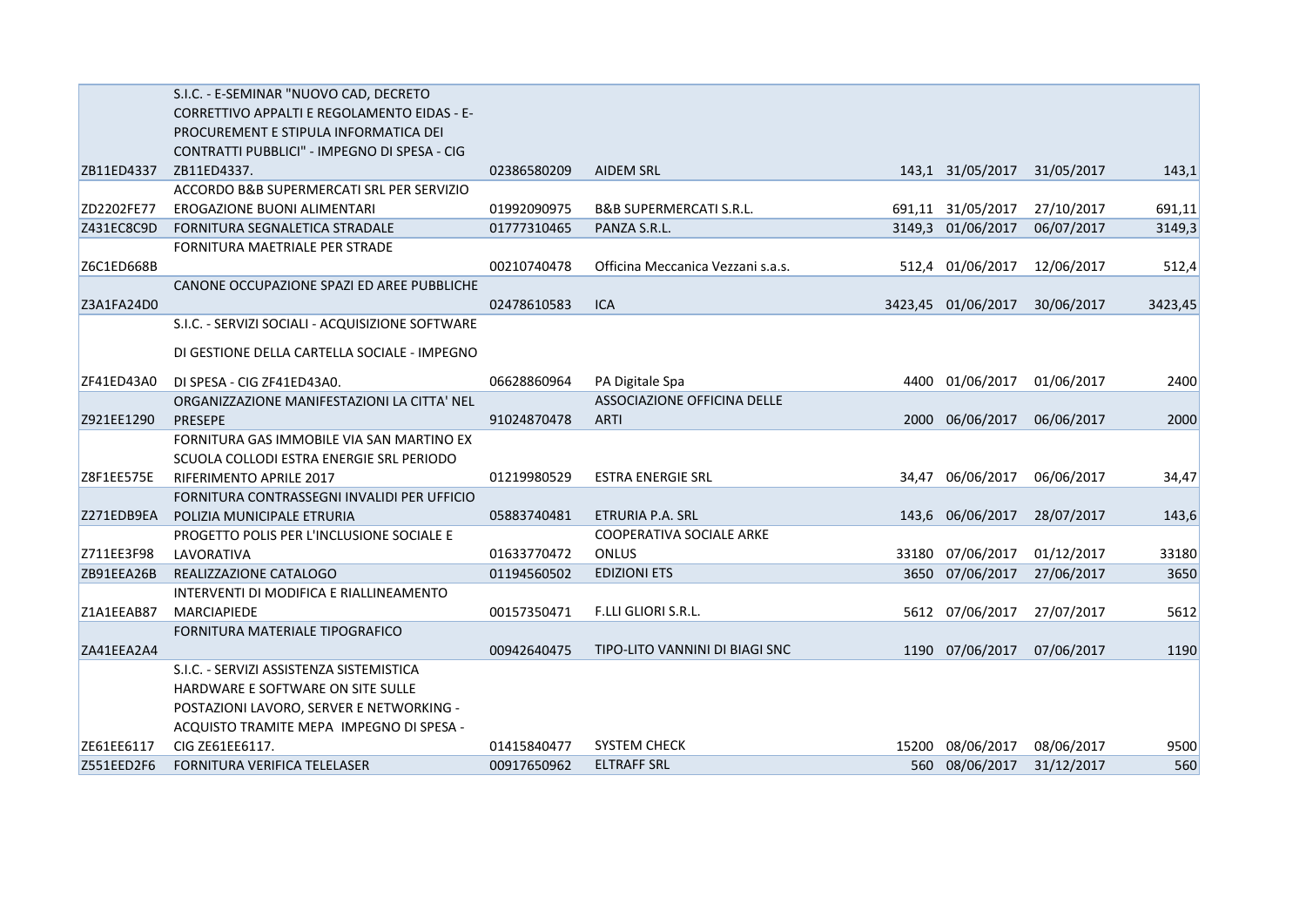|            | S.I.C. - E-SEMINAR "NUOVO CAD, DECRETO             |             |                                    |       |                    |            |         |
|------------|----------------------------------------------------|-------------|------------------------------------|-------|--------------------|------------|---------|
|            | <b>CORRETTIVO APPALTI E REGOLAMENTO EIDAS - E-</b> |             |                                    |       |                    |            |         |
|            | PROCUREMENT E STIPULA INFORMATICA DEI              |             |                                    |       |                    |            |         |
|            | CONTRATTI PUBBLICI" - IMPEGNO DI SPESA - CIG       |             |                                    |       |                    |            |         |
| ZB11ED4337 | ZB11ED4337.                                        | 02386580209 | <b>AIDEM SRL</b>                   |       | 143,1 31/05/2017   | 31/05/2017 | 143,1   |
|            | ACCORDO B&B SUPERMERCATI SRL PER SERVIZIO          |             |                                    |       |                    |            |         |
| ZD2202FE77 | EROGAZIONE BUONI ALIMENTARI                        | 01992090975 | <b>B&amp;B SUPERMERCATI S.R.L.</b> |       | 691,11 31/05/2017  | 27/10/2017 | 691,11  |
| Z431EC8C9D | FORNITURA SEGNALETICA STRADALE                     | 01777310465 | PANZA S.R.L.                       |       | 3149,3 01/06/2017  | 06/07/2017 | 3149,3  |
|            | FORNITURA MAETRIALE PER STRADE                     |             |                                    |       |                    |            |         |
| Z6C1ED668B |                                                    | 00210740478 | Officina Meccanica Vezzani s.a.s.  |       | 512,4 01/06/2017   | 12/06/2017 | 512,4   |
|            | CANONE OCCUPAZIONE SPAZI ED AREE PUBBLICHE         |             |                                    |       |                    |            |         |
| Z3A1FA24D0 |                                                    | 02478610583 | ICA                                |       | 3423,45 01/06/2017 | 30/06/2017 | 3423,45 |
|            | S.I.C. - SERVIZI SOCIALI - ACQUISIZIONE SOFTWARE   |             |                                    |       |                    |            |         |
|            | DI GESTIONE DELLA CARTELLA SOCIALE - IMPEGNO       |             |                                    |       |                    |            |         |
| ZF41ED43A0 | DI SPESA - CIG ZF41ED43A0.                         | 06628860964 | PA Digitale Spa                    |       | 4400 01/06/2017    | 01/06/2017 | 2400    |
|            | ORGANIZZAZIONE MANIFESTAZIONI LA CITTA' NEL        |             | ASSOCIAZIONE OFFICINA DELLE        |       |                    |            |         |
| Z921EE1290 | <b>PRESEPE</b>                                     | 91024870478 | <b>ARTI</b>                        | 2000  | 06/06/2017         | 06/06/2017 | 2000    |
|            | FORNITURA GAS IMMOBILE VIA SAN MARTINO EX          |             |                                    |       |                    |            |         |
|            | SCUOLA COLLODI ESTRA ENERGIE SRL PERIODO           |             |                                    |       |                    |            |         |
| Z8F1EE575E | RIFERIMENTO APRILE 2017                            | 01219980529 | <b>ESTRA ENERGIE SRL</b>           |       | 34,47 06/06/2017   | 06/06/2017 | 34,47   |
|            | FORNITURA CONTRASSEGNI INVALIDI PER UFFICIO        |             |                                    |       |                    |            |         |
| Z271EDB9EA | POLIZIA MUNICIPALE ETRURIA                         | 05883740481 | ETRURIA P.A. SRL                   |       | 143,6 06/06/2017   | 28/07/2017 | 143,6   |
|            | PROGETTO POLIS PER L'INCLUSIONE SOCIALE E          |             | <b>COOPERATIVA SOCIALE ARKE</b>    |       |                    |            |         |
| Z711EE3F98 | LAVORATIVA                                         | 01633770472 | ONLUS                              | 33180 | 07/06/2017         | 01/12/2017 | 33180   |
| ZB91EEA26B | REALIZZAZIONE CATALOGO                             | 01194560502 | <b>EDIZIONI ETS</b>                |       | 3650 07/06/2017    | 27/06/2017 | 3650    |
|            | INTERVENTI DI MODIFICA E RIALLINEAMENTO            |             |                                    |       |                    |            |         |
| Z1A1EEAB87 | <b>MARCIAPIEDE</b>                                 | 00157350471 | F.LLI GLIORI S.R.L.                |       | 5612 07/06/2017    | 27/07/2017 | 5612    |
|            | FORNITURA MATERIALE TIPOGRAFICO                    |             |                                    |       |                    |            |         |
| ZA41EEA2A4 |                                                    | 00942640475 | TIPO-LITO VANNINI DI BIAGI SNC     |       | 1190 07/06/2017    | 07/06/2017 | 1190    |
|            | S.I.C. - SERVIZI ASSISTENZA SISTEMISTICA           |             |                                    |       |                    |            |         |
|            | HARDWARE E SOFTWARE ON SITE SULLE                  |             |                                    |       |                    |            |         |
|            | POSTAZIONI LAVORO, SERVER E NETWORKING -           |             |                                    |       |                    |            |         |
|            | ACQUISTO TRAMITE MEPA IMPEGNO DI SPESA -           |             |                                    |       |                    |            |         |
| ZE61EE6117 | CIG ZE61EE6117.                                    | 01415840477 | <b>SYSTEM CHECK</b>                | 15200 | 08/06/2017         | 08/06/2017 | 9500    |
| Z551EED2F6 | FORNITURA VERIFICA TELELASER                       | 00917650962 | <b>ELTRAFF SRL</b>                 |       | 560 08/06/2017     | 31/12/2017 | 560     |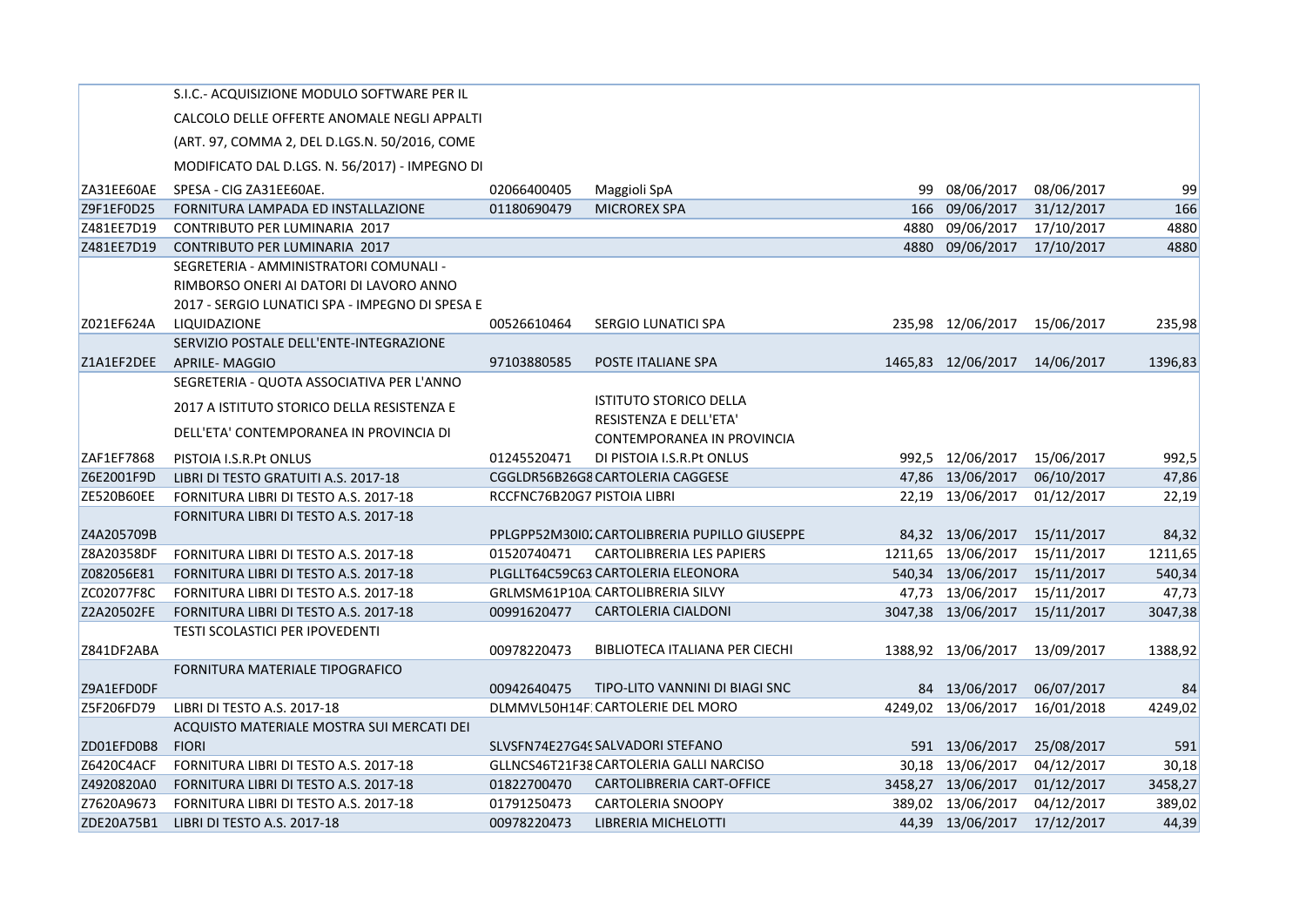|            | S.I.C.- ACQUISIZIONE MODULO SOFTWARE PER IL     |                             |                                               |      |                    |            |         |
|------------|-------------------------------------------------|-----------------------------|-----------------------------------------------|------|--------------------|------------|---------|
|            | CALCOLO DELLE OFFERTE ANOMALE NEGLI APPALTI     |                             |                                               |      |                    |            |         |
|            | (ART. 97, COMMA 2, DEL D.LGS.N. 50/2016, COME   |                             |                                               |      |                    |            |         |
|            | MODIFICATO DAL D.LGS. N. 56/2017) - IMPEGNO DI  |                             |                                               |      |                    |            |         |
| ZA31EE60AE | SPESA - CIG ZA31EE60AE.                         | 02066400405                 | Maggioli SpA                                  | 99   | 08/06/2017         | 08/06/2017 | 99      |
| Z9F1EF0D25 | FORNITURA LAMPADA ED INSTALLAZIONE              | 01180690479                 | <b>MICROREX SPA</b>                           | 166  | 09/06/2017         | 31/12/2017 | 166     |
| Z481EE7D19 | CONTRIBUTO PER LUMINARIA 2017                   |                             |                                               | 4880 | 09/06/2017         | 17/10/2017 | 4880    |
| Z481EE7D19 | <b>CONTRIBUTO PER LUMINARIA 2017</b>            |                             |                                               |      | 4880 09/06/2017    | 17/10/2017 | 4880    |
|            | SEGRETERIA - AMMINISTRATORI COMUNALI -          |                             |                                               |      |                    |            |         |
|            | RIMBORSO ONERI AI DATORI DI LAVORO ANNO         |                             |                                               |      |                    |            |         |
|            | 2017 - SERGIO LUNATICI SPA - IMPEGNO DI SPESA E |                             |                                               |      |                    |            |         |
| Z021EF624A | LIQUIDAZIONE                                    | 00526610464                 | SERGIO LUNATICI SPA                           |      | 235,98 12/06/2017  | 15/06/2017 | 235,98  |
|            | SERVIZIO POSTALE DELL'ENTE-INTEGRAZIONE         |                             |                                               |      |                    |            |         |
| Z1A1EF2DEE | APRILE- MAGGIO                                  | 97103880585                 | POSTE ITALIANE SPA                            |      | 1465,83 12/06/2017 | 14/06/2017 | 1396,83 |
|            | SEGRETERIA - QUOTA ASSOCIATIVA PER L'ANNO       |                             |                                               |      |                    |            |         |
|            | 2017 A ISTITUTO STORICO DELLA RESISTENZA E      |                             | <b>ISTITUTO STORICO DELLA</b>                 |      |                    |            |         |
|            | DELL'ETA' CONTEMPORANEA IN PROVINCIA DI         |                             | <b>RESISTENZA E DELL'ETA'</b>                 |      |                    |            |         |
|            |                                                 |                             | CONTEMPORANEA IN PROVINCIA                    |      |                    |            |         |
| ZAF1EF7868 | PISTOIA I.S.R.Pt ONLUS                          | 01245520471                 | DI PISTOIA I.S.R.Pt ONLUS                     |      | 992,5 12/06/2017   | 15/06/2017 | 992,5   |
| Z6E2001F9D | LIBRI DI TESTO GRATUITI A.S. 2017-18            |                             | CGGLDR56B26G8 CARTOLERIA CAGGESE              |      | 47,86 13/06/2017   | 06/10/2017 | 47,86   |
| ZE520B60EE | FORNITURA LIBRI DI TESTO A.S. 2017-18           | RCCFNC76B20G7 PISTOIA LIBRI |                                               |      | 22,19 13/06/2017   | 01/12/2017 | 22,19   |
|            | FORNITURA LIBRI DI TESTO A.S. 2017-18           |                             |                                               |      |                    |            |         |
| Z4A205709B |                                                 |                             | PPLGPP52M3010. CARTOLIBRERIA PUPILLO GIUSEPPE |      | 84,32 13/06/2017   | 15/11/2017 | 84,32   |
| Z8A20358DF | FORNITURA LIBRI DI TESTO A.S. 2017-18           | 01520740471                 | <b>CARTOLIBRERIA LES PAPIERS</b>              |      | 1211,65 13/06/2017 | 15/11/2017 | 1211,65 |
| Z082056E81 | FORNITURA LIBRI DI TESTO A.S. 2017-18           |                             | PLGLLT64C59C63 CARTOLERIA ELEONORA            |      | 540,34 13/06/2017  | 15/11/2017 | 540,34  |
| ZC02077F8C | FORNITURA LIBRI DI TESTO A.S. 2017-18           |                             | GRLMSM61P10A CARTOLIBRERIA SILVY              |      | 47,73 13/06/2017   | 15/11/2017 | 47,73   |
| Z2A20502FE | FORNITURA LIBRI DI TESTO A.S. 2017-18           | 00991620477                 | <b>CARTOLERIA CIALDONI</b>                    |      | 3047,38 13/06/2017 | 15/11/2017 | 3047,38 |
|            | <b>TESTI SCOLASTICI PER IPOVEDENTI</b>          |                             |                                               |      |                    |            |         |
| Z841DF2ABA |                                                 | 00978220473                 | BIBLIOTECA ITALIANA PER CIECHI                |      | 1388,92 13/06/2017 | 13/09/2017 | 1388,92 |
|            | FORNITURA MATERIALE TIPOGRAFICO                 |                             |                                               |      |                    |            |         |
| Z9A1EFD0DF |                                                 | 00942640475                 | TIPO-LITO VANNINI DI BIAGI SNC                |      | 84 13/06/2017      | 06/07/2017 | 84      |
| Z5F206FD79 | LIBRI DI TESTO A.S. 2017-18                     |                             | DLMMVL50H14F: CARTOLERIE DEL MORO             |      | 4249,02 13/06/2017 | 16/01/2018 | 4249,02 |
|            | ACQUISTO MATERIALE MOSTRA SUI MERCATI DEI       |                             |                                               |      |                    |            |         |
| ZD01EFD0B8 | <b>FIORI</b>                                    |                             | SLVSFN74E27G4S SALVADORI STEFANO              |      | 591 13/06/2017     | 25/08/2017 | 591     |
| Z6420C4ACF | FORNITURA LIBRI DI TESTO A.S. 2017-18           |                             | GLLNCS46T21F38 CARTOLERIA GALLI NARCISO       |      | 30,18 13/06/2017   | 04/12/2017 | 30,18   |
| Z4920820A0 | FORNITURA LIBRI DI TESTO A.S. 2017-18           | 01822700470                 | CARTOLIBRERIA CART-OFFICE                     |      | 3458,27 13/06/2017 | 01/12/2017 | 3458,27 |
| Z7620A9673 | FORNITURA LIBRI DI TESTO A.S. 2017-18           | 01791250473                 | <b>CARTOLERIA SNOOPY</b>                      |      | 389,02 13/06/2017  | 04/12/2017 | 389,02  |
| ZDE20A75B1 | LIBRI DI TESTO A.S. 2017-18                     | 00978220473                 | LIBRERIA MICHELOTTI                           |      | 44,39 13/06/2017   | 17/12/2017 | 44,39   |
|            |                                                 |                             |                                               |      |                    |            |         |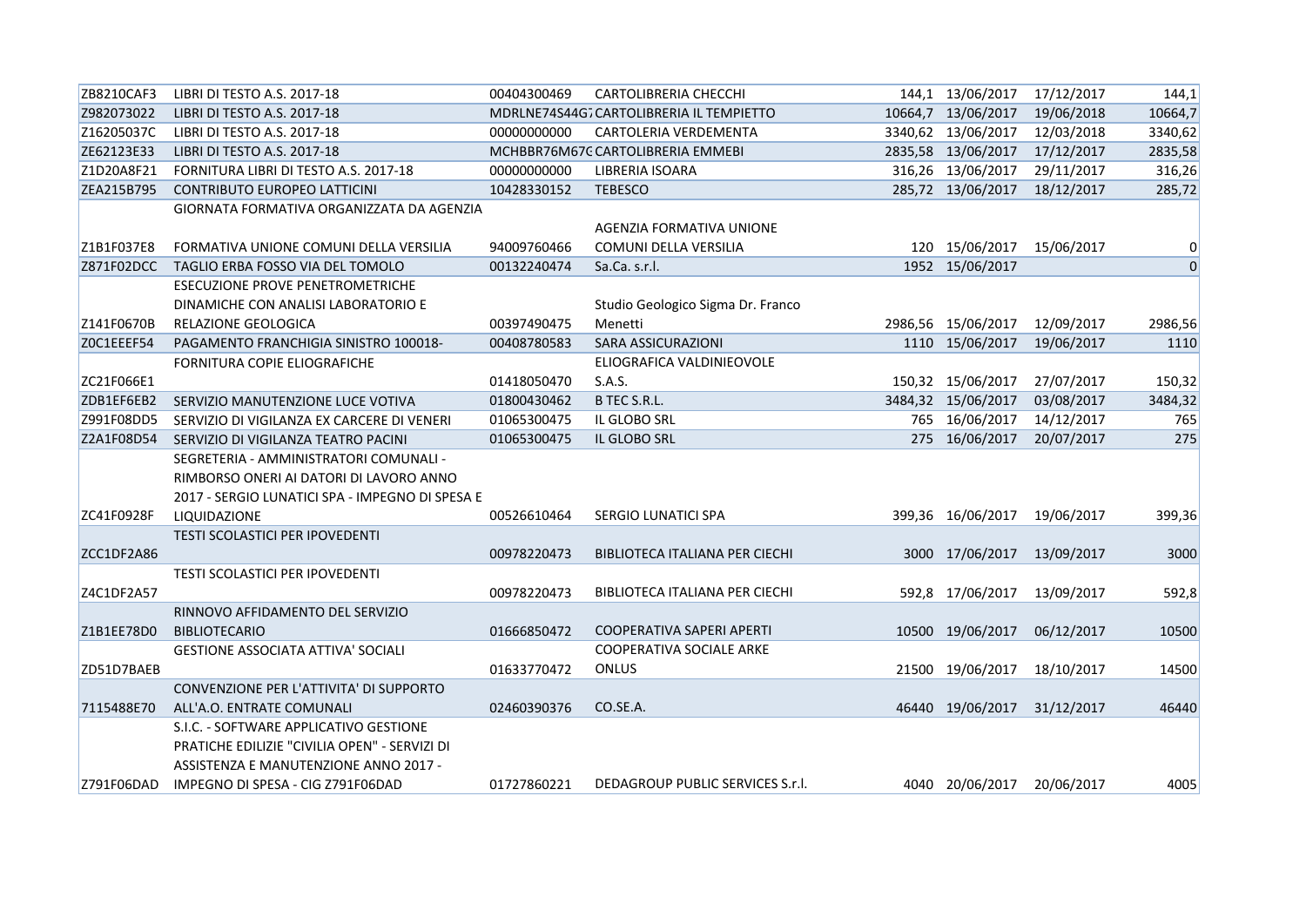| ZB8210CAF3 | LIBRI DI TESTO A.S. 2017-18                     | 00404300469 | <b>CARTOLIBRERIA CHECCHI</b>             | 144,1 13/06/2017 17/12/2017 |            | 144,1          |
|------------|-------------------------------------------------|-------------|------------------------------------------|-----------------------------|------------|----------------|
| Z982073022 | LIBRI DI TESTO A.S. 2017-18                     |             | MDRLNE74S44G7 CARTOLIBRERIA IL TEMPIETTO | 10664,7 13/06/2017          | 19/06/2018 | 10664,7        |
| Z16205037C | LIBRI DI TESTO A.S. 2017-18                     | 00000000000 | CARTOLERIA VERDEMENTA                    | 3340,62 13/06/2017          | 12/03/2018 | 3340,62        |
| ZE62123E33 | LIBRI DI TESTO A.S. 2017-18                     |             | MCHBBR76M67C CARTOLIBRERIA EMMEBI        | 2835,58 13/06/2017          | 17/12/2017 | 2835,58        |
| Z1D20A8F21 | FORNITURA LIBRI DI TESTO A.S. 2017-18           | 00000000000 | LIBRERIA ISOARA                          | 316,26 13/06/2017           | 29/11/2017 | 316,26         |
| ZEA215B795 | <b>CONTRIBUTO EUROPEO LATTICINI</b>             | 10428330152 | <b>TEBESCO</b>                           | 285,72 13/06/2017           | 18/12/2017 | 285,72         |
|            | GIORNATA FORMATIVA ORGANIZZATA DA AGENZIA       |             |                                          |                             |            |                |
|            |                                                 |             | AGENZIA FORMATIVA UNIONE                 |                             |            |                |
| Z1B1F037E8 | FORMATIVA UNIONE COMUNI DELLA VERSILIA          | 94009760466 | COMUNI DELLA VERSILIA                    | 120 15/06/2017              | 15/06/2017 | 0              |
| Z871F02DCC | TAGLIO ERBA FOSSO VIA DEL TOMOLO                | 00132240474 | Sa.Ca. s.r.l.                            | 1952 15/06/2017             |            | $\overline{0}$ |
|            | <b>ESECUZIONE PROVE PENETROMETRICHE</b>         |             |                                          |                             |            |                |
|            | DINAMICHE CON ANALISI LABORATORIO E             |             | Studio Geologico Sigma Dr. Franco        |                             |            |                |
| Z141F0670B | RELAZIONE GEOLOGICA                             | 00397490475 | Menetti                                  | 2986,56 15/06/2017          | 12/09/2017 | 2986,56        |
| ZOC1EEEF54 | PAGAMENTO FRANCHIGIA SINISTRO 100018-           | 00408780583 | SARA ASSICURAZIONI                       | 1110 15/06/2017             | 19/06/2017 | 1110           |
|            | FORNITURA COPIE ELIOGRAFICHE                    |             | ELIOGRAFICA VALDINIEOVOLE                |                             |            |                |
| ZC21F066E1 |                                                 | 01418050470 | S.A.S.                                   | 150,32 15/06/2017           | 27/07/2017 | 150,32         |
| ZDB1EF6EB2 | SERVIZIO MANUTENZIONE LUCE VOTIVA               | 01800430462 | B TEC S.R.L.                             | 3484,32 15/06/2017          | 03/08/2017 | 3484,32        |
| Z991F08DD5 | SERVIZIO DI VIGILANZA EX CARCERE DI VENERI      | 01065300475 | IL GLOBO SRL                             | 765 16/06/2017              | 14/12/2017 | 765            |
| Z2A1F08D54 | SERVIZIO DI VIGILANZA TEATRO PACINI             | 01065300475 | IL GLOBO SRL                             | 275 16/06/2017              | 20/07/2017 | 275            |
|            | SEGRETERIA - AMMINISTRATORI COMUNALI -          |             |                                          |                             |            |                |
|            | RIMBORSO ONERI AI DATORI DI LAVORO ANNO         |             |                                          |                             |            |                |
|            | 2017 - SERGIO LUNATICI SPA - IMPEGNO DI SPESA E |             |                                          |                             |            |                |
| ZC41F0928F | LIQUIDAZIONE                                    | 00526610464 | SERGIO LUNATICI SPA                      | 399,36 16/06/2017           | 19/06/2017 | 399,36         |
|            | <b>TESTI SCOLASTICI PER IPOVEDENTI</b>          |             |                                          |                             |            |                |
| ZCC1DF2A86 |                                                 | 00978220473 | BIBLIOTECA ITALIANA PER CIECHI           | 3000 17/06/2017             | 13/09/2017 | 3000           |
|            | <b>TESTI SCOLASTICI PER IPOVEDENTI</b>          |             |                                          |                             |            |                |
| Z4C1DF2A57 |                                                 | 00978220473 | BIBLIOTECA ITALIANA PER CIECHI           | 592,8 17/06/2017            | 13/09/2017 | 592,8          |
|            | RINNOVO AFFIDAMENTO DEL SERVIZIO                |             |                                          |                             |            |                |
| Z1B1EE78D0 | <b>BIBLIOTECARIO</b>                            | 01666850472 | <b>COOPERATIVA SAPERI APERTI</b>         | 10500 19/06/2017            | 06/12/2017 | 10500          |
|            | <b>GESTIONE ASSOCIATA ATTIVA' SOCIALI</b>       |             | COOPERATIVA SOCIALE ARKE                 |                             |            |                |
| ZD51D7BAEB |                                                 | 01633770472 | ONLUS                                    | 21500 19/06/2017            | 18/10/2017 | 14500          |
|            | CONVENZIONE PER L'ATTIVITA' DI SUPPORTO         |             |                                          |                             |            |                |
| 7115488E70 | ALL'A.O. ENTRATE COMUNALI                       | 02460390376 | CO.SE.A.                                 | 46440 19/06/2017            | 31/12/2017 | 46440          |
|            | S.I.C. - SOFTWARE APPLICATIVO GESTIONE          |             |                                          |                             |            |                |
|            | PRATICHE EDILIZIE "CIVILIA OPEN" - SERVIZI DI   |             |                                          |                             |            |                |
|            | ASSISTENZA E MANUTENZIONE ANNO 2017 -           |             |                                          |                             |            |                |
| Z791F06DAD | IMPEGNO DI SPESA - CIG Z791F06DAD               | 01727860221 | DEDAGROUP PUBLIC SERVICES S.r.l.         | 4040 20/06/2017 20/06/2017  |            | 4005           |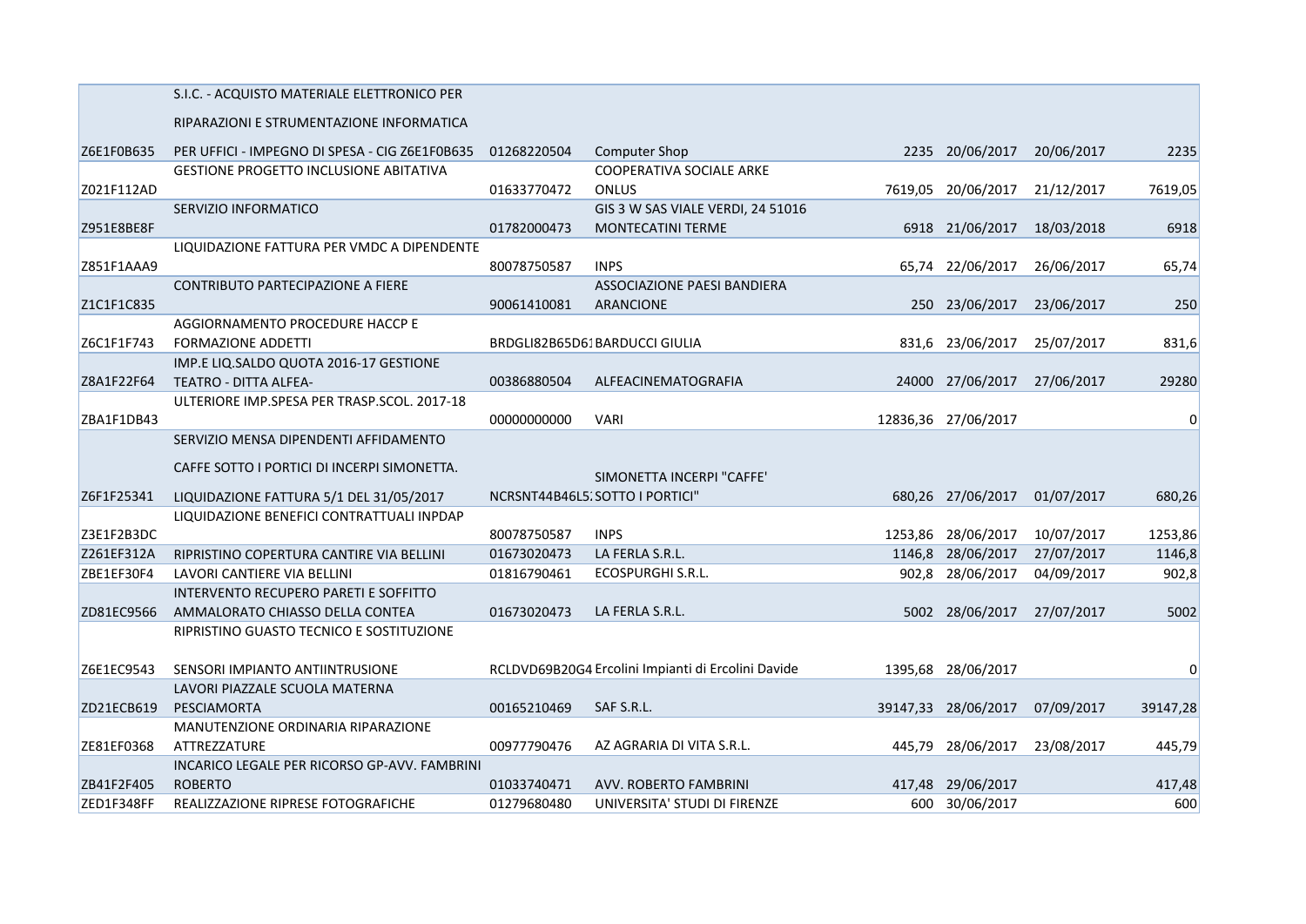|            | S.I.C. - ACQUISTO MATERIALE ELETTRONICO PER    |             |                                                    |        |                     |            |          |
|------------|------------------------------------------------|-------------|----------------------------------------------------|--------|---------------------|------------|----------|
|            | RIPARAZIONI E STRUMENTAZIONE INFORMATICA       |             |                                                    |        |                     |            |          |
| Z6E1F0B635 | PER UFFICI - IMPEGNO DI SPESA - CIG Z6E1F0B635 | 01268220504 | Computer Shop                                      |        | 2235 20/06/2017     | 20/06/2017 | 2235     |
|            | <b>GESTIONE PROGETTO INCLUSIONE ABITATIVA</b>  |             | COOPERATIVA SOCIALE ARKE                           |        |                     |            |          |
| Z021F112AD |                                                | 01633770472 | <b>ONLUS</b>                                       |        | 7619,05 20/06/2017  | 21/12/2017 | 7619,05  |
|            | SERVIZIO INFORMATICO                           |             | GIS 3 W SAS VIALE VERDI, 24 51016                  |        |                     |            |          |
| Z951E8BE8F |                                                | 01782000473 | MONTECATINI TERME                                  |        | 6918 21/06/2017     | 18/03/2018 | 6918     |
|            | LIQUIDAZIONE FATTURA PER VMDC A DIPENDENTE     |             |                                                    |        |                     |            |          |
| Z851F1AAA9 |                                                | 80078750587 | <b>INPS</b>                                        |        | 65,74 22/06/2017    | 26/06/2017 | 65,74    |
|            | CONTRIBUTO PARTECIPAZIONE A FIERE              |             | ASSOCIAZIONE PAESI BANDIERA                        |        |                     |            |          |
| Z1C1F1C835 |                                                | 90061410081 | <b>ARANCIONE</b>                                   |        | 250 23/06/2017      | 23/06/2017 | 250      |
|            | AGGIORNAMENTO PROCEDURE HACCP E                |             |                                                    |        |                     |            |          |
| Z6C1F1F743 | <b>FORMAZIONE ADDETTI</b>                      |             | BRDGLI82B65D61BARDUCCI GIULIA                      |        | 831,6 23/06/2017    | 25/07/2017 | 831,6    |
|            | IMP.E LIQ.SALDO QUOTA 2016-17 GESTIONE         |             |                                                    |        |                     |            |          |
| Z8A1F22F64 | TEATRO - DITTA ALFEA-                          | 00386880504 | ALFEACINEMATOGRAFIA                                |        | 24000 27/06/2017    | 27/06/2017 | 29280    |
|            | ULTERIORE IMP.SPESA PER TRASP.SCOL. 2017-18    |             |                                                    |        |                     |            |          |
| ZBA1F1DB43 |                                                | 00000000000 | <b>VARI</b>                                        |        | 12836,36 27/06/2017 |            | $\Omega$ |
|            | SERVIZIO MENSA DIPENDENTI AFFIDAMENTO          |             |                                                    |        |                     |            |          |
|            |                                                |             |                                                    |        |                     |            |          |
|            | CAFFE SOTTO I PORTICI DI INCERPI SIMONETTA.    |             | SIMONETTA INCERPI "CAFFE"                          |        |                     |            |          |
| Z6F1F25341 | LIQUIDAZIONE FATTURA 5/1 DEL 31/05/2017        |             | NCRSNT44B46L5. SOTTO I PORTICI"                    |        | 680,26 27/06/2017   | 01/07/2017 | 680,26   |
|            | LIQUIDAZIONE BENEFICI CONTRATTUALI INPDAP      |             |                                                    |        |                     |            |          |
| Z3E1F2B3DC |                                                | 80078750587 | <b>INPS</b>                                        |        | 1253,86 28/06/2017  | 10/07/2017 | 1253,86  |
| Z261EF312A | RIPRISTINO COPERTURA CANTIRE VIA BELLINI       | 01673020473 | LA FERLA S.R.L.                                    |        | 1146,8 28/06/2017   | 27/07/2017 | 1146,8   |
| ZBE1EF30F4 | LAVORI CANTIERE VIA BELLINI                    | 01816790461 | ECOSPURGHI S.R.L.                                  |        | 902,8 28/06/2017    | 04/09/2017 | 902,8    |
|            | <b>INTERVENTO RECUPERO PARETI E SOFFITTO</b>   |             |                                                    |        |                     |            |          |
| ZD81EC9566 | AMMALORATO CHIASSO DELLA CONTEA                | 01673020473 | LA FERLA S.R.L.                                    |        | 5002 28/06/2017     | 27/07/2017 | 5002     |
|            | RIPRISTINO GUASTO TECNICO E SOSTITUZIONE       |             |                                                    |        |                     |            |          |
|            |                                                |             |                                                    |        |                     |            |          |
| Z6E1EC9543 | SENSORI IMPIANTO ANTIINTRUSIONE                |             | RCLDVD69B20G4 Ercolini Impianti di Ercolini Davide |        | 1395,68 28/06/2017  |            | $\Omega$ |
|            | LAVORI PIAZZALE SCUOLA MATERNA                 |             |                                                    |        |                     |            |          |
| ZD21ECB619 | PESCIAMORTA                                    | 00165210469 | SAF S.R.L.                                         |        | 39147,33 28/06/2017 | 07/09/2017 | 39147,28 |
|            | MANUTENZIONE ORDINARIA RIPARAZIONE             |             |                                                    |        |                     |            |          |
| ZE81EF0368 | ATTREZZATURE                                   | 00977790476 | AZ AGRARIA DI VITA S.R.L.                          | 445.79 | 28/06/2017          | 23/08/2017 | 445,79   |
|            | INCARICO LEGALE PER RICORSO GP-AVV. FAMBRINI   |             |                                                    |        |                     |            |          |
| ZB41F2F405 | <b>ROBERTO</b>                                 | 01033740471 | AVV. ROBERTO FAMBRINI                              |        | 417,48 29/06/2017   |            | 417,48   |
| ZED1F348FF | REALIZZAZIONE RIPRESE FOTOGRAFICHE             | 01279680480 | UNIVERSITA' STUDI DI FIRENZE                       |        | 600 30/06/2017      |            | 600      |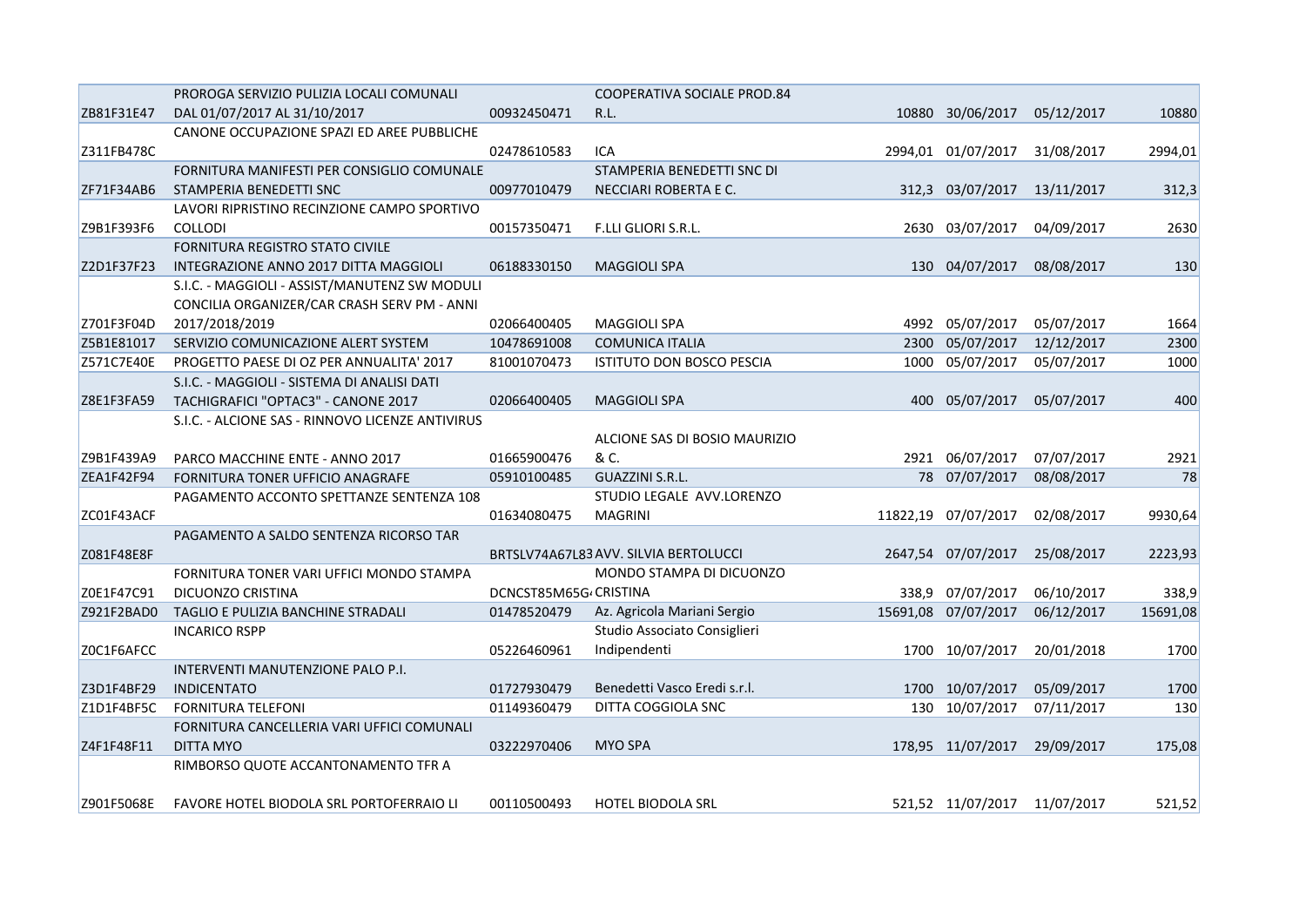|            | PROROGA SERVIZIO PULIZIA LOCALI COMUNALI         |                       | COOPERATIVA SOCIALE PROD.84           |      |                              |            |          |
|------------|--------------------------------------------------|-----------------------|---------------------------------------|------|------------------------------|------------|----------|
| ZB81F31E47 | DAL 01/07/2017 AL 31/10/2017                     | 00932450471           | R.L.                                  |      | 10880 30/06/2017             | 05/12/2017 | 10880    |
|            | CANONE OCCUPAZIONE SPAZI ED AREE PUBBLICHE       |                       |                                       |      |                              |            |          |
| Z311FB478C |                                                  | 02478610583           | ICA                                   |      | 2994,01 01/07/2017           | 31/08/2017 | 2994,01  |
|            | FORNITURA MANIFESTI PER CONSIGLIO COMUNALE       |                       | STAMPERIA BENEDETTI SNC DI            |      |                              |            |          |
| ZF71F34AB6 | STAMPERIA BENEDETTI SNC                          | 00977010479           | NECCIARI ROBERTA E C.                 |      | 312,3 03/07/2017             | 13/11/2017 | 312,3    |
|            | LAVORI RIPRISTINO RECINZIONE CAMPO SPORTIVO      |                       |                                       |      |                              |            |          |
| Z9B1F393F6 | COLLODI                                          | 00157350471           | F.LLI GLIORI S.R.L.                   |      | 2630 03/07/2017              | 04/09/2017 | 2630     |
|            | <b>FORNITURA REGISTRO STATO CIVILE</b>           |                       |                                       |      |                              |            |          |
| Z2D1F37F23 | INTEGRAZIONE ANNO 2017 DITTA MAGGIOLI            | 06188330150           | <b>MAGGIOLI SPA</b>                   |      | 130 04/07/2017               | 08/08/2017 | 130      |
|            | S.I.C. - MAGGIOLI - ASSIST/MANUTENZ SW MODULI    |                       |                                       |      |                              |            |          |
|            | CONCILIA ORGANIZER/CAR CRASH SERV PM - ANNI      |                       |                                       |      |                              |            |          |
| Z701F3F04D | 2017/2018/2019                                   | 02066400405           | <b>MAGGIOLI SPA</b>                   |      | 4992 05/07/2017              | 05/07/2017 | 1664     |
| Z5B1E81017 | SERVIZIO COMUNICAZIONE ALERT SYSTEM              | 10478691008           | <b>COMUNICA ITALIA</b>                | 2300 | 05/07/2017                   | 12/12/2017 | 2300     |
| Z571C7E40E | PROGETTO PAESE DI OZ PER ANNUALITA' 2017         | 81001070473           | ISTITUTO DON BOSCO PESCIA             | 1000 | 05/07/2017                   | 05/07/2017 | 1000     |
|            | S.I.C. - MAGGIOLI - SISTEMA DI ANALISI DATI      |                       |                                       |      |                              |            |          |
| Z8E1F3FA59 | TACHIGRAFICI "OPTAC3" - CANONE 2017              | 02066400405           | <b>MAGGIOLI SPA</b>                   |      | 400 05/07/2017               | 05/07/2017 | 400      |
|            | S.I.C. - ALCIONE SAS - RINNOVO LICENZE ANTIVIRUS |                       |                                       |      |                              |            |          |
|            |                                                  |                       | ALCIONE SAS DI BOSIO MAURIZIO         |      |                              |            |          |
| Z9B1F439A9 | PARCO MACCHINE ENTE - ANNO 2017                  | 01665900476           | & C.                                  |      | 2921 06/07/2017              | 07/07/2017 | 2921     |
| ZEA1F42F94 | FORNITURA TONER UFFICIO ANAGRAFE                 | 05910100485           | GUAZZINI S.R.L.                       |      | 78 07/07/2017                | 08/08/2017 | 78       |
|            | PAGAMENTO ACCONTO SPETTANZE SENTENZA 108         |                       | STUDIO LEGALE AVV.LORENZO             |      |                              |            |          |
| ZC01F43ACF |                                                  | 01634080475           | <b>MAGRINI</b>                        |      | 11822,19 07/07/2017          | 02/08/2017 | 9930,64  |
|            | PAGAMENTO A SALDO SENTENZA RICORSO TAR           |                       |                                       |      |                              |            |          |
| Z081F48E8F |                                                  |                       | BRTSLV74A67L83 AVV. SILVIA BERTOLUCCI |      | 2647,54 07/07/2017           | 25/08/2017 | 2223,93  |
|            | FORNITURA TONER VARI UFFICI MONDO STAMPA         |                       | MONDO STAMPA DI DICUONZO              |      |                              |            |          |
| Z0E1F47C91 | DICUONZO CRISTINA                                | DCNCST85M65G CRISTINA |                                       |      | 338,9 07/07/2017             | 06/10/2017 | 338,9    |
| Z921F2BAD0 | TAGLIO E PULIZIA BANCHINE STRADALI               | 01478520479           | Az. Agricola Mariani Sergio           |      | 15691,08 07/07/2017          | 06/12/2017 | 15691,08 |
|            | <b>INCARICO RSPP</b>                             |                       | Studio Associato Consiglieri          |      |                              |            |          |
| Z0C1F6AFCC |                                                  | 05226460961           | Indipendenti                          |      | 1700 10/07/2017              | 20/01/2018 | 1700     |
|            | INTERVENTI MANUTENZIONE PALO P.I.                |                       |                                       |      |                              |            |          |
| Z3D1F4BF29 | <b>INDICENTATO</b>                               | 01727930479           | Benedetti Vasco Eredi s.r.l.          |      | 1700 10/07/2017              | 05/09/2017 | 1700     |
| Z1D1F4BF5C | <b>FORNITURA TELEFONI</b>                        | 01149360479           | DITTA COGGIOLA SNC                    |      | 130 10/07/2017               | 07/11/2017 | 130      |
|            | FORNITURA CANCELLERIA VARI UFFICI COMUNALI       |                       |                                       |      |                              |            |          |
| Z4F1F48F11 | <b>DITTA MYO</b>                                 | 03222970406           | <b>MYO SPA</b>                        |      | 178,95 11/07/2017            | 29/09/2017 | 175,08   |
|            | RIMBORSO QUOTE ACCANTONAMENTO TFR A              |                       |                                       |      |                              |            |          |
|            |                                                  |                       |                                       |      |                              |            |          |
| Z901F5068E | <b>FAVORE HOTEL BIODOLA SRL PORTOFERRAIO LI</b>  | 00110500493           | <b>HOTEL BIODOLA SRL</b>              |      | 521,52 11/07/2017 11/07/2017 |            | 521,52   |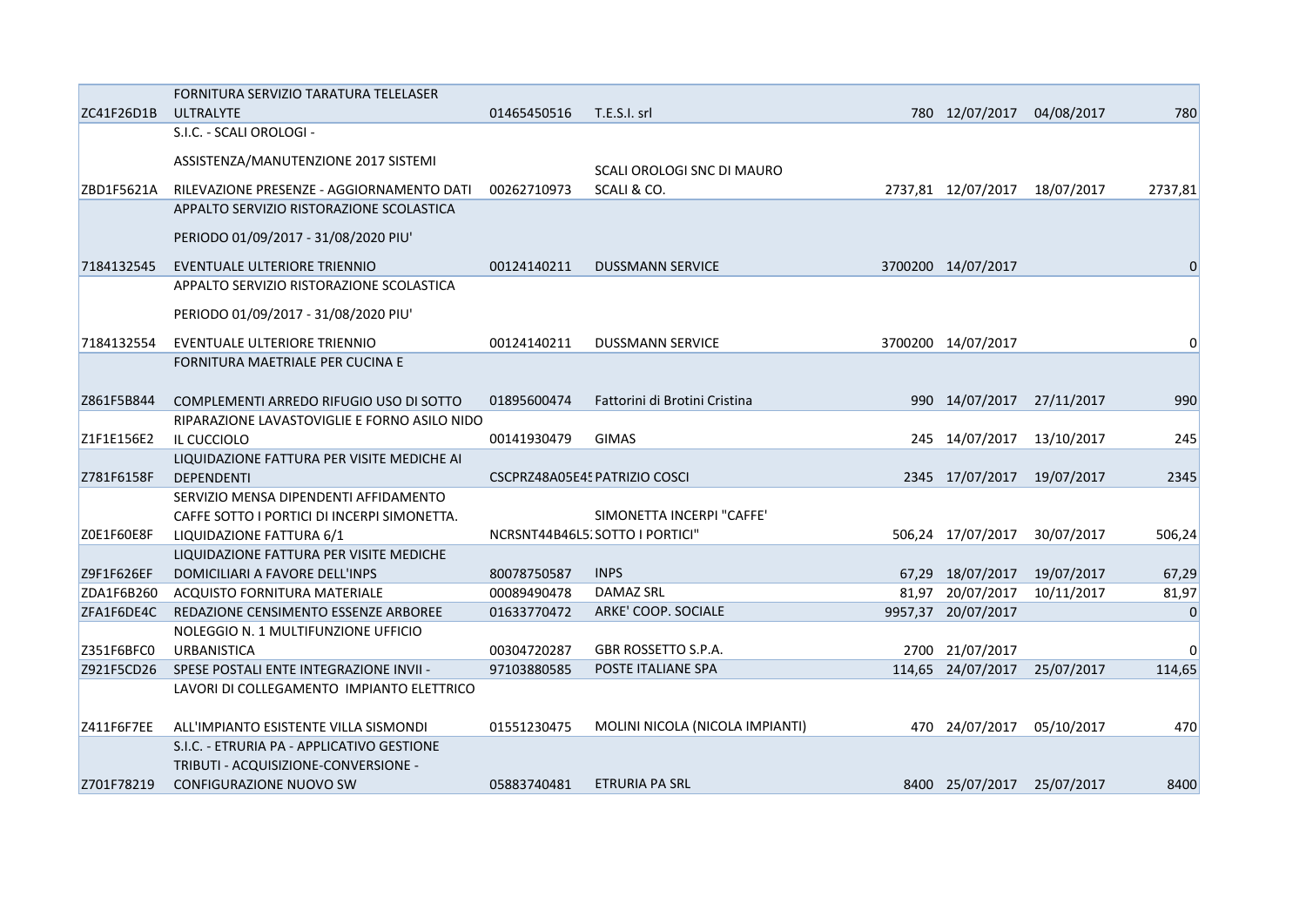|            | FORNITURA SERVIZIO TARATURA TELELASER        |             |                                 |                               |            |          |
|------------|----------------------------------------------|-------------|---------------------------------|-------------------------------|------------|----------|
| ZC41F26D1B | ULTRALYTE                                    | 01465450516 | T.E.S.I. srl                    | 780 12/07/2017                | 04/08/2017 | 780      |
|            | S.I.C. - SCALI OROLOGI -                     |             |                                 |                               |            |          |
|            | ASSISTENZA/MANUTENZIONE 2017 SISTEMI         |             |                                 |                               |            |          |
|            |                                              |             | SCALI OROLOGI SNC DI MAURO      |                               |            |          |
| ZBD1F5621A | RILEVAZIONE PRESENZE - AGGIORNAMENTO DATI    | 00262710973 | SCALI & CO.                     | 2737,81 12/07/2017 18/07/2017 |            | 2737,81  |
|            | APPALTO SERVIZIO RISTORAZIONE SCOLASTICA     |             |                                 |                               |            |          |
|            | PERIODO 01/09/2017 - 31/08/2020 PIU'         |             |                                 |                               |            |          |
|            |                                              |             |                                 |                               |            |          |
| 7184132545 | EVENTUALE ULTERIORE TRIENNIO                 | 00124140211 | <b>DUSSMANN SERVICE</b>         | 3700200 14/07/2017            |            |          |
|            | APPALTO SERVIZIO RISTORAZIONE SCOLASTICA     |             |                                 |                               |            |          |
|            | PERIODO 01/09/2017 - 31/08/2020 PIU'         |             |                                 |                               |            |          |
| 7184132554 | EVENTUALE ULTERIORE TRIENNIO                 | 00124140211 | <b>DUSSMANN SERVICE</b>         | 3700200 14/07/2017            |            | 0        |
|            | FORNITURA MAETRIALE PER CUCINA E             |             |                                 |                               |            |          |
|            |                                              |             |                                 |                               |            |          |
| Z861F5B844 | COMPLEMENTI ARREDO RIFUGIO USO DI SOTTO      | 01895600474 | Fattorini di Brotini Cristina   | 990 14/07/2017                | 27/11/2017 | 990      |
|            | RIPARAZIONE LAVASTOVIGLIE E FORNO ASILO NIDO |             |                                 |                               |            |          |
| Z1F1E156E2 | IL CUCCIOLO                                  | 00141930479 | <b>GIMAS</b>                    | 245 14/07/2017                | 13/10/2017 | 245      |
|            | LIQUIDAZIONE FATTURA PER VISITE MEDICHE AI   |             |                                 |                               |            |          |
| Z781F6158F | <b>DEPENDENTI</b>                            |             | CSCPRZ48A05E45 PATRIZIO COSCI   | 2345 17/07/2017               | 19/07/2017 | 2345     |
|            | SERVIZIO MENSA DIPENDENTI AFFIDAMENTO        |             |                                 |                               |            |          |
|            | CAFFE SOTTO I PORTICI DI INCERPI SIMONETTA.  |             | SIMONETTA INCERPI "CAFFE"       |                               |            |          |
| ZOE1F60E8F | LIQUIDAZIONE FATTURA 6/1                     |             | NCRSNT44B46L5. SOTTO I PORTICI" | 506,24 17/07/2017             | 30/07/2017 | 506,24   |
|            | LIQUIDAZIONE FATTURA PER VISITE MEDICHE      |             |                                 |                               |            |          |
| Z9F1F626EF | DOMICILIARI A FAVORE DELL'INPS               | 80078750587 | <b>INPS</b>                     | 67,29 18/07/2017              | 19/07/2017 | 67,29    |
| ZDA1F6B260 | <b>ACQUISTO FORNITURA MATERIALE</b>          | 00089490478 | <b>DAMAZ SRL</b>                | 81,97 20/07/2017              | 10/11/2017 | 81,97    |
| ZFA1F6DE4C | REDAZIONE CENSIMENTO ESSENZE ARBOREE         | 01633770472 | ARKE' COOP. SOCIALE             | 9957,37 20/07/2017            |            | 0        |
|            | NOLEGGIO N. 1 MULTIFUNZIONE UFFICIO          |             |                                 |                               |            |          |
| Z351F6BFC0 | <b>URBANISTICA</b>                           | 00304720287 | GBR ROSSETTO S.P.A.             | 2700 21/07/2017               |            | $\Omega$ |
| Z921F5CD26 | SPESE POSTALI ENTE INTEGRAZIONE INVII -      | 97103880585 | POSTE ITALIANE SPA              | 114,65 24/07/2017             | 25/07/2017 | 114,65   |
|            | LAVORI DI COLLEGAMENTO IMPIANTO ELETTRICO    |             |                                 |                               |            |          |
| Z411F6F7EE | ALL'IMPIANTO ESISTENTE VILLA SISMONDI        | 01551230475 | MOLINI NICOLA (NICOLA IMPIANTI) | 470 24/07/2017                | 05/10/2017 | 470      |
|            | S.I.C. - ETRURIA PA - APPLICATIVO GESTIONE   |             |                                 |                               |            |          |
|            | TRIBUTI - ACQUISIZIONE-CONVERSIONE -         |             |                                 |                               |            |          |
| Z701F78219 | <b>CONFIGURAZIONE NUOVO SW</b>               | 05883740481 | <b>ETRURIA PA SRL</b>           | 8400 25/07/2017 25/07/2017    |            | 8400     |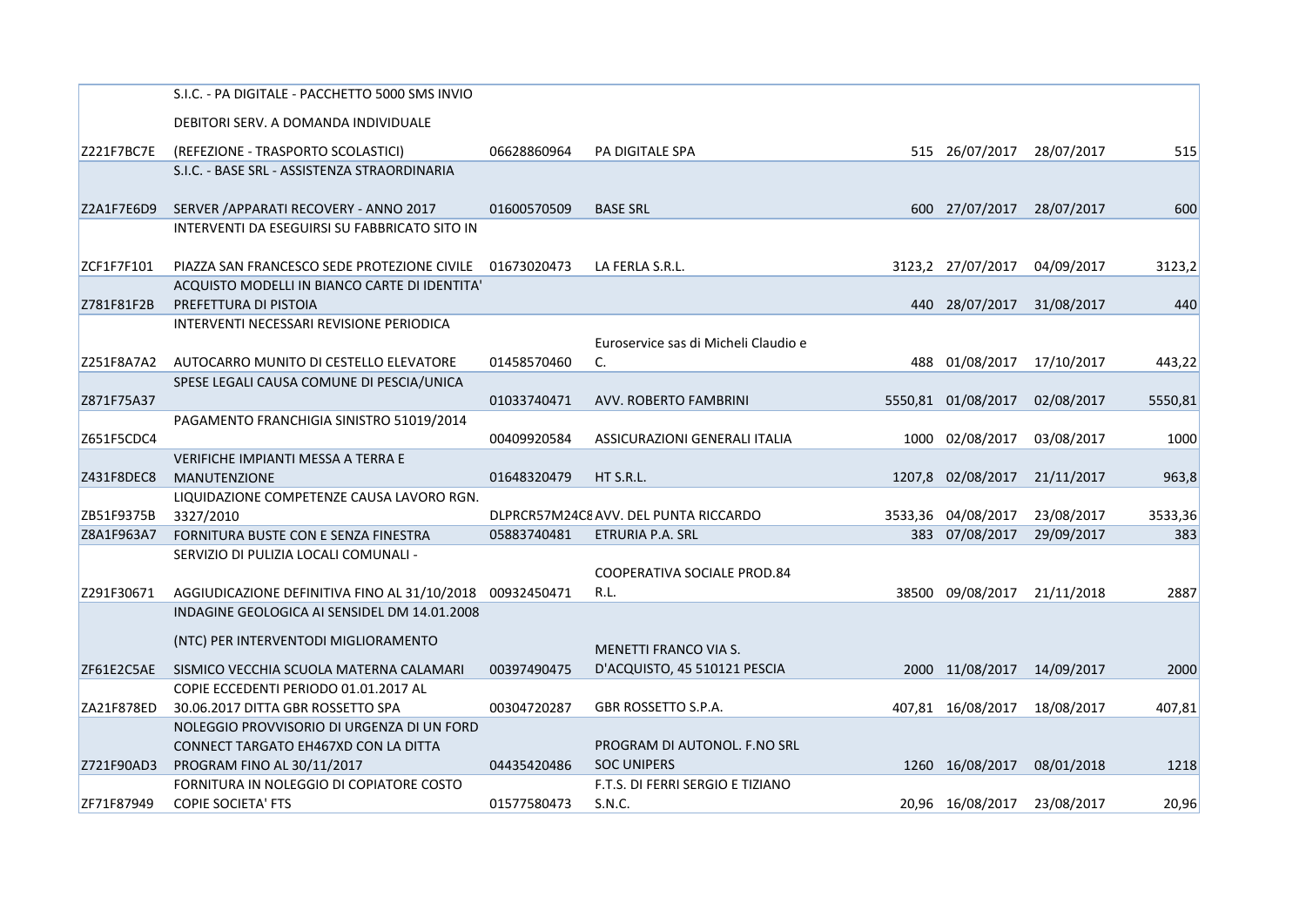|            | S.I.C. - PA DIGITALE - PACCHETTO 5000 SMS INVIO          |             |                                       |         |                    |            |         |
|------------|----------------------------------------------------------|-------------|---------------------------------------|---------|--------------------|------------|---------|
|            | DEBITORI SERV. A DOMANDA INDIVIDUALE                     |             |                                       |         |                    |            |         |
| Z221F7BC7E | (REFEZIONE - TRASPORTO SCOLASTICI)                       | 06628860964 | PA DIGITALE SPA                       |         | 515 26/07/2017     | 28/07/2017 | 515     |
|            | S.I.C. - BASE SRL - ASSISTENZA STRAORDINARIA             |             |                                       |         |                    |            |         |
|            |                                                          |             |                                       |         |                    |            |         |
| Z2A1F7E6D9 | SERVER / APPARATI RECOVERY - ANNO 2017                   | 01600570509 | <b>BASE SRL</b>                       |         | 600 27/07/2017     | 28/07/2017 | 600     |
|            | INTERVENTI DA ESEGUIRSI SU FABBRICATO SITO IN            |             |                                       |         |                    |            |         |
| ZCF1F7F101 | PIAZZA SAN FRANCESCO SEDE PROTEZIONE CIVILE              | 01673020473 | LA FERLA S.R.L.                       |         | 3123,2 27/07/2017  | 04/09/2017 | 3123,2  |
|            | ACQUISTO MODELLI IN BIANCO CARTE DI IDENTITA'            |             |                                       |         |                    |            |         |
| Z781F81F2B | PREFETTURA DI PISTOIA                                    |             |                                       |         | 440 28/07/2017     | 31/08/2017 | 440     |
|            | INTERVENTI NECESSARI REVISIONE PERIODICA                 |             |                                       |         |                    |            |         |
|            |                                                          |             | Euroservice sas di Micheli Claudio e  |         |                    |            |         |
| Z251F8A7A2 | AUTOCARRO MUNITO DI CESTELLO ELEVATORE                   | 01458570460 | C.                                    | 488     | 01/08/2017         | 17/10/2017 | 443,22  |
|            | SPESE LEGALI CAUSA COMUNE DI PESCIA/UNICA                |             |                                       |         |                    |            |         |
| Z871F75A37 |                                                          | 01033740471 | AVV. ROBERTO FAMBRINI                 | 5550,81 | 01/08/2017         | 02/08/2017 | 5550,81 |
|            | PAGAMENTO FRANCHIGIA SINISTRO 51019/2014                 |             |                                       |         |                    |            |         |
| Z651F5CDC4 |                                                          | 00409920584 | ASSICURAZIONI GENERALI ITALIA         | 1000    | 02/08/2017         | 03/08/2017 | 1000    |
|            | VERIFICHE IMPIANTI MESSA A TERRA E                       |             |                                       |         |                    |            |         |
| Z431F8DEC8 | <b>MANUTENZIONE</b>                                      | 01648320479 | HT S.R.L.                             |         | 1207,8 02/08/2017  | 21/11/2017 | 963,8   |
|            | LIQUIDAZIONE COMPETENZE CAUSA LAVORO RGN.                |             |                                       |         |                    |            |         |
| ZB51F9375B | 3327/2010                                                |             | DLPRCR57M24C8 AVV. DEL PUNTA RICCARDO |         | 3533,36 04/08/2017 | 23/08/2017 | 3533,36 |
| Z8A1F963A7 | FORNITURA BUSTE CON E SENZA FINESTRA                     | 05883740481 | ETRURIA P.A. SRL                      |         | 383 07/08/2017     | 29/09/2017 | 383     |
|            | SERVIZIO DI PULIZIA LOCALI COMUNALI -                    |             |                                       |         |                    |            |         |
|            |                                                          |             | COOPERATIVA SOCIALE PROD.84           |         |                    |            |         |
| Z291F30671 | AGGIUDICAZIONE DEFINITIVA FINO AL 31/10/2018 00932450471 |             | R.L.                                  | 38500   | 09/08/2017         | 21/11/2018 | 2887    |
|            | INDAGINE GEOLOGICA AI SENSIDEL DM 14.01.2008             |             |                                       |         |                    |            |         |
|            | (NTC) PER INTERVENTODI MIGLIORAMENTO                     |             |                                       |         |                    |            |         |
|            |                                                          |             | MENETTI FRANCO VIA S.                 |         |                    |            |         |
| ZF61E2C5AE | SISMICO VECCHIA SCUOLA MATERNA CALAMARI                  | 00397490475 | D'ACQUISTO, 45 510121 PESCIA          |         | 2000 11/08/2017    | 14/09/2017 | 2000    |
|            | COPIE ECCEDENTI PERIODO 01.01.2017 AL                    |             |                                       |         |                    |            |         |
| ZA21F878ED | 30.06.2017 DITTA GBR ROSSETTO SPA                        | 00304720287 | GBR ROSSETTO S.P.A.                   |         | 407,81 16/08/2017  | 18/08/2017 | 407,81  |
|            | NOLEGGIO PROVVISORIO DI URGENZA DI UN FORD               |             |                                       |         |                    |            |         |
|            | CONNECT TARGATO EH467XD CON LA DITTA                     |             | PROGRAM DI AUTONOL. F.NO SRL          |         |                    |            |         |
| Z721F90AD3 | PROGRAM FINO AL 30/11/2017                               | 04435420486 | <b>SOC UNIPERS</b>                    |         | 1260 16/08/2017    | 08/01/2018 | 1218    |
|            | FORNITURA IN NOLEGGIO DI COPIATORE COSTO                 |             | F.T.S. DI FERRI SERGIO E TIZIANO      |         |                    |            |         |
| ZF71F87949 | <b>COPIE SOCIETA' FTS</b>                                | 01577580473 | S.N.C.                                |         | 20,96 16/08/2017   | 23/08/2017 | 20,96   |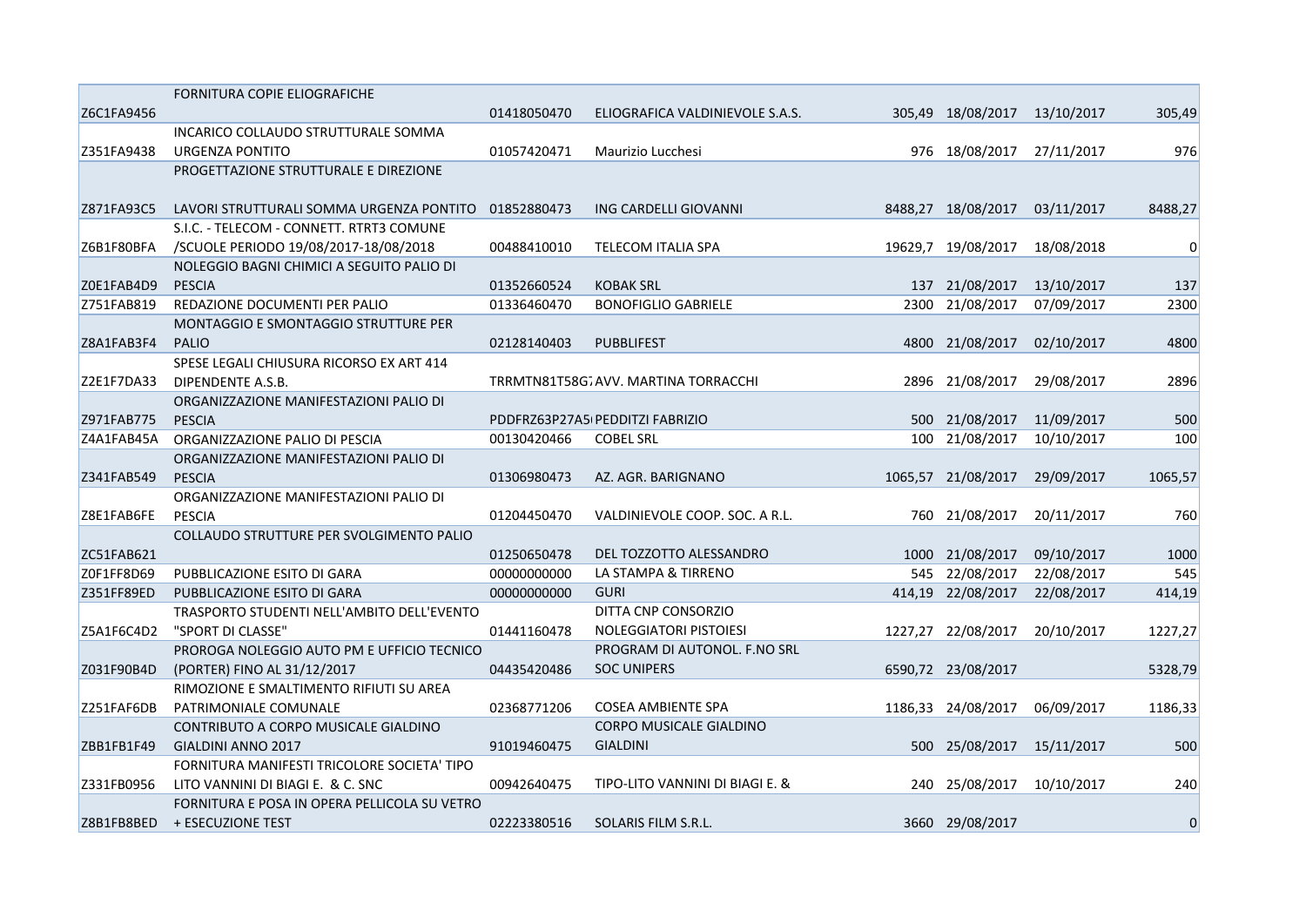|            | FORNITURA COPIE ELIOGRAFICHE                                                         |             |                                     |        |                    |            |         |
|------------|--------------------------------------------------------------------------------------|-------------|-------------------------------------|--------|--------------------|------------|---------|
| Z6C1FA9456 |                                                                                      | 01418050470 | ELIOGRAFICA VALDINIEVOLE S.A.S.     | 305.49 | 18/08/2017         | 13/10/2017 | 305,49  |
|            | INCARICO COLLAUDO STRUTTURALE SOMMA                                                  |             |                                     |        |                    |            |         |
| Z351FA9438 | URGENZA PONTITO                                                                      | 01057420471 | Maurizio Lucchesi                   |        | 976 18/08/2017     | 27/11/2017 | 976     |
|            | PROGETTAZIONE STRUTTURALE E DIREZIONE                                                |             |                                     |        |                    |            |         |
| Z871FA93C5 |                                                                                      | 01852880473 | ING CARDELLI GIOVANNI               |        | 8488,27 18/08/2017 | 03/11/2017 | 8488,27 |
|            | LAVORI STRUTTURALI SOMMA URGENZA PONTITO<br>S.I.C. - TELECOM - CONNETT. RTRT3 COMUNE |             |                                     |        |                    |            |         |
| Z6B1F80BFA | /SCUOLE PERIODO 19/08/2017-18/08/2018                                                | 00488410010 | TELECOM ITALIA SPA                  |        | 19629,7 19/08/2017 | 18/08/2018 | 0       |
|            | NOLEGGIO BAGNI CHIMICI A SEGUITO PALIO DI                                            |             |                                     |        |                    |            |         |
| Z0E1FAB4D9 | <b>PESCIA</b>                                                                        | 01352660524 | <b>KOBAK SRL</b>                    |        | 137 21/08/2017     | 13/10/2017 | 137     |
| Z751FAB819 | REDAZIONE DOCUMENTI PER PALIO                                                        | 01336460470 | <b>BONOFIGLIO GABRIELE</b>          |        | 2300 21/08/2017    |            |         |
|            | MONTAGGIO E SMONTAGGIO STRUTTURE PER                                                 |             |                                     |        |                    | 07/09/2017 | 2300    |
| Z8A1FAB3F4 | <b>PALIO</b>                                                                         | 02128140403 | <b>PUBBLIFEST</b>                   | 4800   | 21/08/2017         | 02/10/2017 | 4800    |
|            | SPESE LEGALI CHIUSURA RICORSO EX ART 414                                             |             |                                     |        |                    |            |         |
|            |                                                                                      |             |                                     |        | 21/08/2017         |            |         |
| Z2E1F7DA33 | DIPENDENTE A.S.B.                                                                    |             | TRRMTN81T58G7AVV. MARTINA TORRACCHI | 2896   |                    | 29/08/2017 | 2896    |
|            | ORGANIZZAZIONE MANIFESTAZIONI PALIO DI                                               |             |                                     |        |                    |            |         |
| Z971FAB775 | <b>PESCIA</b>                                                                        |             | PDDFRZ63P27A5(PEDDITZI FABRIZIO     |        | 500 21/08/2017     | 11/09/2017 | 500     |
| Z4A1FAB45A | ORGANIZZAZIONE PALIO DI PESCIA                                                       | 00130420466 | <b>COBEL SRL</b>                    |        | 100 21/08/2017     | 10/10/2017 | 100     |
|            | ORGANIZZAZIONE MANIFESTAZIONI PALIO DI                                               |             |                                     |        |                    |            |         |
| Z341FAB549 | <b>PESCIA</b>                                                                        | 01306980473 | AZ. AGR. BARIGNANO                  |        | 1065,57 21/08/2017 | 29/09/2017 | 1065,57 |
|            | ORGANIZZAZIONE MANIFESTAZIONI PALIO DI                                               |             |                                     |        |                    |            |         |
| Z8E1FAB6FE | <b>PESCIA</b>                                                                        | 01204450470 | VALDINIEVOLE COOP. SOC. A R.L.      |        | 760 21/08/2017     | 20/11/2017 | 760     |
|            | COLLAUDO STRUTTURE PER SVOLGIMENTO PALIO                                             |             |                                     |        |                    |            |         |
| ZC51FAB621 |                                                                                      | 01250650478 | DEL TOZZOTTO ALESSANDRO             |        | 1000 21/08/2017    | 09/10/2017 | 1000    |
| Z0F1FF8D69 | PUBBLICAZIONE ESITO DI GARA                                                          | 00000000000 | LA STAMPA & TIRRENO                 |        | 545 22/08/2017     | 22/08/2017 | 545     |
| Z351FF89ED | PUBBLICAZIONE ESITO DI GARA                                                          | 00000000000 | <b>GURI</b>                         |        | 414,19 22/08/2017  | 22/08/2017 | 414,19  |
|            | TRASPORTO STUDENTI NELL'AMBITO DELL'EVENTO                                           |             | DITTA CNP CONSORZIO                 |        |                    |            |         |
| Z5A1F6C4D2 | "SPORT DI CLASSE"                                                                    | 01441160478 | NOLEGGIATORI PISTOIESI              |        | 1227,27 22/08/2017 | 20/10/2017 | 1227,27 |
|            | PROROGA NOLEGGIO AUTO PM E UFFICIO TECNICO                                           |             | PROGRAM DI AUTONOL. F.NO SRL        |        |                    |            |         |
| Z031F90B4D | (PORTER) FINO AL 31/12/2017                                                          | 04435420486 | <b>SOC UNIPERS</b>                  |        | 6590,72 23/08/2017 |            | 5328,79 |
|            | RIMOZIONE E SMALTIMENTO RIFIUTI SU AREA                                              |             |                                     |        |                    |            |         |
| Z251FAF6DB | PATRIMONIALE COMUNALE                                                                | 02368771206 | <b>COSEA AMBIENTE SPA</b>           |        | 1186,33 24/08/2017 | 06/09/2017 | 1186,33 |
|            | CONTRIBUTO A CORPO MUSICALE GIALDINO                                                 |             | <b>CORPO MUSICALE GIALDINO</b>      |        |                    |            |         |
| ZBB1FB1F49 | <b>GIALDINI ANNO 2017</b>                                                            | 91019460475 | <b>GIALDINI</b>                     |        | 500 25/08/2017     | 15/11/2017 | 500     |
|            | FORNITURA MANIFESTI TRICOLORE SOCIETA' TIPO                                          |             |                                     |        |                    |            |         |
| Z331FB0956 | LITO VANNINI DI BIAGI E. & C. SNC                                                    | 00942640475 | TIPO-LITO VANNINI DI BIAGI E. &     |        | 240 25/08/2017     | 10/10/2017 | 240     |
|            | FORNITURA E POSA IN OPERA PELLICOLA SU VETRO                                         |             |                                     |        |                    |            |         |
| Z8B1FB8BED | + ESECUZIONE TEST                                                                    | 02223380516 | SOLARIS FILM S.R.L.                 |        | 3660 29/08/2017    |            | 0       |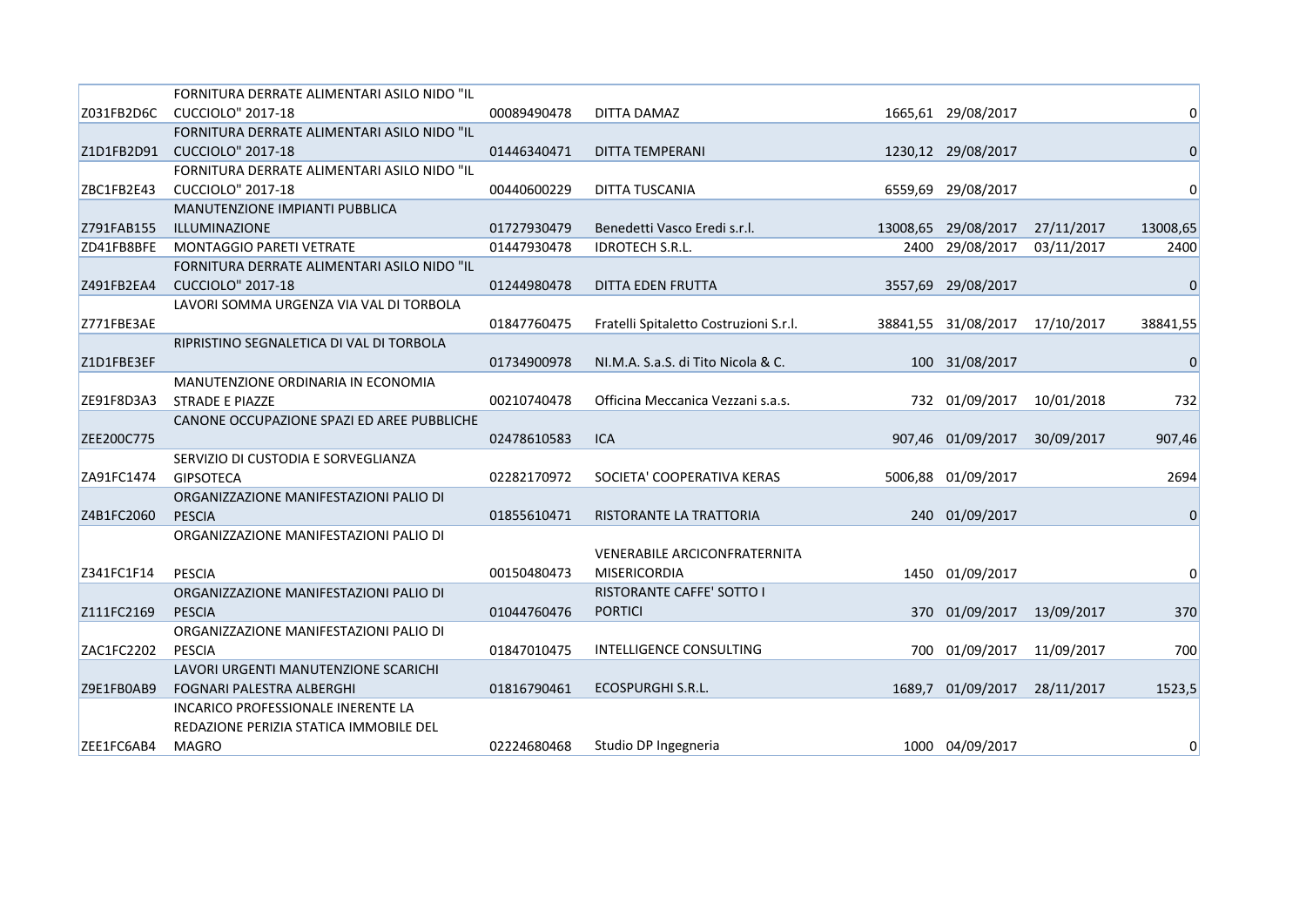|            | FORNITURA DERRATE ALIMENTARI ASILO NIDO "IL |             |                                        |                     |            |             |
|------------|---------------------------------------------|-------------|----------------------------------------|---------------------|------------|-------------|
| Z031FB2D6C | CUCCIOLO" 2017-18                           | 00089490478 | DITTA DAMAZ                            | 1665,61 29/08/2017  |            | 0           |
|            | FORNITURA DERRATE ALIMENTARI ASILO NIDO "IL |             |                                        |                     |            |             |
| Z1D1FB2D91 | <b>CUCCIOLO" 2017-18</b>                    | 01446340471 | <b>DITTA TEMPERANI</b>                 | 1230,12 29/08/2017  |            | $\mathbf 0$ |
|            | FORNITURA DERRATE ALIMENTARI ASILO NIDO "IL |             |                                        |                     |            |             |
| ZBC1FB2E43 | <b>CUCCIOLO" 2017-18</b>                    | 00440600229 | DITTA TUSCANIA                         | 6559,69 29/08/2017  |            | 0           |
|            | MANUTENZIONE IMPIANTI PUBBLICA              |             |                                        |                     |            |             |
| Z791FAB155 | ILLUMINAZIONE                               | 01727930479 | Benedetti Vasco Eredi s.r.l.           | 13008,65 29/08/2017 | 27/11/2017 | 13008,65    |
| ZD41FB8BFE | <b>MONTAGGIO PARETI VETRATE</b>             | 01447930478 | <b>IDROTECH S.R.L.</b>                 | 2400 29/08/2017     | 03/11/2017 | 2400        |
|            | FORNITURA DERRATE ALIMENTARI ASILO NIDO "IL |             |                                        |                     |            |             |
| Z491FB2EA4 | <b>CUCCIOLO" 2017-18</b>                    | 01244980478 | DITTA EDEN FRUTTA                      | 3557,69 29/08/2017  |            | $\mathbf 0$ |
|            | LAVORI SOMMA URGENZA VIA VAL DI TORBOLA     |             |                                        |                     |            |             |
| Z771FBE3AE |                                             | 01847760475 | Fratelli Spitaletto Costruzioni S.r.l. | 38841,55 31/08/2017 | 17/10/2017 | 38841,55    |
|            | RIPRISTINO SEGNALETICA DI VAL DI TORBOLA    |             |                                        |                     |            |             |
| Z1D1FBE3EF |                                             | 01734900978 | NI.M.A. S.a.S. di Tito Nicola & C.     | 100 31/08/2017      |            | $\mathbf 0$ |
|            | MANUTENZIONE ORDINARIA IN ECONOMIA          |             |                                        |                     |            |             |
| ZE91F8D3A3 | <b>STRADE E PIAZZE</b>                      | 00210740478 | Officina Meccanica Vezzani s.a.s.      | 732 01/09/2017      | 10/01/2018 | 732         |
|            | CANONE OCCUPAZIONE SPAZI ED AREE PUBBLICHE  |             |                                        |                     |            |             |
| ZEE200C775 |                                             | 02478610583 | ICA                                    | 907,46 01/09/2017   | 30/09/2017 | 907,46      |
|            | SERVIZIO DI CUSTODIA E SORVEGLIANZA         |             |                                        |                     |            |             |
| ZA91FC1474 | <b>GIPSOTECA</b>                            | 02282170972 | SOCIETA' COOPERATIVA KERAS             | 5006,88 01/09/2017  |            | 2694        |
|            | ORGANIZZAZIONE MANIFESTAZIONI PALIO DI      |             |                                        |                     |            |             |
| Z4B1FC2060 | <b>PESCIA</b>                               | 01855610471 | RISTORANTE LA TRATTORIA                | 240 01/09/2017      |            | $\mathbf 0$ |
|            | ORGANIZZAZIONE MANIFESTAZIONI PALIO DI      |             |                                        |                     |            |             |
|            |                                             |             | <b>VENERABILE ARCICONFRATERNITA</b>    |                     |            |             |
| Z341FC1F14 | <b>PESCIA</b>                               | 00150480473 | <b>MISERICORDIA</b>                    | 1450 01/09/2017     |            | 0           |
|            | ORGANIZZAZIONE MANIFESTAZIONI PALIO DI      |             | RISTORANTE CAFFE' SOTTO I              |                     |            |             |
| Z111FC2169 | <b>PESCIA</b>                               | 01044760476 | <b>PORTICI</b>                         | 370 01/09/2017      | 13/09/2017 | 370         |
|            | ORGANIZZAZIONE MANIFESTAZIONI PALIO DI      |             |                                        |                     |            |             |
| ZAC1FC2202 | <b>PESCIA</b>                               | 01847010475 | <b>INTELLIGENCE CONSULTING</b>         | 700 01/09/2017      | 11/09/2017 | 700         |
|            | LAVORI URGENTI MANUTENZIONE SCARICHI        |             |                                        |                     |            |             |
| Z9E1FB0AB9 | FOGNARI PALESTRA ALBERGHI                   | 01816790461 | ECOSPURGHI S.R.L.                      | 1689,7 01/09/2017   | 28/11/2017 | 1523,5      |
|            | <b>INCARICO PROFESSIONALE INERENTE LA</b>   |             |                                        |                     |            |             |
|            | REDAZIONE PERIZIA STATICA IMMOBILE DEL      |             |                                        |                     |            |             |
| ZEE1FC6AB4 | MAGRO                                       | 02224680468 | Studio DP Ingegneria                   | 1000 04/09/2017     |            | 0           |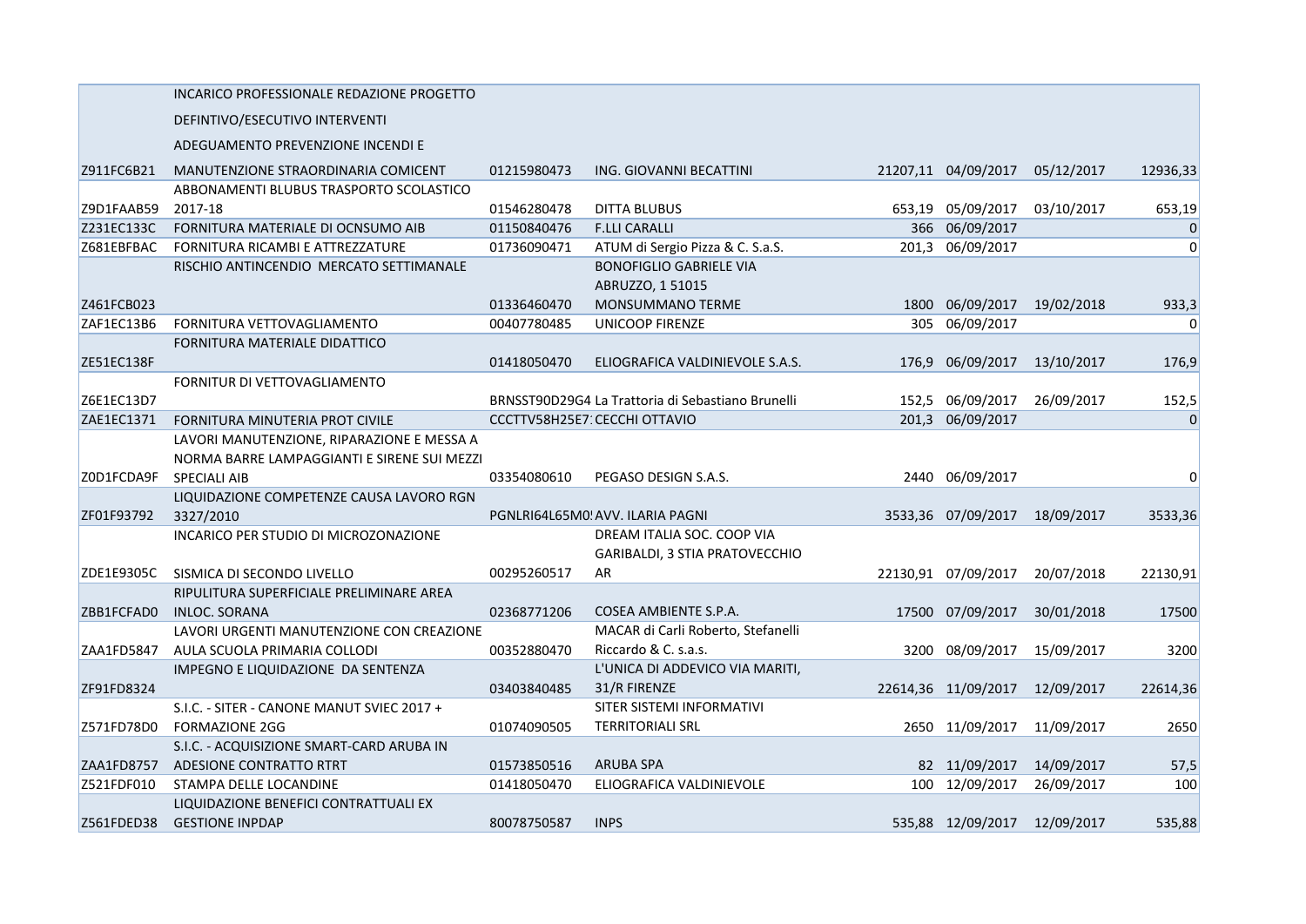|            | INCARICO PROFESSIONALE REDAZIONE PROGETTO   |             |                                                   |       |                              |            |                |
|------------|---------------------------------------------|-------------|---------------------------------------------------|-------|------------------------------|------------|----------------|
|            | DEFINTIVO/ESECUTIVO INTERVENTI              |             |                                                   |       |                              |            |                |
|            | ADEGUAMENTO PREVENZIONE INCENDI E           |             |                                                   |       |                              |            |                |
| Z911FC6B21 | MANUTENZIONE STRAORDINARIA COMICENT         | 01215980473 | ING. GIOVANNI BECATTINI                           |       | 21207,11 04/09/2017          | 05/12/2017 | 12936,33       |
|            | ABBONAMENTI BLUBUS TRASPORTO SCOLASTICO     |             |                                                   |       |                              |            |                |
| Z9D1FAAB59 | 2017-18                                     | 01546280478 | <b>DITTA BLUBUS</b>                               |       | 653,19 05/09/2017            | 03/10/2017 | 653,19         |
| Z231EC133C | FORNITURA MATERIALE DI OCNSUMO AIB          | 01150840476 | <b>F.LLI CARALLI</b>                              |       | 366 06/09/2017               |            | $\overline{0}$ |
| Z681EBFBAC | FORNITURA RICAMBI E ATTREZZATURE            | 01736090471 | ATUM di Sergio Pizza & C. S.a.S.                  | 201.3 | 06/09/2017                   |            | $\Omega$       |
|            | RISCHIO ANTINCENDIO MERCATO SETTIMANALE     |             | <b>BONOFIGLIO GABRIELE VIA</b>                    |       |                              |            |                |
|            |                                             |             | ABRUZZO, 1 51015                                  |       |                              |            |                |
| Z461FCB023 |                                             | 01336460470 | <b>MONSUMMANO TERME</b>                           | 1800  | 06/09/2017                   | 19/02/2018 | 933,3          |
| ZAF1EC13B6 | FORNITURA VETTOVAGLIAMENTO                  | 00407780485 | <b>UNICOOP FIRENZE</b>                            |       | 305 06/09/2017               |            | $\overline{0}$ |
|            | FORNITURA MATERIALE DIDATTICO               |             |                                                   |       |                              |            |                |
| ZE51EC138F |                                             | 01418050470 | ELIOGRAFICA VALDINIEVOLE S.A.S.                   |       | 176,9 06/09/2017             | 13/10/2017 | 176,9          |
|            | FORNITUR DI VETTOVAGLIAMENTO                |             |                                                   |       |                              |            |                |
| Z6E1EC13D7 |                                             |             | BRNSST90D29G4 La Trattoria di Sebastiano Brunelli |       | 152,5 06/09/2017             | 26/09/2017 | 152,5          |
| ZAE1EC1371 | FORNITURA MINUTERIA PROT CIVILE             |             | CCCTTV58H25E7: CECCHI OTTAVIO                     |       | 201,3 06/09/2017             |            | $\Omega$       |
|            | LAVORI MANUTENZIONE, RIPARAZIONE E MESSA A  |             |                                                   |       |                              |            |                |
|            | NORMA BARRE LAMPAGGIANTI E SIRENE SUI MEZZI |             |                                                   |       |                              |            |                |
| ZOD1FCDA9F | <b>SPECIALI AIB</b>                         | 03354080610 | PEGASO DESIGN S.A.S.                              |       | 2440 06/09/2017              |            | $\overline{0}$ |
|            | LIQUIDAZIONE COMPETENZE CAUSA LAVORO RGN    |             |                                                   |       |                              |            |                |
| ZF01F93792 | 3327/2010                                   |             | PGNLRI64L65M0! AVV. ILARIA PAGNI                  |       | 3533,36 07/09/2017           | 18/09/2017 | 3533,36        |
|            | INCARICO PER STUDIO DI MICROZONAZIONE       |             | DREAM ITALIA SOC. COOP VIA                        |       |                              |            |                |
|            |                                             |             | GARIBALDI, 3 STIA PRATOVECCHIO                    |       |                              |            |                |
| ZDE1E9305C | SISMICA DI SECONDO LIVELLO                  | 00295260517 | AR                                                |       | 22130,91 07/09/2017          | 20/07/2018 | 22130,91       |
|            | RIPULITURA SUPERFICIALE PRELIMINARE AREA    |             |                                                   |       |                              |            |                |
| ZBB1FCFAD0 | <b>INLOC. SORANA</b>                        | 02368771206 | COSEA AMBIENTE S.P.A.                             |       | 17500 07/09/2017             | 30/01/2018 | 17500          |
|            | LAVORI URGENTI MANUTENZIONE CON CREAZIONE   |             | MACAR di Carli Roberto, Stefanelli                |       |                              |            |                |
| ZAA1FD5847 | AULA SCUOLA PRIMARIA COLLODI                | 00352880470 | Riccardo & C. s.a.s.                              | 3200  | 08/09/2017                   | 15/09/2017 | 3200           |
|            | IMPEGNO E LIQUIDAZIONE DA SENTENZA          |             | L'UNICA DI ADDEVICO VIA MARITI,                   |       |                              |            |                |
| ZF91FD8324 |                                             | 03403840485 | 31/R FIRENZE                                      |       | 22614,36 11/09/2017          | 12/09/2017 | 22614,36       |
|            | S.I.C. - SITER - CANONE MANUT SVIEC 2017 +  |             | SITER SISTEMI INFORMATIVI                         |       |                              |            |                |
| Z571FD78D0 | <b>FORMAZIONE 2GG</b>                       | 01074090505 | <b>TERRITORIALI SRL</b>                           |       | 2650 11/09/2017              | 11/09/2017 | 2650           |
|            | S.I.C. - ACQUISIZIONE SMART-CARD ARUBA IN   |             |                                                   |       |                              |            |                |
| ZAA1FD8757 | ADESIONE CONTRATTO RTRT                     | 01573850516 | <b>ARUBA SPA</b>                                  |       | 82 11/09/2017                | 14/09/2017 | 57,5           |
| Z521FDF010 | STAMPA DELLE LOCANDINE                      | 01418050470 | ELIOGRAFICA VALDINIEVOLE                          |       | 100 12/09/2017               | 26/09/2017 | 100            |
|            | LIQUIDAZIONE BENEFICI CONTRATTUALI EX       |             |                                                   |       |                              |            |                |
| Z561FDED38 | <b>GESTIONE INPDAP</b>                      | 80078750587 | <b>INPS</b>                                       |       | 535,88 12/09/2017 12/09/2017 |            | 535,88         |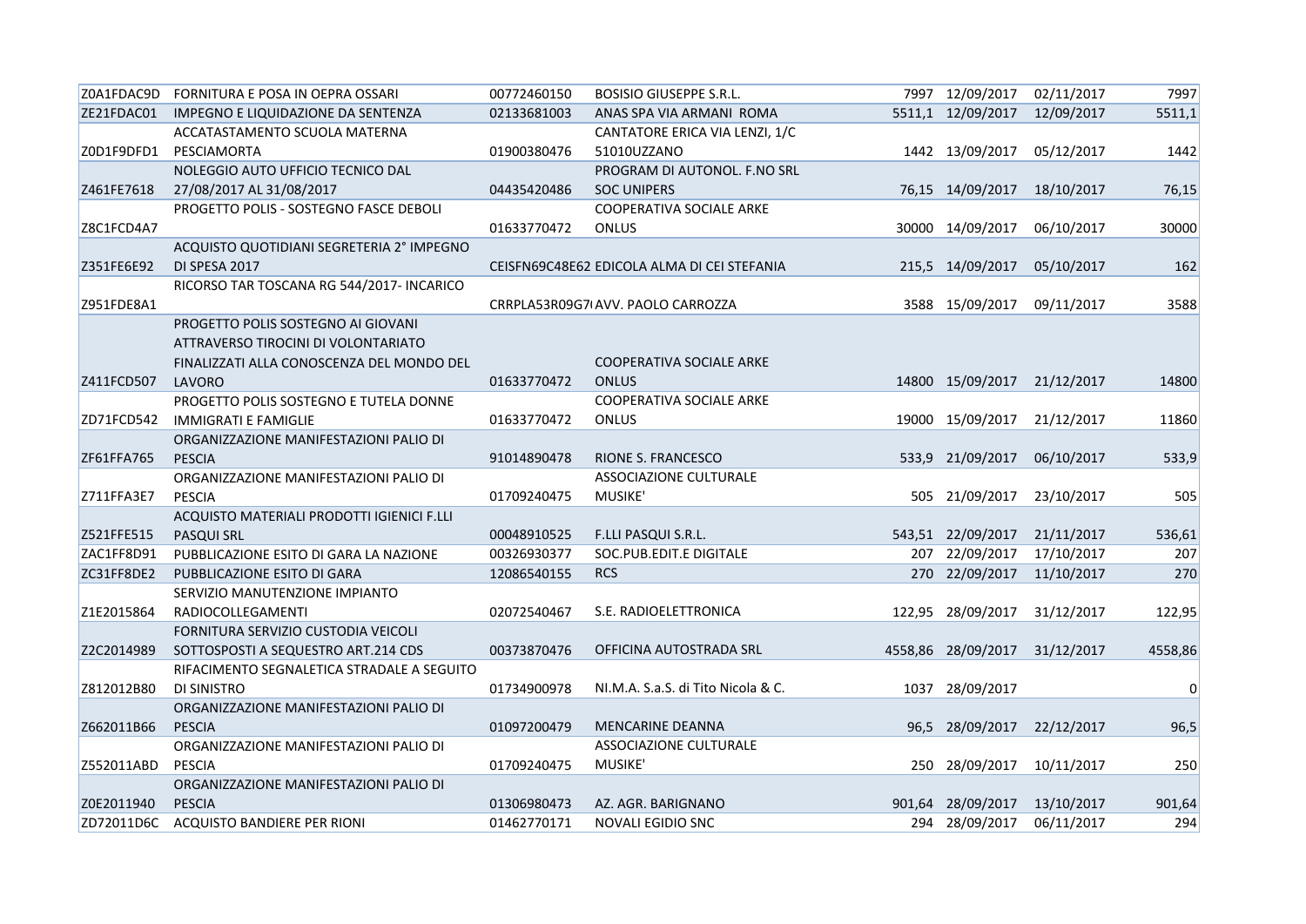|            | ZOA1FDAC9D FORNITURA E POSA IN OEPRA OSSARI | 00772460150 | <b>BOSISIO GIUSEPPE S.R.L.</b>              | 7997 12/09/2017             | 02/11/2017 | 7997    |
|------------|---------------------------------------------|-------------|---------------------------------------------|-----------------------------|------------|---------|
| ZE21FDAC01 | IMPEGNO E LIQUIDAZIONE DA SENTENZA          | 02133681003 | ANAS SPA VIA ARMANI ROMA                    | 5511,1 12/09/2017           | 12/09/2017 | 5511,1  |
|            | ACCATASTAMENTO SCUOLA MATERNA               |             | CANTATORE ERICA VIA LENZI, 1/C              |                             |            |         |
| Z0D1F9DFD1 | PESCIAMORTA                                 | 01900380476 | 51010UZZANO                                 | 1442 13/09/2017             | 05/12/2017 | 1442    |
|            | NOLEGGIO AUTO UFFICIO TECNICO DAL           |             | PROGRAM DI AUTONOL. F.NO SRL                |                             |            |         |
| Z461FE7618 | 27/08/2017 AL 31/08/2017                    | 04435420486 | <b>SOC UNIPERS</b>                          | 76,15 14/09/2017            | 18/10/2017 | 76,15   |
|            | PROGETTO POLIS - SOSTEGNO FASCE DEBOLI      |             | <b>COOPERATIVA SOCIALE ARKE</b>             |                             |            |         |
| Z8C1FCD4A7 |                                             | 01633770472 | ONLUS                                       | 30000 14/09/2017            | 06/10/2017 | 30000   |
|            | ACQUISTO QUOTIDIANI SEGRETERIA 2° IMPEGNO   |             |                                             |                             |            |         |
| Z351FE6E92 | DI SPESA 2017                               |             | CEISFN69C48E62 EDICOLA ALMA DI CEI STEFANIA | 215,5 14/09/2017            | 05/10/2017 | 162     |
|            | RICORSO TAR TOSCANA RG 544/2017- INCARICO   |             |                                             |                             |            |         |
| Z951FDE8A1 |                                             |             | CRRPLA53R09G7(AVV. PAOLO CARROZZA           | 3588 15/09/2017             | 09/11/2017 | 3588    |
|            | PROGETTO POLIS SOSTEGNO AI GIOVANI          |             |                                             |                             |            |         |
|            | ATTRAVERSO TIROCINI DI VOLONTARIATO         |             |                                             |                             |            |         |
|            | FINALIZZATI ALLA CONOSCENZA DEL MONDO DEL   |             | <b>COOPERATIVA SOCIALE ARKE</b>             |                             |            |         |
| Z411FCD507 | LAVORO                                      | 01633770472 | <b>ONLUS</b>                                | 14800 15/09/2017 21/12/2017 |            | 14800   |
|            | PROGETTO POLIS SOSTEGNO E TUTELA DONNE      |             | COOPERATIVA SOCIALE ARKE                    |                             |            |         |
| ZD71FCD542 | <b>IMMIGRATI E FAMIGLIE</b>                 | 01633770472 | <b>ONLUS</b>                                | 19000 15/09/2017            | 21/12/2017 | 11860   |
|            | ORGANIZZAZIONE MANIFESTAZIONI PALIO DI      |             |                                             |                             |            |         |
| ZF61FFA765 | <b>PESCIA</b>                               | 91014890478 | <b>RIONE S. FRANCESCO</b>                   | 533,9 21/09/2017            | 06/10/2017 | 533,9   |
|            | ORGANIZZAZIONE MANIFESTAZIONI PALIO DI      |             | ASSOCIAZIONE CULTURALE                      |                             |            |         |
| Z711FFA3E7 | <b>PESCIA</b>                               | 01709240475 | MUSIKE'                                     | 505 21/09/2017              | 23/10/2017 | 505     |
|            | ACQUISTO MATERIALI PRODOTTI IGIENICI F.LLI  |             |                                             |                             |            |         |
| Z521FFE515 | <b>PASQUI SRL</b>                           | 00048910525 | F.LLI PASQUI S.R.L.                         | 543,51 22/09/2017           | 21/11/2017 | 536,61  |
| ZAC1FF8D91 | PUBBLICAZIONE ESITO DI GARA LA NAZIONE      | 00326930377 | SOC.PUB.EDIT.E DIGITALE                     | 207 22/09/2017              | 17/10/2017 | 207     |
| ZC31FF8DE2 | PUBBLICAZIONE ESITO DI GARA                 | 12086540155 | <b>RCS</b>                                  | 270 22/09/2017              | 11/10/2017 | 270     |
|            | SERVIZIO MANUTENZIONE IMPIANTO              |             |                                             |                             |            |         |
| Z1E2015864 | RADIOCOLLEGAMENTI                           | 02072540467 | S.E. RADIOELETTRONICA                       | 122,95 28/09/2017           | 31/12/2017 | 122,95  |
|            | FORNITURA SERVIZIO CUSTODIA VEICOLI         |             |                                             |                             |            |         |
| Z2C2014989 | SOTTOSPOSTI A SEQUESTRO ART.214 CDS         | 00373870476 | OFFICINA AUTOSTRADA SRL                     | 4558,86 28/09/2017          | 31/12/2017 | 4558,86 |
|            | RIFACIMENTO SEGNALETICA STRADALE A SEGUITO  |             |                                             |                             |            |         |
| Z812012B80 | <b>DI SINISTRO</b>                          | 01734900978 | NI.M.A. S.a.S. di Tito Nicola & C.          | 1037 28/09/2017             |            | 0       |
|            | ORGANIZZAZIONE MANIFESTAZIONI PALIO DI      |             |                                             |                             |            |         |
| Z662011B66 | <b>PESCIA</b>                               | 01097200479 | <b>MENCARINE DEANNA</b>                     | 96,5 28/09/2017             | 22/12/2017 | 96,5    |
|            | ORGANIZZAZIONE MANIFESTAZIONI PALIO DI      |             | ASSOCIAZIONE CULTURALE                      |                             |            |         |
| Z552011ABD | <b>PESCIA</b>                               | 01709240475 | <b>MUSIKE'</b>                              | 250 28/09/2017              | 10/11/2017 | 250     |
|            | ORGANIZZAZIONE MANIFESTAZIONI PALIO DI      |             |                                             |                             |            |         |
| Z0E2011940 | <b>PESCIA</b>                               | 01306980473 | AZ. AGR. BARIGNANO                          | 901,64 28/09/2017           | 13/10/2017 | 901,64  |
|            | ZD72011D6C ACQUISTO BANDIERE PER RIONI      | 01462770171 | NOVALI EGIDIO SNC                           | 294 28/09/2017 06/11/2017   |            | 294     |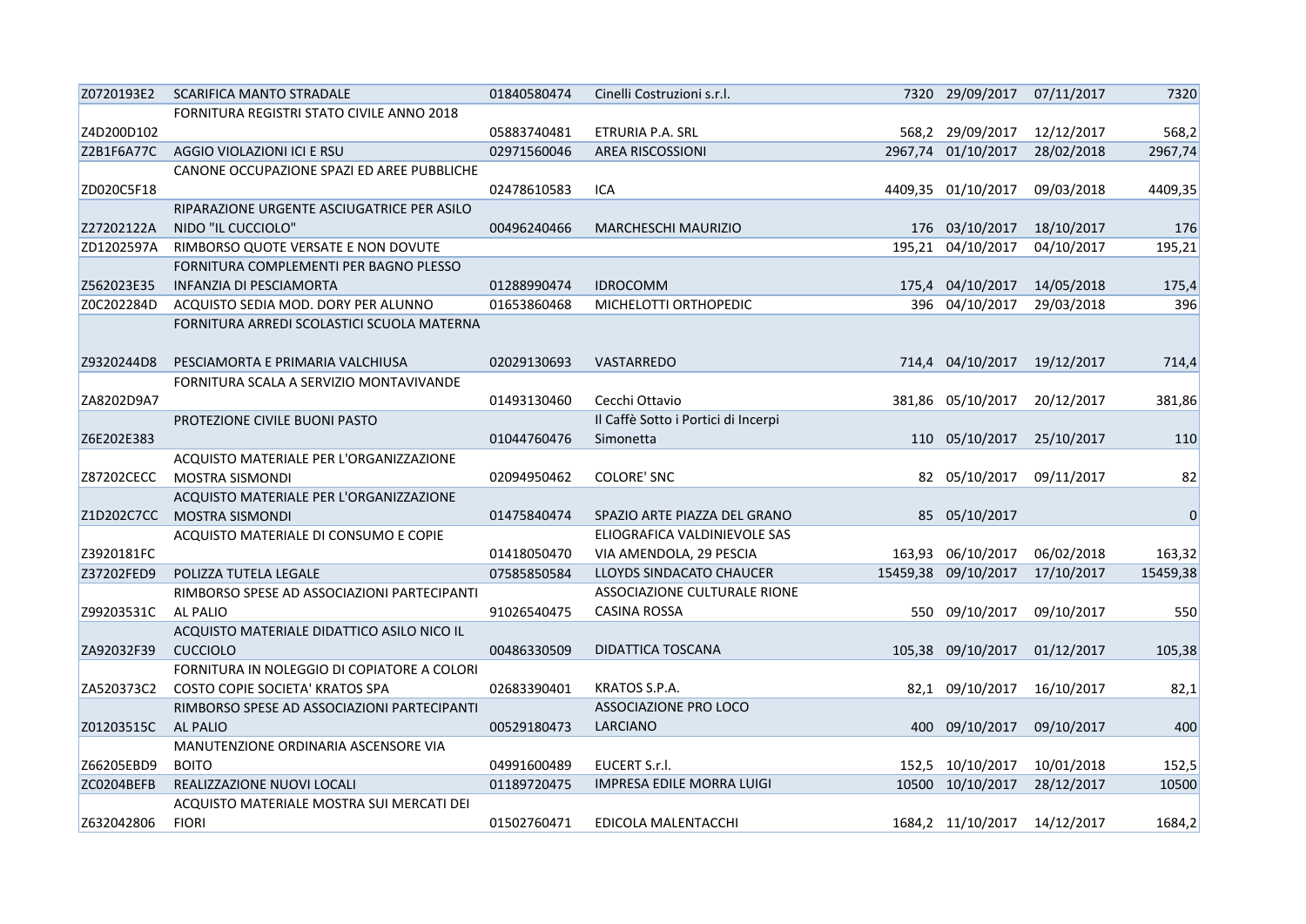| Z0720193E2 | SCARIFICA MANTO STRADALE                    | 01840580474 | Cinelli Costruzioni s.r.l.          | 7320 29/09/2017 07/11/2017 |            | 7320        |
|------------|---------------------------------------------|-------------|-------------------------------------|----------------------------|------------|-------------|
|            | FORNITURA REGISTRI STATO CIVILE ANNO 2018   |             |                                     |                            |            |             |
| Z4D200D102 |                                             | 05883740481 | ETRURIA P.A. SRL                    | 568,2 29/09/2017           | 12/12/2017 | 568,2       |
| Z2B1F6A77C | AGGIO VIOLAZIONI ICI E RSU                  | 02971560046 | <b>AREA RISCOSSIONI</b>             | 2967,74 01/10/2017         | 28/02/2018 | 2967,74     |
|            | CANONE OCCUPAZIONE SPAZI ED AREE PUBBLICHE  |             |                                     |                            |            |             |
| ZD020C5F18 |                                             | 02478610583 | ICA                                 | 4409,35 01/10/2017         | 09/03/2018 | 4409,35     |
|            | RIPARAZIONE URGENTE ASCIUGATRICE PER ASILO  |             |                                     |                            |            |             |
| Z27202122A | NIDO "IL CUCCIOLO"                          | 00496240466 | <b>MARCHESCHI MAURIZIO</b>          | 176 03/10/2017             | 18/10/2017 | 176         |
| ZD1202597A | RIMBORSO QUOTE VERSATE E NON DOVUTE         |             |                                     | 195,21 04/10/2017          | 04/10/2017 | 195,21      |
|            | FORNITURA COMPLEMENTI PER BAGNO PLESSO      |             |                                     |                            |            |             |
| Z562023E35 | INFANZIA DI PESCIAMORTA                     | 01288990474 | <b>IDROCOMM</b>                     | 175,4 04/10/2017           | 14/05/2018 | 175,4       |
| Z0C202284D | ACQUISTO SEDIA MOD. DORY PER ALUNNO         | 01653860468 | MICHELOTTI ORTHOPEDIC               | 396 04/10/2017             | 29/03/2018 | 396         |
|            | FORNITURA ARREDI SCOLASTICI SCUOLA MATERNA  |             |                                     |                            |            |             |
|            |                                             |             |                                     |                            |            |             |
| Z9320244D8 | PESCIAMORTA E PRIMARIA VALCHIUSA            | 02029130693 | VASTARREDO                          | 714,4 04/10/2017           | 19/12/2017 | 714,4       |
|            | FORNITURA SCALA A SERVIZIO MONTAVIVANDE     |             |                                     |                            |            |             |
| ZA8202D9A7 |                                             | 01493130460 | Cecchi Ottavio                      | 381,86 05/10/2017          | 20/12/2017 | 381,86      |
|            | PROTEZIONE CIVILE BUONI PASTO               |             | Il Caffè Sotto i Portici di Incerpi |                            |            |             |
| Z6E202E383 |                                             | 01044760476 | Simonetta                           | 110 05/10/2017             | 25/10/2017 | 110         |
|            | ACQUISTO MATERIALE PER L'ORGANIZZAZIONE     |             |                                     |                            |            |             |
| Z87202CECC | MOSTRA SISMONDI                             | 02094950462 | COLORE' SNC                         | 82 05/10/2017              | 09/11/2017 | 82          |
|            | ACQUISTO MATERIALE PER L'ORGANIZZAZIONE     |             |                                     |                            |            |             |
| Z1D202C7CC | <b>MOSTRA SISMONDI</b>                      | 01475840474 | SPAZIO ARTE PIAZZA DEL GRANO        | 85 05/10/2017              |            | $\mathbf 0$ |
|            | ACQUISTO MATERIALE DI CONSUMO E COPIE       |             | ELIOGRAFICA VALDINIEVOLE SAS        |                            |            |             |
| Z3920181FC |                                             | 01418050470 | VIA AMENDOLA, 29 PESCIA             | 163,93 06/10/2017          | 06/02/2018 | 163,32      |
| Z37202FED9 | POLIZZA TUTELA LEGALE                       | 07585850584 | LLOYDS SINDACATO CHAUCER            | 15459,38 09/10/2017        | 17/10/2017 | 15459,38    |
|            | RIMBORSO SPESE AD ASSOCIAZIONI PARTECIPANTI |             | ASSOCIAZIONE CULTURALE RIONE        |                            |            |             |
| Z99203531C | AL PALIO                                    | 91026540475 | <b>CASINA ROSSA</b>                 | 550 09/10/2017             | 09/10/2017 | 550         |
|            | ACQUISTO MATERIALE DIDATTICO ASILO NICO IL  |             |                                     |                            |            |             |
| ZA92032F39 | <b>CUCCIOLO</b>                             | 00486330509 | DIDATTICA TOSCANA                   | 105,38 09/10/2017          | 01/12/2017 | 105,38      |
|            | FORNITURA IN NOLEGGIO DI COPIATORE A COLORI |             |                                     |                            |            |             |
| ZA520373C2 | COSTO COPIE SOCIETA' KRATOS SPA             | 02683390401 | KRATOS S.P.A.                       | 82,1 09/10/2017            | 16/10/2017 | 82,1        |
|            | RIMBORSO SPESE AD ASSOCIAZIONI PARTECIPANTI |             | <b>ASSOCIAZIONE PRO LOCO</b>        |                            |            |             |
| Z01203515C | <b>AL PALIO</b>                             | 00529180473 | LARCIANO                            | 400 09/10/2017             | 09/10/2017 | 400         |
|            | MANUTENZIONE ORDINARIA ASCENSORE VIA        |             |                                     |                            |            |             |
| Z66205EBD9 | <b>BOITO</b>                                | 04991600489 | EUCERT S.r.l.                       | 152,5 10/10/2017           | 10/01/2018 | 152,5       |
| ZC0204BEFB | REALIZZAZIONE NUOVI LOCALI                  | 01189720475 | IMPRESA EDILE MORRA LUIGI           | 10500 10/10/2017           | 28/12/2017 | 10500       |
|            | ACQUISTO MATERIALE MOSTRA SUI MERCATI DEI   |             |                                     |                            |            |             |
| Z632042806 | <b>FIORI</b>                                | 01502760471 | EDICOLA MALENTACCHI                 | 1684,2 11/10/2017          | 14/12/2017 | 1684,2      |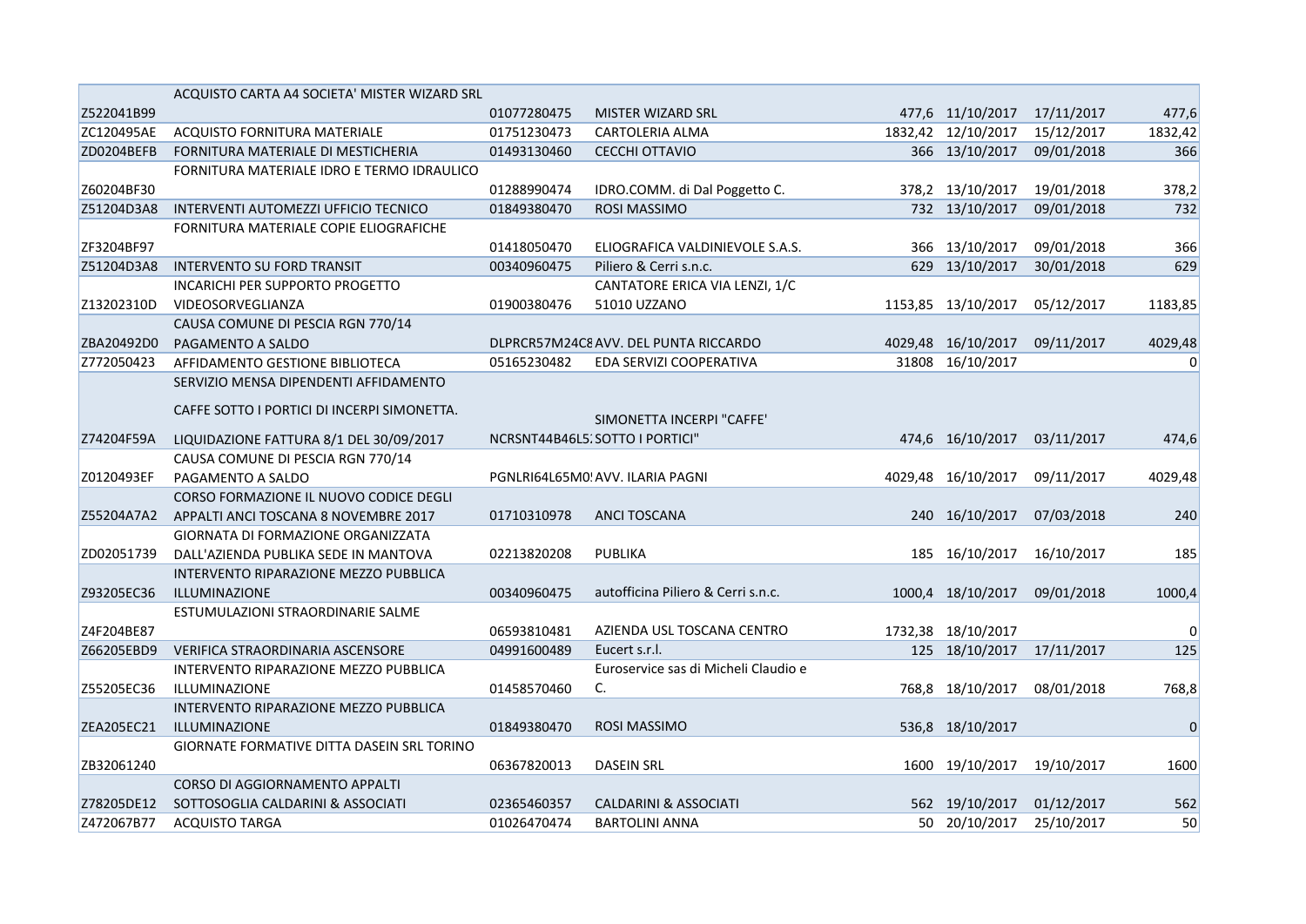|            | ACQUISTO CARTA A4 SOCIETA' MISTER WIZARD SRL |             |                                       |                    |            |             |
|------------|----------------------------------------------|-------------|---------------------------------------|--------------------|------------|-------------|
| Z522041B99 |                                              | 01077280475 | MISTER WIZARD SRL                     | 477,6 11/10/2017   | 17/11/2017 | 477,6       |
| ZC120495AE | ACQUISTO FORNITURA MATERIALE                 | 01751230473 | CARTOLERIA ALMA                       | 1832,42 12/10/2017 | 15/12/2017 | 1832,42     |
| ZD0204BEFB | FORNITURA MATERIALE DI MESTICHERIA           | 01493130460 | CECCHI OTTAVIO                        | 366 13/10/2017     | 09/01/2018 | 366         |
|            | FORNITURA MATERIALE IDRO E TERMO IDRAULICO   |             |                                       |                    |            |             |
| Z60204BF30 |                                              | 01288990474 | IDRO.COMM. di Dal Poggetto C.         | 378,2 13/10/2017   | 19/01/2018 | 378,2       |
| Z51204D3A8 | INTERVENTI AUTOMEZZI UFFICIO TECNICO         | 01849380470 | ROSI MASSIMO                          | 732 13/10/2017     | 09/01/2018 | 732         |
|            | FORNITURA MATERIALE COPIE ELIOGRAFICHE       |             |                                       |                    |            |             |
| ZF3204BF97 |                                              | 01418050470 | ELIOGRAFICA VALDINIEVOLE S.A.S.       | 366 13/10/2017     | 09/01/2018 | 366         |
| Z51204D3A8 | <b>INTERVENTO SU FORD TRANSIT</b>            | 00340960475 | Piliero & Cerri s.n.c.                | 629 13/10/2017     | 30/01/2018 | 629         |
|            | <b>INCARICHI PER SUPPORTO PROGETTO</b>       |             | CANTATORE ERICA VIA LENZI, 1/C        |                    |            |             |
| Z13202310D | VIDEOSORVEGLIANZA                            | 01900380476 | 51010 UZZANO                          | 1153,85 13/10/2017 | 05/12/2017 | 1183,85     |
|            | CAUSA COMUNE DI PESCIA RGN 770/14            |             |                                       |                    |            |             |
| ZBA20492D0 | PAGAMENTO A SALDO                            |             | DLPRCR57M24C8 AVV. DEL PUNTA RICCARDO | 4029,48 16/10/2017 | 09/11/2017 | 4029,48     |
| Z772050423 | AFFIDAMENTO GESTIONE BIBLIOTECA              | 05165230482 | EDA SERVIZI COOPERATIVA               | 31808 16/10/2017   |            | 0           |
|            | SERVIZIO MENSA DIPENDENTI AFFIDAMENTO        |             |                                       |                    |            |             |
|            | CAFFE SOTTO I PORTICI DI INCERPI SIMONETTA.  |             |                                       |                    |            |             |
|            |                                              |             | SIMONETTA INCERPI "CAFFE"             |                    |            |             |
| Z74204F59A | LIQUIDAZIONE FATTURA 8/1 DEL 30/09/2017      |             | NCRSNT44B46L5, SOTTO I PORTICI"       | 474,6 16/10/2017   | 03/11/2017 | 474,6       |
|            | CAUSA COMUNE DI PESCIA RGN 770/14            |             |                                       |                    |            |             |
| Z0120493EF | PAGAMENTO A SALDO                            |             | PGNLRI64L65M0! AVV. ILARIA PAGNI      | 4029,48 16/10/2017 | 09/11/2017 | 4029,48     |
|            | CORSO FORMAZIONE IL NUOVO CODICE DEGLI       |             |                                       |                    |            |             |
| Z55204A7A2 | APPALTI ANCI TOSCANA 8 NOVEMBRE 2017         | 01710310978 | <b>ANCI TOSCANA</b>                   | 240 16/10/2017     | 07/03/2018 | 240         |
|            | GIORNATA DI FORMAZIONE ORGANIZZATA           |             |                                       |                    |            |             |
| ZD02051739 | DALL'AZIENDA PUBLIKA SEDE IN MANTOVA         | 02213820208 | <b>PUBLIKA</b>                        | 185 16/10/2017     | 16/10/2017 | 185         |
|            | INTERVENTO RIPARAZIONE MEZZO PUBBLICA        |             |                                       |                    |            |             |
| Z93205EC36 | ILLUMINAZIONE                                | 00340960475 | autofficina Piliero & Cerri s.n.c.    | 1000,4 18/10/2017  | 09/01/2018 | 1000,4      |
|            | ESTUMULAZIONI STRAORDINARIE SALME            |             |                                       |                    |            |             |
| Z4F204BE87 |                                              | 06593810481 | AZIENDA USL TOSCANA CENTRO            | 1732,38 18/10/2017 |            | 0           |
| Z66205EBD9 | VERIFICA STRAORDINARIA ASCENSORE             | 04991600489 | Eucert s.r.l.                         | 125 18/10/2017     | 17/11/2017 | 125         |
|            | INTERVENTO RIPARAZIONE MEZZO PUBBLICA        |             | Euroservice sas di Micheli Claudio e  |                    |            |             |
| Z55205EC36 | ILLUMINAZIONE                                | 01458570460 | C.                                    | 768,8 18/10/2017   | 08/01/2018 | 768,8       |
|            | INTERVENTO RIPARAZIONE MEZZO PUBBLICA        |             |                                       |                    |            |             |
| ZEA205EC21 | <b>ILLUMINAZIONE</b>                         | 01849380470 | <b>ROSI MASSIMO</b>                   | 536,8 18/10/2017   |            | $\mathbf 0$ |
|            | GIORNATE FORMATIVE DITTA DASEIN SRL TORINO   |             |                                       |                    |            |             |
| ZB32061240 |                                              | 06367820013 | <b>DASEIN SRL</b>                     | 1600 19/10/2017    | 19/10/2017 | 1600        |
|            | CORSO DI AGGIORNAMENTO APPALTI               |             |                                       |                    |            |             |
| Z78205DE12 | SOTTOSOGLIA CALDARINI & ASSOCIATI            | 02365460357 | <b>CALDARINI &amp; ASSOCIATI</b>      | 562 19/10/2017     | 01/12/2017 | 562         |
| Z472067B77 | <b>ACQUISTO TARGA</b>                        | 01026470474 | <b>BARTOLINI ANNA</b>                 | 50 20/10/2017      | 25/10/2017 | 50          |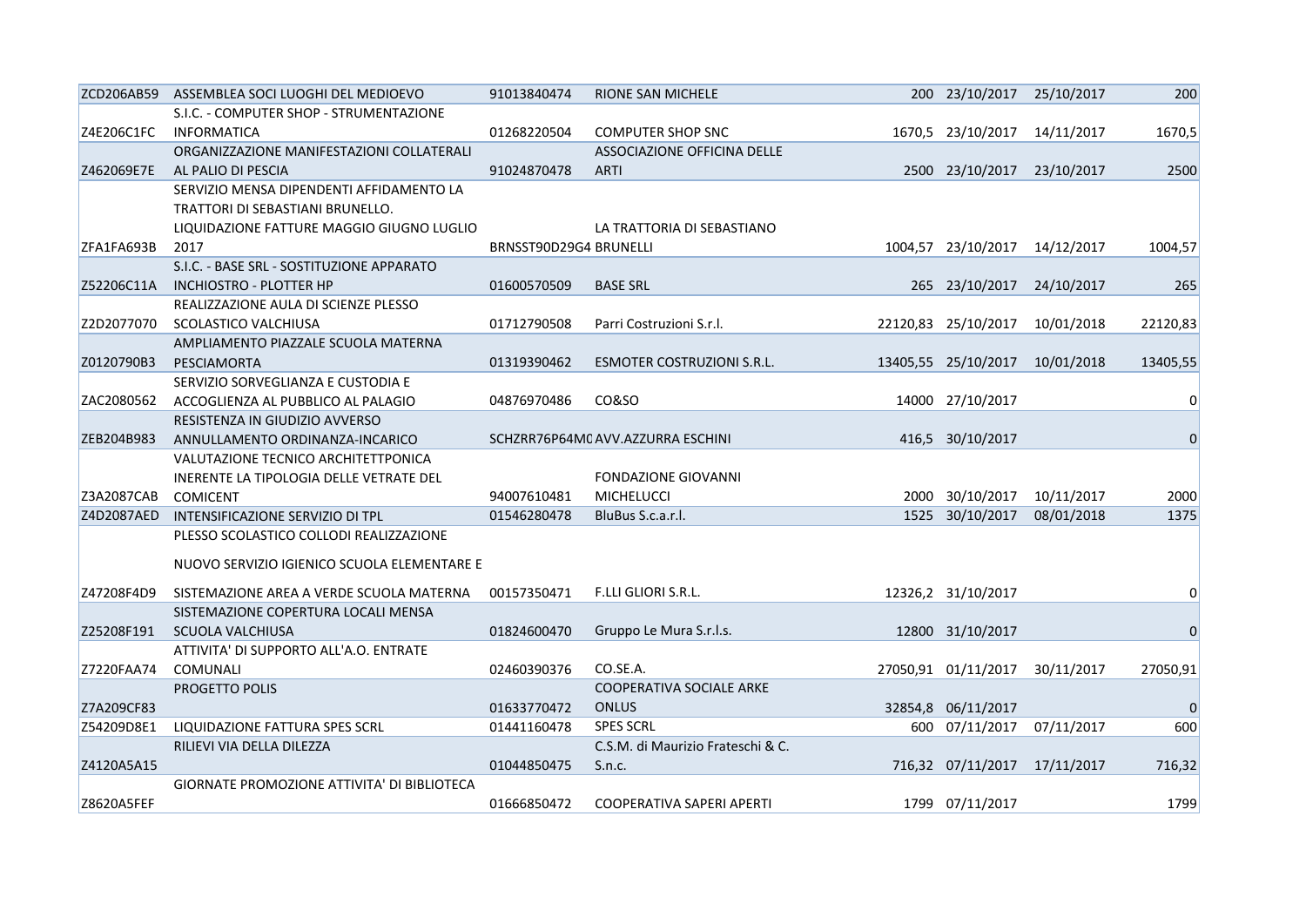| ZCD206AB59 | ASSEMBLEA SOCI LUOGHI DEL MEDIOEVO          | 91013840474            | <b>RIONE SAN MICHELE</b>          | 200 23/10/2017 25/10/2017  |            | 200            |
|------------|---------------------------------------------|------------------------|-----------------------------------|----------------------------|------------|----------------|
|            | S.I.C. - COMPUTER SHOP - STRUMENTAZIONE     |                        |                                   |                            |            |                |
| Z4E206C1FC | <b>INFORMATICA</b>                          | 01268220504            | <b>COMPUTER SHOP SNC</b>          | 1670,5 23/10/2017          | 14/11/2017 | 1670,5         |
|            | ORGANIZZAZIONE MANIFESTAZIONI COLLATERALI   |                        | ASSOCIAZIONE OFFICINA DELLE       |                            |            |                |
| Z462069E7E | AL PALIO DI PESCIA                          | 91024870478            | <b>ARTI</b>                       | 2500 23/10/2017 23/10/2017 |            | 2500           |
|            | SERVIZIO MENSA DIPENDENTI AFFIDAMENTO LA    |                        |                                   |                            |            |                |
|            | TRATTORI DI SEBASTIANI BRUNELLO.            |                        |                                   |                            |            |                |
|            | LIQUIDAZIONE FATTURE MAGGIO GIUGNO LUGLIO   |                        | LA TRATTORIA DI SEBASTIANO        |                            |            |                |
| ZFA1FA693B | 2017                                        | BRNSST90D29G4 BRUNELLI |                                   | 1004,57 23/10/2017         | 14/12/2017 | 1004,57        |
|            | S.I.C. - BASE SRL - SOSTITUZIONE APPARATO   |                        |                                   |                            |            |                |
| Z52206C11A | <b>INCHIOSTRO - PLOTTER HP</b>              | 01600570509            | <b>BASE SRL</b>                   | 265 23/10/2017             | 24/10/2017 | 265            |
|            | REALIZZAZIONE AULA DI SCIENZE PLESSO        |                        |                                   |                            |            |                |
| Z2D2077070 | SCOLASTICO VALCHIUSA                        | 01712790508            | Parri Costruzioni S.r.l.          | 22120,83 25/10/2017        | 10/01/2018 | 22120,83       |
|            | AMPLIAMENTO PIAZZALE SCUOLA MATERNA         |                        |                                   |                            |            |                |
| Z0120790B3 | PESCIAMORTA                                 | 01319390462            | ESMOTER COSTRUZIONI S.R.L.        | 13405,55 25/10/2017        | 10/01/2018 | 13405,55       |
|            | SERVIZIO SORVEGLIANZA E CUSTODIA E          |                        |                                   |                            |            |                |
| ZAC2080562 | ACCOGLIENZA AL PUBBLICO AL PALAGIO          | 04876970486            | CO&SO                             | 14000 27/10/2017           |            | 0              |
|            | RESISTENZA IN GIUDIZIO AVVERSO              |                        |                                   |                            |            |                |
| ZEB204B983 | ANNULLAMENTO ORDINANZA-INCARICO             |                        | SCHZRR76P64M0 AVV.AZZURRA ESCHINI | 416,5 30/10/2017           |            | $\overline{0}$ |
|            | VALUTAZIONE TECNICO ARCHITETTPONICA         |                        |                                   |                            |            |                |
|            | INERENTE LA TIPOLOGIA DELLE VETRATE DEL     |                        | <b>FONDAZIONE GIOVANNI</b>        |                            |            |                |
| Z3A2087CAB | <b>COMICENT</b>                             | 94007610481            | <b>MICHELUCCI</b>                 | 2000 30/10/2017            | 10/11/2017 | 2000           |
| Z4D2087AED | INTENSIFICAZIONE SERVIZIO DI TPL            | 01546280478            | BluBus S.c.a.r.l.                 | 1525 30/10/2017            | 08/01/2018 | 1375           |
|            | PLESSO SCOLASTICO COLLODI REALIZZAZIONE     |                        |                                   |                            |            |                |
|            |                                             |                        |                                   |                            |            |                |
|            | NUOVO SERVIZIO IGIENICO SCUOLA ELEMENTARE E |                        |                                   |                            |            |                |
| Z47208F4D9 | SISTEMAZIONE AREA A VERDE SCUOLA MATERNA    | 00157350471            | F.LLI GLIORI S.R.L.               | 12326,2 31/10/2017         |            | 0              |
|            | SISTEMAZIONE COPERTURA LOCALI MENSA         |                        |                                   |                            |            |                |
| Z25208F191 | <b>SCUOLA VALCHIUSA</b>                     | 01824600470            | Gruppo Le Mura S.r.l.s.           | 12800 31/10/2017           |            | 0              |
|            | ATTIVITA' DI SUPPORTO ALL'A.O. ENTRATE      |                        |                                   |                            |            |                |
| Z7220FAA74 | <b>COMUNALI</b>                             | 02460390376            | CO.SE.A.                          | 27050,91 01/11/2017        | 30/11/2017 | 27050,91       |
|            | <b>PROGETTO POLIS</b>                       |                        | COOPERATIVA SOCIALE ARKE          |                            |            |                |
| Z7A209CF83 |                                             | 01633770472            | <b>ONLUS</b>                      | 32854,8 06/11/2017         |            | 0              |
| Z54209D8E1 | LIQUIDAZIONE FATTURA SPES SCRL              | 01441160478            | <b>SPES SCRL</b>                  | 600 07/11/2017             | 07/11/2017 | 600            |
|            |                                             |                        | C.S.M. di Maurizio Frateschi & C. |                            |            |                |
| Z4120A5A15 | RILIEVI VIA DELLA DILEZZA                   | 01044850475            | S.n.c.                            | 716,32 07/11/2017          | 17/11/2017 | 716,32         |
|            |                                             |                        |                                   |                            |            |                |
|            | GIORNATE PROMOZIONE ATTIVITA' DI BIBLIOTECA |                        |                                   |                            |            |                |
| Z8620A5FEF |                                             | 01666850472            | COOPERATIVA SAPERI APERTI         | 1799 07/11/2017            |            | 1799           |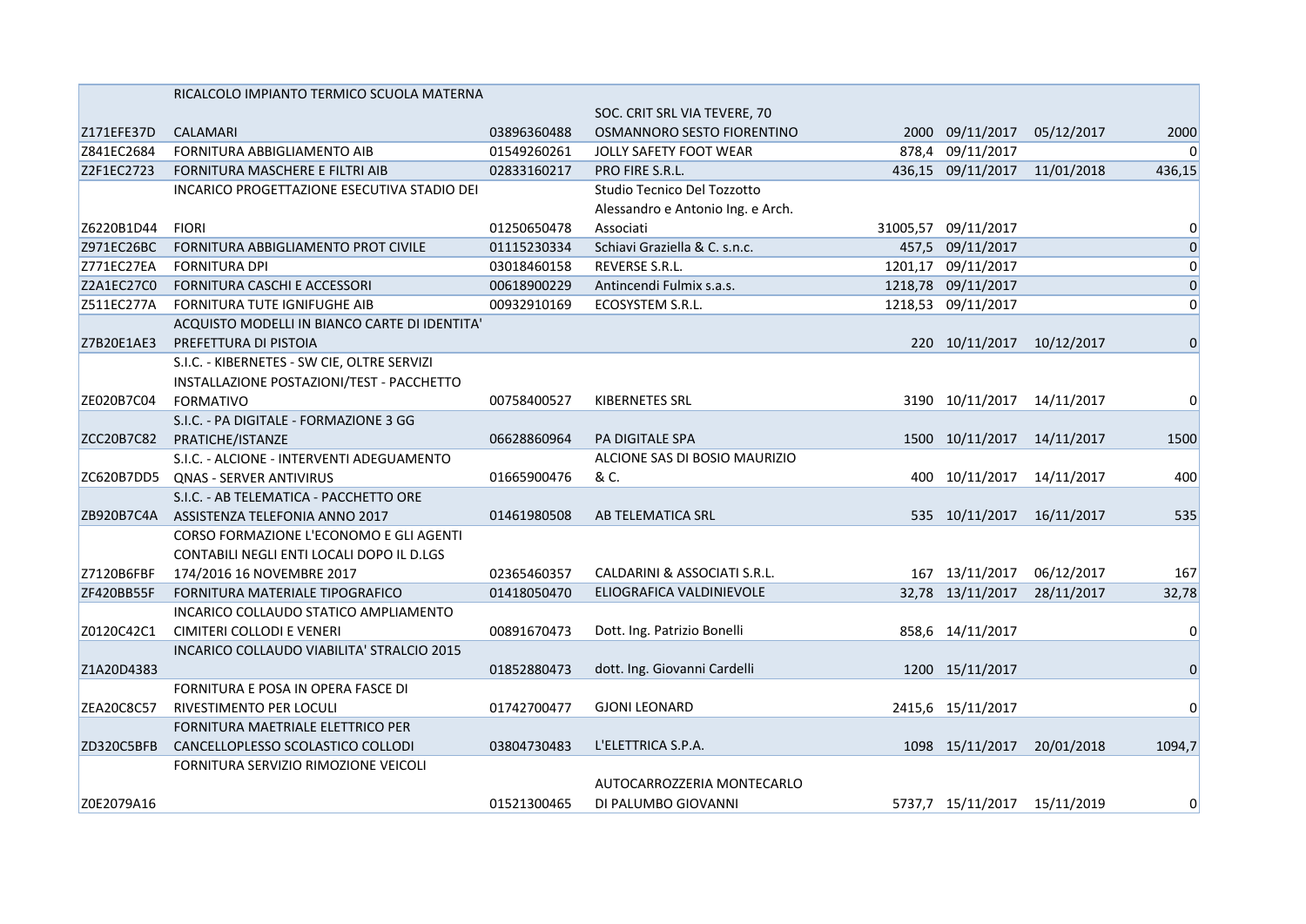|            | RICALCOLO IMPIANTO TERMICO SCUOLA MATERNA     |             |                                   |                              |            |                |
|------------|-----------------------------------------------|-------------|-----------------------------------|------------------------------|------------|----------------|
|            |                                               |             | SOC. CRIT SRL VIA TEVERE, 70      |                              |            |                |
| Z171EFE37D | CALAMARI                                      | 03896360488 | OSMANNORO SESTO FIORENTINO        | 2000 09/11/2017              | 05/12/2017 | 2000           |
| Z841EC2684 | FORNITURA ABBIGLIAMENTO AIB                   | 01549260261 | JOLLY SAFETY FOOT WEAR            | 878,4 09/11/2017             |            | $\Omega$       |
| Z2F1EC2723 | FORNITURA MASCHERE E FILTRI AIB               | 02833160217 | PRO FIRE S.R.L.                   | 436,15 09/11/2017            | 11/01/2018 | 436,15         |
|            | INCARICO PROGETTAZIONE ESECUTIVA STADIO DEI   |             | Studio Tecnico Del Tozzotto       |                              |            |                |
|            |                                               |             | Alessandro e Antonio Ing. e Arch. |                              |            |                |
| Z6220B1D44 | <b>FIORI</b>                                  | 01250650478 | Associati                         | 31005,57 09/11/2017          |            | $\Omega$       |
| Z971EC26BC | FORNITURA ABBIGLIAMENTO PROT CIVILE           | 01115230334 | Schiavi Graziella & C. s.n.c.     | 457,5 09/11/2017             |            | $\overline{0}$ |
| Z771EC27EA | <b>FORNITURA DPI</b>                          | 03018460158 | REVERSE S.R.L.                    | 1201,17 09/11/2017           |            | 0              |
| Z2A1EC27C0 | FORNITURA CASCHI E ACCESSORI                  | 00618900229 | Antincendi Fulmix s.a.s.          | 1218,78 09/11/2017           |            | 0              |
| Z511EC277A | FORNITURA TUTE IGNIFUGHE AIB                  | 00932910169 | ECOSYSTEM S.R.L.                  | 1218,53 09/11/2017           |            | $\overline{0}$ |
|            | ACQUISTO MODELLI IN BIANCO CARTE DI IDENTITA' |             |                                   |                              |            |                |
| Z7B20E1AE3 | PREFETTURA DI PISTOIA                         |             |                                   | 220 10/11/2017               | 10/12/2017 | $\overline{0}$ |
|            | S.I.C. - KIBERNETES - SW CIE, OLTRE SERVIZI   |             |                                   |                              |            |                |
|            | INSTALLAZIONE POSTAZIONI/TEST - PACCHETTO     |             |                                   |                              |            |                |
| ZE020B7C04 | <b>FORMATIVO</b>                              | 00758400527 | <b>KIBERNETES SRL</b>             | 3190 10/11/2017              | 14/11/2017 | 0              |
|            | S.I.C. - PA DIGITALE - FORMAZIONE 3 GG        |             |                                   |                              |            |                |
| ZCC20B7C82 | PRATICHE/ISTANZE                              | 06628860964 | PA DIGITALE SPA                   | 1500 10/11/2017              | 14/11/2017 | 1500           |
|            | S.I.C. - ALCIONE - INTERVENTI ADEGUAMENTO     |             | ALCIONE SAS DI BOSIO MAURIZIO     |                              |            |                |
| ZC620B7DD5 | <b>QNAS - SERVER ANTIVIRUS</b>                | 01665900476 | & C.                              | 400 10/11/2017               | 14/11/2017 | 400            |
|            | S.I.C. - AB TELEMATICA - PACCHETTO ORE        |             |                                   |                              |            |                |
| ZB920B7C4A | ASSISTENZA TELEFONIA ANNO 2017                | 01461980508 | AB TELEMATICA SRL                 | 535 10/11/2017               | 16/11/2017 | 535            |
|            | CORSO FORMAZIONE L'ECONOMO E GLI AGENTI       |             |                                   |                              |            |                |
|            | CONTABILI NEGLI ENTI LOCALI DOPO IL D.LGS     |             |                                   |                              |            |                |
| Z7120B6FBF | 174/2016 16 NOVEMBRE 2017                     | 02365460357 | CALDARINI & ASSOCIATI S.R.L.      | 167 13/11/2017               | 06/12/2017 | 167            |
| ZF420BB55F | FORNITURA MATERIALE TIPOGRAFICO               | 01418050470 | ELIOGRAFICA VALDINIEVOLE          | 32,78 13/11/2017             | 28/11/2017 | 32,78          |
|            | INCARICO COLLAUDO STATICO AMPLIAMENTO         |             |                                   |                              |            |                |
| Z0120C42C1 | CIMITERI COLLODI E VENERI                     | 00891670473 | Dott. Ing. Patrizio Bonelli       | 858,6 14/11/2017             |            | $\Omega$       |
|            | INCARICO COLLAUDO VIABILITA' STRALCIO 2015    |             |                                   |                              |            |                |
| Z1A20D4383 |                                               | 01852880473 | dott. Ing. Giovanni Cardelli      | 1200 15/11/2017              |            | $\Omega$       |
|            | FORNITURA E POSA IN OPERA FASCE DI            |             |                                   |                              |            |                |
| ZEA20C8C57 | RIVESTIMENTO PER LOCULI                       | 01742700477 | <b>GJONI LEONARD</b>              | 2415,6 15/11/2017            |            | $\Omega$       |
|            | FORNITURA MAETRIALE ELETTRICO PER             |             |                                   |                              |            |                |
| ZD320C5BFB | CANCELLOPLESSO SCOLASTICO COLLODI             | 03804730483 | L'ELETTRICA S.P.A.                | 1098 15/11/2017              | 20/01/2018 | 1094,7         |
|            | FORNITURA SERVIZIO RIMOZIONE VEICOLI          |             |                                   |                              |            |                |
|            |                                               |             | AUTOCARROZZERIA MONTECARLO        |                              |            |                |
| Z0E2079A16 |                                               | 01521300465 | DI PALUMBO GIOVANNI               | 5737,7 15/11/2017 15/11/2019 |            | $\overline{0}$ |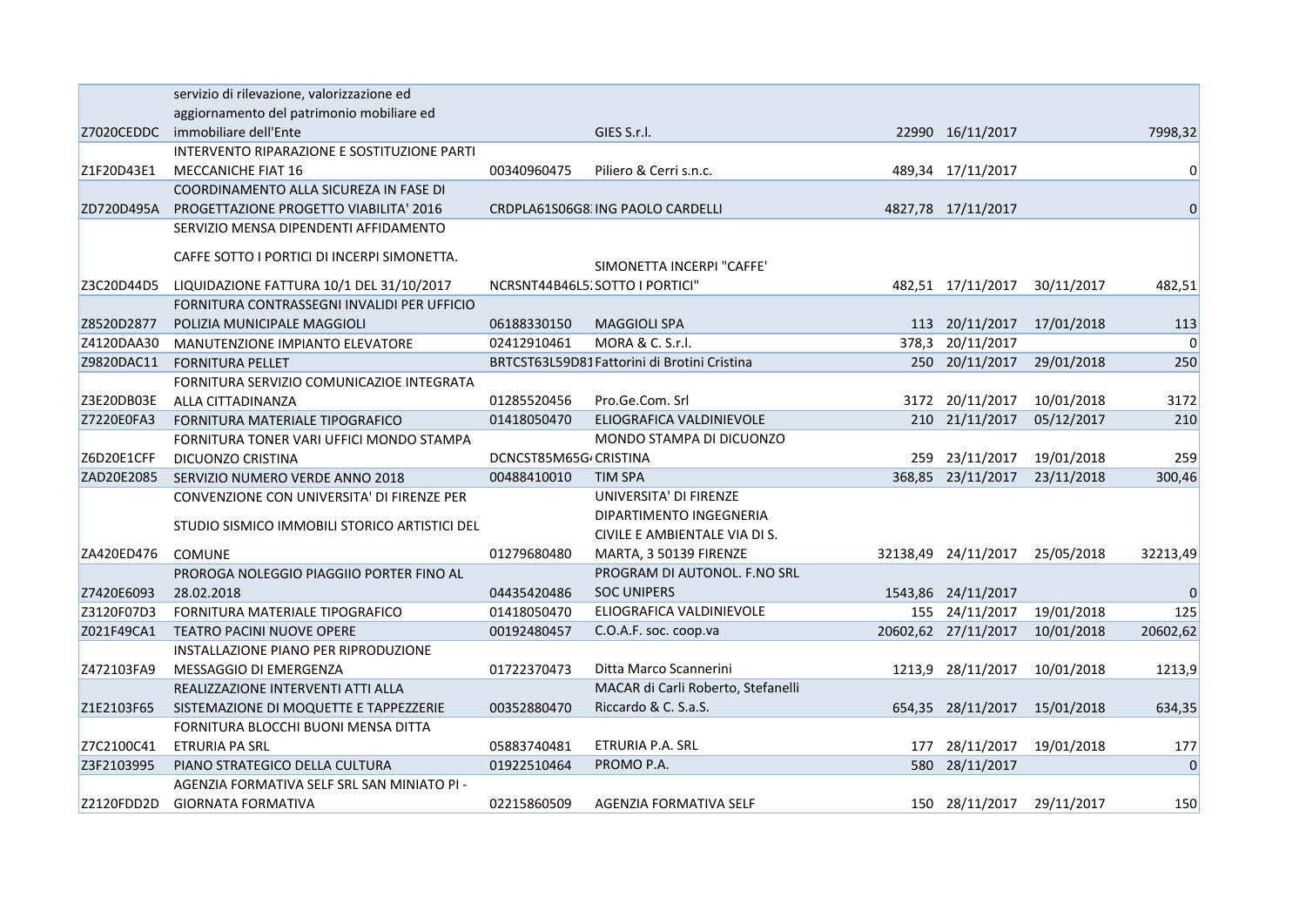|            | servizio di rilevazione, valorizzazione ed    |                       |                                             |        |                     |            |             |
|------------|-----------------------------------------------|-----------------------|---------------------------------------------|--------|---------------------|------------|-------------|
|            | aggiornamento del patrimonio mobiliare ed     |                       |                                             |        |                     |            |             |
| Z7020CEDDC | immobiliare dell'Ente                         |                       | GIES S.r.l.                                 |        | 22990 16/11/2017    |            | 7998,32     |
|            | INTERVENTO RIPARAZIONE E SOSTITUZIONE PARTI   |                       |                                             |        |                     |            |             |
| Z1F20D43E1 | <b>MECCANICHE FIAT 16</b>                     | 00340960475           | Piliero & Cerri s.n.c.                      |        | 489,34 17/11/2017   |            | $\Omega$    |
|            | COORDINAMENTO ALLA SICUREZA IN FASE DI        |                       |                                             |        |                     |            |             |
| ZD720D495A | <b>PROGETTAZIONE PROGETTO VIABILITA' 2016</b> |                       | CRDPLA61S06G8. ING PAOLO CARDELLI           |        | 4827,78 17/11/2017  |            | $\Omega$    |
|            | SERVIZIO MENSA DIPENDENTI AFFIDAMENTO         |                       |                                             |        |                     |            |             |
|            | CAFFE SOTTO I PORTICI DI INCERPI SIMONETTA.   |                       | SIMONETTA INCERPI "CAFFE"                   |        |                     |            |             |
| Z3C20D44D5 | LIQUIDAZIONE FATTURA 10/1 DEL 31/10/2017      |                       | NCRSNT44B46L5. SOTTO I PORTICI"             |        | 482,51 17/11/2017   | 30/11/2017 | 482,51      |
|            | FORNITURA CONTRASSEGNI INVALIDI PER UFFICIO   |                       |                                             |        |                     |            |             |
| Z8520D2877 | POLIZIA MUNICIPALE MAGGIOLI                   | 06188330150           | <b>MAGGIOLI SPA</b>                         |        | 113 20/11/2017      | 17/01/2018 | 113         |
| Z4120DAA30 | MANUTENZIONE IMPIANTO ELEVATORE               | 02412910461           | MORA & C. S.r.l.                            |        | 378,3 20/11/2017    |            | $\Omega$    |
| Z9820DAC11 | <b>FORNITURA PELLET</b>                       |                       | BRTCST63L59D81Fattorini di Brotini Cristina |        | 250 20/11/2017      | 29/01/2018 | 250         |
|            | FORNITURA SERVIZIO COMUNICAZIOE INTEGRATA     |                       |                                             |        |                     |            |             |
| Z3E20DB03E | ALLA CITTADINANZA                             | 01285520456           | Pro.Ge.Com. Srl                             |        | 3172 20/11/2017     | 10/01/2018 | 3172        |
| Z7220E0FA3 | FORNITURA MATERIALE TIPOGRAFICO               | 01418050470           | ELIOGRAFICA VALDINIEVOLE                    |        | 210 21/11/2017      | 05/12/2017 | 210         |
|            | FORNITURA TONER VARI UFFICI MONDO STAMPA      |                       | MONDO STAMPA DI DICUONZO                    |        |                     |            |             |
| Z6D20E1CFF | DICUONZO CRISTINA                             | DCNCST85M65G/CRISTINA |                                             |        | 259 23/11/2017      | 19/01/2018 | 259         |
| ZAD20E2085 | SERVIZIO NUMERO VERDE ANNO 2018               | 00488410010           | <b>TIM SPA</b>                              |        | 368,85 23/11/2017   | 23/11/2018 | 300,46      |
|            | CONVENZIONE CON UNIVERSITA' DI FIRENZE PER    |                       | UNIVERSITA' DI FIRENZE                      |        |                     |            |             |
|            |                                               |                       | DIPARTIMENTO INGEGNERIA                     |        |                     |            |             |
|            | STUDIO SISMICO IMMOBILI STORICO ARTISTICI DEL |                       | CIVILE E AMBIENTALE VIA DI S.               |        |                     |            |             |
| ZA420ED476 | <b>COMUNE</b>                                 | 01279680480           | MARTA, 3 50139 FIRENZE                      |        | 32138,49 24/11/2017 | 25/05/2018 | 32213,49    |
|            | PROROGA NOLEGGIO PIAGGIIO PORTER FINO AL      |                       | PROGRAM DI AUTONOL. F.NO SRL                |        |                     |            |             |
| Z7420E6093 | 28.02.2018                                    | 04435420486           | <b>SOC UNIPERS</b>                          |        | 1543,86 24/11/2017  |            | $\mathbf 0$ |
| Z3120F07D3 | FORNITURA MATERIALE TIPOGRAFICO               | 01418050470           | ELIOGRAFICA VALDINIEVOLE                    |        | 155 24/11/2017      | 19/01/2018 | 125         |
| Z021F49CA1 | <b>TEATRO PACINI NUOVE OPERE</b>              | 00192480457           | C.O.A.F. soc. coop.va                       |        | 20602,62 27/11/2017 | 10/01/2018 | 20602,62    |
|            | INSTALLAZIONE PIANO PER RIPRODUZIONE          |                       |                                             |        |                     |            |             |
| Z472103FA9 | MESSAGGIO DI EMERGENZA                        | 01722370473           | Ditta Marco Scannerini                      | 1213,9 | 28/11/2017          | 10/01/2018 | 1213,9      |
|            | REALIZZAZIONE INTERVENTI ATTI ALLA            |                       | MACAR di Carli Roberto, Stefanelli          |        |                     |            |             |
| Z1E2103F65 | SISTEMAZIONE DI MOQUETTE E TAPPEZZERIE        | 00352880470           | Riccardo & C. S.a.S.                        |        | 654,35 28/11/2017   | 15/01/2018 | 634,35      |
|            | FORNITURA BLOCCHI BUONI MENSA DITTA           |                       |                                             |        |                     |            |             |
| Z7C2100C41 | ETRURIA PA SRL                                | 05883740481           | ETRURIA P.A. SRL                            | 177    | 28/11/2017          | 19/01/2018 | 177         |
| Z3F2103995 | PIANO STRATEGICO DELLA CULTURA                | 01922510464           | PROMO P.A.                                  |        | 580 28/11/2017      |            | $\mathbf 0$ |
|            | AGENZIA FORMATIVA SELF SRL SAN MINIATO PI -   |                       |                                             |        |                     |            |             |
| Z2120FDD2D | <b>GIORNATA FORMATIVA</b>                     | 02215860509           | AGENZIA FORMATIVA SELF                      |        | 150 28/11/2017      | 29/11/2017 | 150         |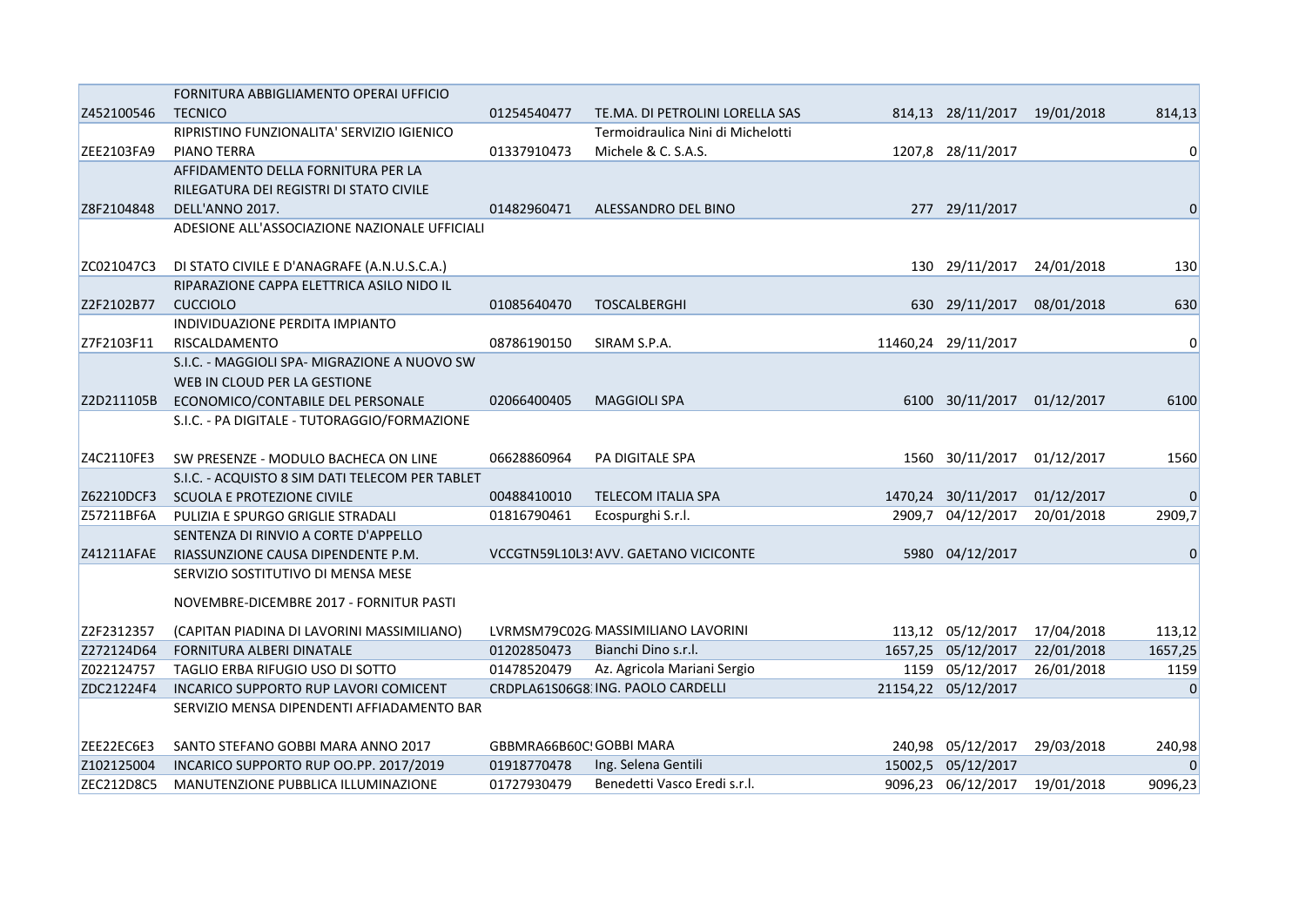|            | FORNITURA ABBIGLIAMENTO OPERAI UFFICIO          |                          |                                       |                              |            |              |
|------------|-------------------------------------------------|--------------------------|---------------------------------------|------------------------------|------------|--------------|
| Z452100546 | <b>TECNICO</b>                                  | 01254540477              | TE.MA. DI PETROLINI LORELLA SAS       | 814,13 28/11/2017 19/01/2018 |            | 814,13       |
|            | RIPRISTINO FUNZIONALITA' SERVIZIO IGIENICO      |                          | Termoidraulica Nini di Michelotti     |                              |            |              |
| ZEE2103FA9 | PIANO TERRA                                     | 01337910473              | Michele & C. S.A.S.                   | 1207,8 28/11/2017            |            | 0            |
|            | AFFIDAMENTO DELLA FORNITURA PER LA              |                          |                                       |                              |            |              |
|            | RILEGATURA DEI REGISTRI DI STATO CIVILE         |                          |                                       |                              |            |              |
| Z8F2104848 | DELL'ANNO 2017.                                 | 01482960471              | ALESSANDRO DEL BINO                   | 277 29/11/2017               |            | $\mathbf 0$  |
|            | ADESIONE ALL'ASSOCIAZIONE NAZIONALE UFFICIALI   |                          |                                       |                              |            |              |
|            |                                                 |                          |                                       |                              |            |              |
| ZC021047C3 | DI STATO CIVILE E D'ANAGRAFE (A.N.U.S.C.A.)     |                          |                                       | 130 29/11/2017               | 24/01/2018 | 130          |
|            | RIPARAZIONE CAPPA ELETTRICA ASILO NIDO IL       |                          |                                       |                              |            |              |
| Z2F2102B77 | <b>CUCCIOLO</b>                                 | 01085640470              | TOSCALBERGHI                          | 630 29/11/2017               | 08/01/2018 | 630          |
|            | INDIVIDUAZIONE PERDITA IMPIANTO                 |                          |                                       |                              |            |              |
| Z7F2103F11 | RISCALDAMENTO                                   | 08786190150              | SIRAM S.P.A.                          | 11460,24 29/11/2017          |            | 0            |
|            | S.I.C. - MAGGIOLI SPA- MIGRAZIONE A NUOVO SW    |                          |                                       |                              |            |              |
|            | WEB IN CLOUD PER LA GESTIONE                    |                          |                                       |                              |            |              |
| Z2D211105B | ECONOMICO/CONTABILE DEL PERSONALE               | 02066400405              | <b>MAGGIOLI SPA</b>                   | 6100 30/11/2017              | 01/12/2017 | 6100         |
|            | S.I.C. - PA DIGITALE - TUTORAGGIO/FORMAZIONE    |                          |                                       |                              |            |              |
|            |                                                 |                          |                                       |                              |            |              |
| Z4C2110FE3 | SW PRESENZE - MODULO BACHECA ON LINE            | 06628860964              | PA DIGITALE SPA                       | 1560 30/11/2017              | 01/12/2017 | 1560         |
|            | S.I.C. - ACQUISTO 8 SIM DATI TELECOM PER TABLET |                          |                                       |                              |            |              |
| Z62210DCF3 | SCUOLA E PROTEZIONE CIVILE                      | 00488410010              | <b>TELECOM ITALIA SPA</b>             | 1470,24 30/11/2017           | 01/12/2017 | $\mathbf{0}$ |
| Z57211BF6A | PULIZIA E SPURGO GRIGLIE STRADALI               | 01816790461              | Ecospurghi S.r.l.                     | 2909,7 04/12/2017            | 20/01/2018 | 2909,7       |
|            | SENTENZA DI RINVIO A CORTE D'APPELLO            |                          |                                       |                              |            |              |
| Z41211AFAE | RIASSUNZIONE CAUSA DIPENDENTE P.M.              |                          | VCCGTN59L10L3! AVV. GAETANO VICICONTE | 5980 04/12/2017              |            | 0            |
|            | SERVIZIO SOSTITUTIVO DI MENSA MESE              |                          |                                       |                              |            |              |
|            | NOVEMBRE-DICEMBRE 2017 - FORNITUR PASTI         |                          |                                       |                              |            |              |
|            |                                                 |                          |                                       |                              |            |              |
| Z2F2312357 | (CAPITAN PIADINA DI LAVORINI MASSIMILIANO)      |                          | LVRMSM79C02G MASSIMILIANO LAVORINI    | 113,12 05/12/2017            | 17/04/2018 | 113,12       |
| Z272124D64 | FORNITURA ALBERI DINATALE                       | 01202850473              | Bianchi Dino s.r.l.                   | 1657,25 05/12/2017           | 22/01/2018 | 1657,25      |
| Z022124757 | TAGLIO ERBA RIFUGIO USO DI SOTTO                | 01478520479              | Az. Agricola Mariani Sergio           | 1159 05/12/2017              | 26/01/2018 | 1159         |
| ZDC21224F4 | INCARICO SUPPORTO RUP LAVORI COMICENT           |                          | CRDPLA61S06G8 ING. PAOLO CARDELLI     | 21154,22 05/12/2017          |            | $\mathbf 0$  |
|            | SERVIZIO MENSA DIPENDENTI AFFIADAMENTO BAR      |                          |                                       |                              |            |              |
|            |                                                 |                          |                                       |                              |            |              |
| ZEE22EC6E3 | SANTO STEFANO GOBBI MARA ANNO 2017              | GBBMRA66B60C! GOBBI MARA |                                       | 240,98 05/12/2017            | 29/03/2018 | 240,98       |
| Z102125004 | INCARICO SUPPORTO RUP OO.PP. 2017/2019          | 01918770478              | Ing. Selena Gentili                   | 15002,5 05/12/2017           |            | $\mathbf 0$  |
| ZEC212D8C5 | MANUTENZIONE PUBBLICA ILLUMINAZIONE             | 01727930479              | Benedetti Vasco Eredi s.r.l.          | 9096,23 06/12/2017           | 19/01/2018 | 9096,23      |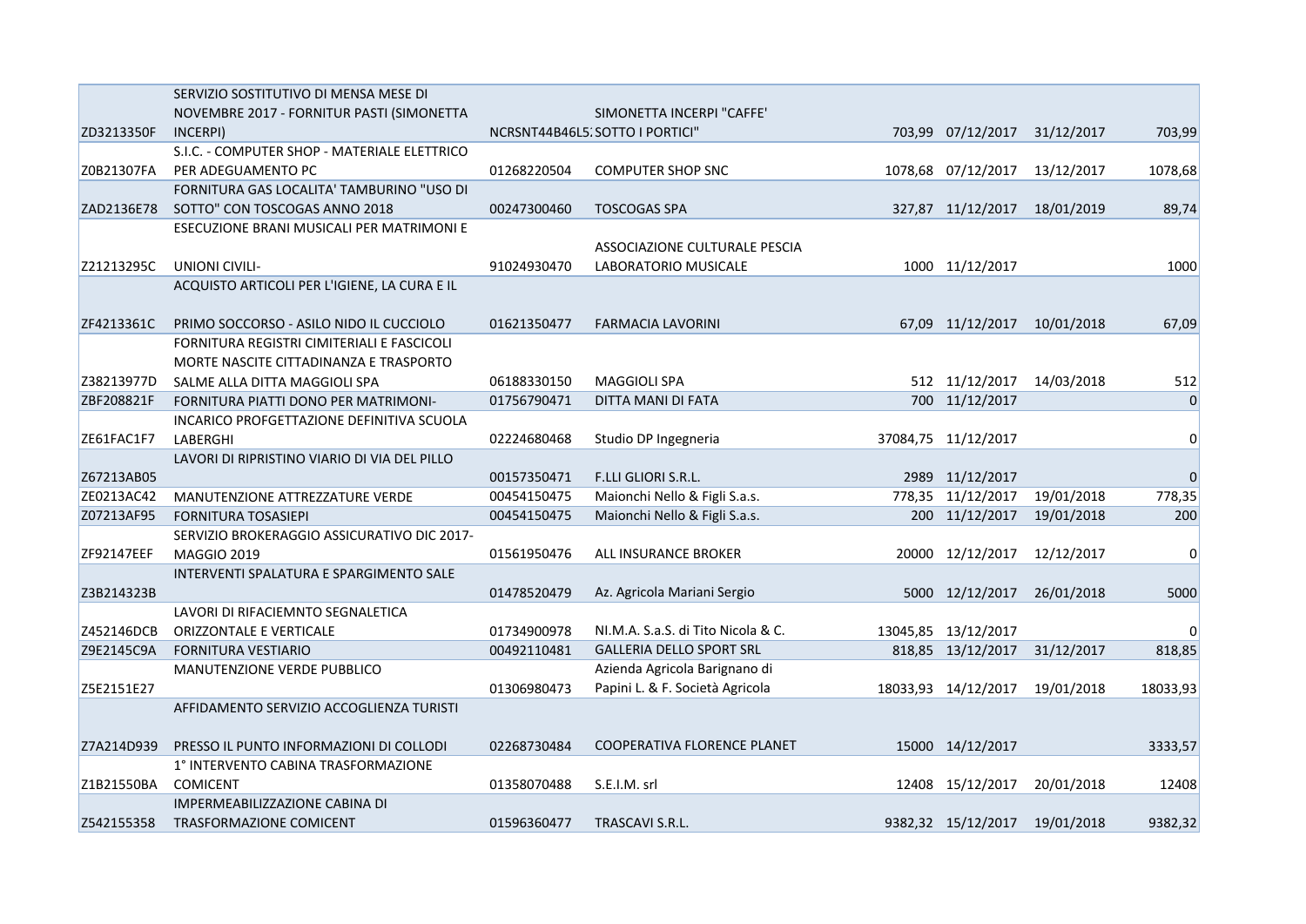|            | SERVIZIO SOSTITUTIVO DI MENSA MESE DI        |             |                                    |                           |            |             |
|------------|----------------------------------------------|-------------|------------------------------------|---------------------------|------------|-------------|
|            | NOVEMBRE 2017 - FORNITUR PASTI (SIMONETTA    |             | SIMONETTA INCERPI "CAFFE"          |                           |            |             |
| ZD3213350F | INCERPI)                                     |             | NCRSNT44B46L5. SOTTO I PORTICI"    | 703,99 07/12/2017         | 31/12/2017 | 703,99      |
|            | S.I.C. - COMPUTER SHOP - MATERIALE ELETTRICO |             |                                    |                           |            |             |
| Z0B21307FA | PER ADEGUAMENTO PC                           | 01268220504 | <b>COMPUTER SHOP SNC</b>           | 1078,68 07/12/2017        | 13/12/2017 | 1078,68     |
|            | FORNITURA GAS LOCALITA' TAMBURINO "USO DI    |             |                                    |                           |            |             |
| ZAD2136E78 | SOTTO" CON TOSCOGAS ANNO 2018                | 00247300460 | <b>TOSCOGAS SPA</b>                | 327,87 11/12/2017         | 18/01/2019 | 89,74       |
|            | ESECUZIONE BRANI MUSICALI PER MATRIMONI E    |             |                                    |                           |            |             |
|            |                                              |             | ASSOCIAZIONE CULTURALE PESCIA      |                           |            |             |
| Z21213295C | UNIONI CIVILI-                               | 91024930470 | LABORATORIO MUSICALE               | 1000 11/12/2017           |            | 1000        |
|            | ACQUISTO ARTICOLI PER L'IGIENE, LA CURA E IL |             |                                    |                           |            |             |
|            |                                              |             |                                    |                           |            |             |
| ZF4213361C | PRIMO SOCCORSO - ASILO NIDO IL CUCCIOLO      | 01621350477 | FARMACIA LAVORINI                  | 67,09 11/12/2017          | 10/01/2018 | 67,09       |
|            | FORNITURA REGISTRI CIMITERIALI E FASCICOLI   |             |                                    |                           |            |             |
|            | MORTE NASCITE CITTADINANZA E TRASPORTO       |             |                                    |                           |            |             |
| Z38213977D | SALME ALLA DITTA MAGGIOLI SPA                | 06188330150 | <b>MAGGIOLI SPA</b>                | 512 11/12/2017 14/03/2018 |            | 512         |
| ZBF208821F | FORNITURA PIATTI DONO PER MATRIMONI-         | 01756790471 | DITTA MANI DI FATA                 | 700 11/12/2017            |            | $\mathbf 0$ |
|            | INCARICO PROFGETTAZIONE DEFINITIVA SCUOLA    |             |                                    |                           |            |             |
| ZE61FAC1F7 | LABERGHI                                     | 02224680468 | Studio DP Ingegneria               | 37084,75 11/12/2017       |            | 0           |
|            | LAVORI DI RIPRISTINO VIARIO DI VIA DEL PILLO |             |                                    |                           |            |             |
| Z67213AB05 |                                              | 00157350471 | F.LLI GLIORI S.R.L.                | 2989 11/12/2017           |            | $\pmb{0}$   |
| ZE0213AC42 | MANUTENZIONE ATTREZZATURE VERDE              | 00454150475 | Maionchi Nello & Figli S.a.s.      | 778,35 11/12/2017         | 19/01/2018 | 778,35      |
| Z07213AF95 | <b>FORNITURA TOSASIEPI</b>                   | 00454150475 | Maionchi Nello & Figli S.a.s.      | 200 11/12/2017            | 19/01/2018 | 200         |
|            | SERVIZIO BROKERAGGIO ASSICURATIVO DIC 2017-  |             |                                    |                           |            |             |
| ZF92147EEF | <b>MAGGIO 2019</b>                           | 01561950476 | ALL INSURANCE BROKER               | 20000 12/12/2017          | 12/12/2017 | 0           |
|            | INTERVENTI SPALATURA E SPARGIMENTO SALE      |             |                                    |                           |            |             |
| Z3B214323B |                                              | 01478520479 | Az. Agricola Mariani Sergio        | 5000 12/12/2017           | 26/01/2018 | 5000        |
|            | LAVORI DI RIFACIEMNTO SEGNALETICA            |             |                                    |                           |            |             |
| Z452146DCB | <b>ORIZZONTALE E VERTICALE</b>               | 01734900978 | NI.M.A. S.a.S. di Tito Nicola & C. | 13045,85 13/12/2017       |            | 0           |
| Z9E2145C9A | <b>FORNITURA VESTIARIO</b>                   | 00492110481 | <b>GALLERIA DELLO SPORT SRL</b>    | 818,85 13/12/2017         | 31/12/2017 | 818,85      |
|            | <b>MANUTENZIONE VERDE PUBBLICO</b>           |             | Azienda Agricola Barignano di      |                           |            |             |
| Z5E2151E27 |                                              | 01306980473 | Papini L. & F. Società Agricola    | 18033,93 14/12/2017       | 19/01/2018 | 18033,93    |
|            | AFFIDAMENTO SERVIZIO ACCOGLIENZA TURISTI     |             |                                    |                           |            |             |
|            |                                              |             |                                    |                           |            |             |
| Z7A214D939 | PRESSO IL PUNTO INFORMAZIONI DI COLLODI      | 02268730484 | COOPERATIVA FLORENCE PLANET        | 15000 14/12/2017          |            | 3333,57     |
|            | 1° INTERVENTO CABINA TRASFORMAZIONE          |             |                                    |                           |            |             |
| Z1B21550BA | <b>COMICENT</b>                              | 01358070488 | S.E.I.M. srl                       | 12408 15/12/2017          | 20/01/2018 | 12408       |
|            | IMPERMEABILIZZAZIONE CABINA DI               |             |                                    |                           |            |             |
| Z542155358 | <b>TRASFORMAZIONE COMICENT</b>               | 01596360477 | TRASCAVI S.R.L.                    | 9382,32 15/12/2017        | 19/01/2018 | 9382,32     |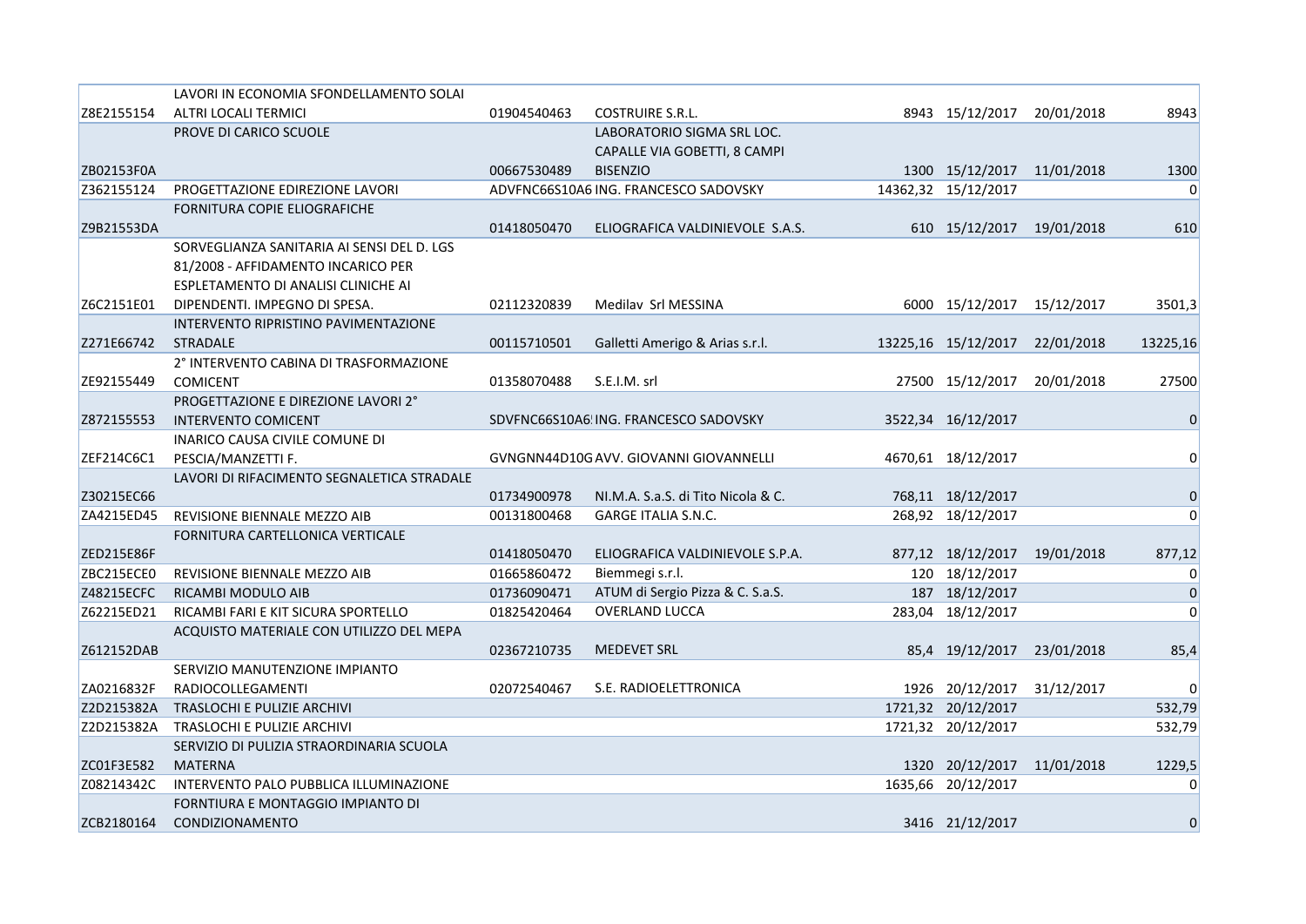|            | LAVORI IN ECONOMIA SFONDELLAMENTO SOLAI    |             |                                        |                            |            |                |
|------------|--------------------------------------------|-------------|----------------------------------------|----------------------------|------------|----------------|
| Z8E2155154 | ALTRI LOCALI TERMICI                       | 01904540463 | <b>COSTRUIRE S.R.L.</b>                | 8943 15/12/2017            | 20/01/2018 | 8943           |
|            | PROVE DI CARICO SCUOLE                     |             | LABORATORIO SIGMA SRL LOC.             |                            |            |                |
|            |                                            |             | CAPALLE VIA GOBETTI, 8 CAMPI           |                            |            |                |
| ZB02153F0A |                                            | 00667530489 | <b>BISENZIO</b>                        | 1300 15/12/2017 11/01/2018 |            | 1300           |
| Z362155124 | PROGETTAZIONE EDIREZIONE LAVORI            |             | ADVFNC66S10A6 ING. FRANCESCO SADOVSKY  | 14362,32 15/12/2017        |            | $\mathbf 0$    |
|            | FORNITURA COPIE ELIOGRAFICHE               |             |                                        |                            |            |                |
| Z9B21553DA |                                            | 01418050470 | ELIOGRAFICA VALDINIEVOLE S.A.S.        | 610 15/12/2017 19/01/2018  |            | 610            |
|            | SORVEGLIANZA SANITARIA AI SENSI DEL D. LGS |             |                                        |                            |            |                |
|            | 81/2008 - AFFIDAMENTO INCARICO PER         |             |                                        |                            |            |                |
|            | ESPLETAMENTO DI ANALISI CLINICHE AI        |             |                                        |                            |            |                |
| Z6C2151E01 | DIPENDENTI. IMPEGNO DI SPESA.              | 02112320839 | Medilav Srl MESSINA                    | 6000 15/12/2017            | 15/12/2017 | 3501,3         |
|            | INTERVENTO RIPRISTINO PAVIMENTAZIONE       |             |                                        |                            |            |                |
| Z271E66742 | <b>STRADALE</b>                            | 00115710501 | Galletti Amerigo & Arias s.r.l.        | 13225,16 15/12/2017        | 22/01/2018 | 13225,16       |
|            | 2° INTERVENTO CABINA DI TRASFORMAZIONE     |             |                                        |                            |            |                |
| ZE92155449 | <b>COMICENT</b>                            | 01358070488 | S.E.I.M. srl                           | 27500 15/12/2017           | 20/01/2018 | 27500          |
|            | PROGETTAZIONE E DIREZIONE LAVORI 2°        |             |                                        |                            |            |                |
| Z872155553 | <b>INTERVENTO COMICENT</b>                 |             | SDVFNC66S10A6 ING. FRANCESCO SADOVSKY  | 3522,34 16/12/2017         |            | $\mathbf 0$    |
|            | INARICO CAUSA CIVILE COMUNE DI             |             |                                        |                            |            |                |
| ZEF214C6C1 | PESCIA/MANZETTI F.                         |             | GVNGNN44D10G AVV. GIOVANNI GIOVANNELLI | 4670,61 18/12/2017         |            | $\Omega$       |
|            | LAVORI DI RIFACIMENTO SEGNALETICA STRADALE |             |                                        |                            |            |                |
| Z30215EC66 |                                            | 01734900978 | NI.M.A. S.a.S. di Tito Nicola & C.     | 768,11 18/12/2017          |            | $\mathbf 0$    |
| ZA4215ED45 | REVISIONE BIENNALE MEZZO AIB               | 00131800468 | <b>GARGE ITALIA S.N.C.</b>             | 268,92 18/12/2017          |            | $\Omega$       |
|            | FORNITURA CARTELLONICA VERTICALE           |             |                                        |                            |            |                |
| ZED215E86F |                                            | 01418050470 | ELIOGRAFICA VALDINIEVOLE S.P.A.        | 877,12 18/12/2017          | 19/01/2018 | 877,12         |
| ZBC215ECE0 | REVISIONE BIENNALE MEZZO AIB               | 01665860472 | Biemmegi s.r.l.                        | 120 18/12/2017             |            | 0              |
| Z48215ECFC | RICAMBI MODULO AIB                         | 01736090471 | ATUM di Sergio Pizza & C. S.a.S.       | 187 18/12/2017             |            | 0              |
| Z62215ED21 | RICAMBI FARI E KIT SICURA SPORTELLO        | 01825420464 | <b>OVERLAND LUCCA</b>                  | 283,04 18/12/2017          |            | $\overline{0}$ |
|            | ACQUISTO MATERIALE CON UTILIZZO DEL MEPA   |             |                                        |                            |            |                |
| Z612152DAB |                                            | 02367210735 | <b>MEDEVET SRL</b>                     | 85,4 19/12/2017            | 23/01/2018 | 85,4           |
|            | SERVIZIO MANUTENZIONE IMPIANTO             |             |                                        |                            |            |                |
| ZA0216832F | RADIOCOLLEGAMENTI                          | 02072540467 | S.E. RADIOELETTRONICA                  | 1926 20/12/2017            | 31/12/2017 | $\Omega$       |
| Z2D215382A | TRASLOCHI E PULIZIE ARCHIVI                |             |                                        | 1721,32 20/12/2017         |            | 532,79         |
| Z2D215382A | TRASLOCHI E PULIZIE ARCHIVI                |             |                                        | 1721,32 20/12/2017         |            | 532,79         |
|            | SERVIZIO DI PULIZIA STRAORDINARIA SCUOLA   |             |                                        |                            |            |                |
| ZC01F3E582 | <b>MATERNA</b>                             |             |                                        | 1320 20/12/2017            | 11/01/2018 | 1229,5         |
| Z08214342C | INTERVENTO PALO PUBBLICA ILLUMINAZIONE     |             |                                        | 1635,66 20/12/2017         |            | $\Omega$       |
|            | FORNTIURA E MONTAGGIO IMPIANTO DI          |             |                                        |                            |            |                |
| ZCB2180164 | <b>CONDIZIONAMENTO</b>                     |             |                                        | 3416 21/12/2017            |            | $\mathbf 0$    |